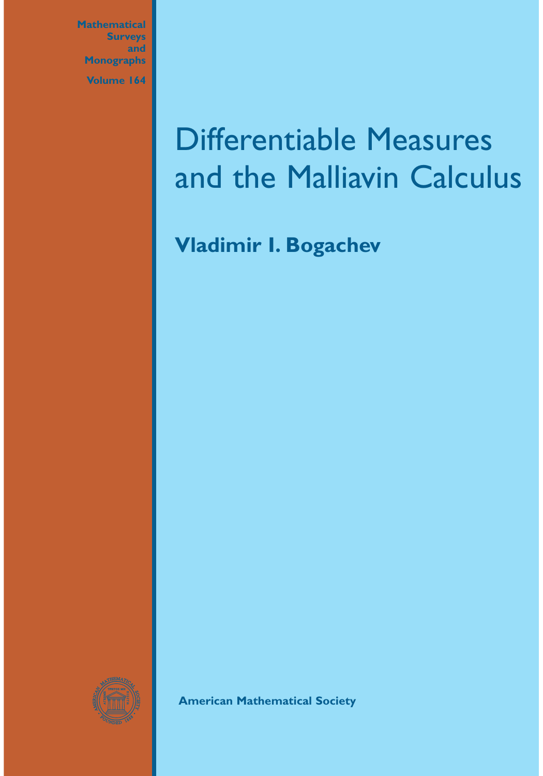**Mathematical Surveys and Monographs Volume 164**

# Differentiable Measures and the Malliavin Calculus

**Vladimir I. Bogachev**



**American Mathematical Society**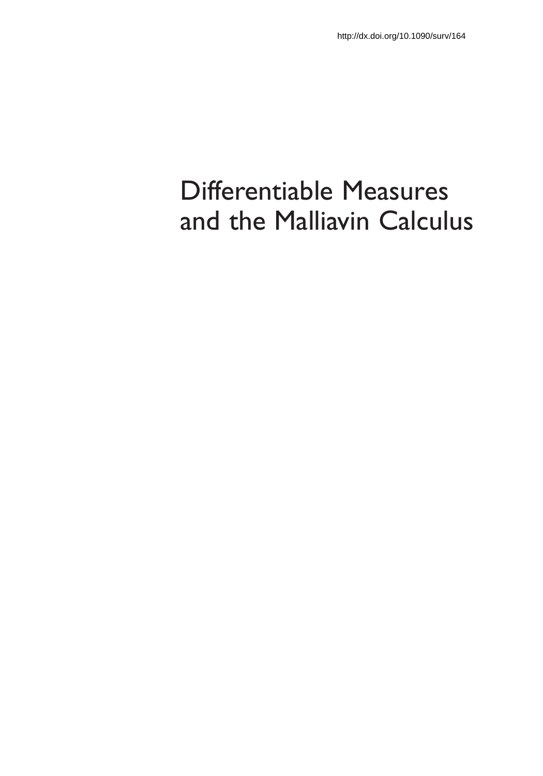## Differentiable Measures and the Malliavin Calculus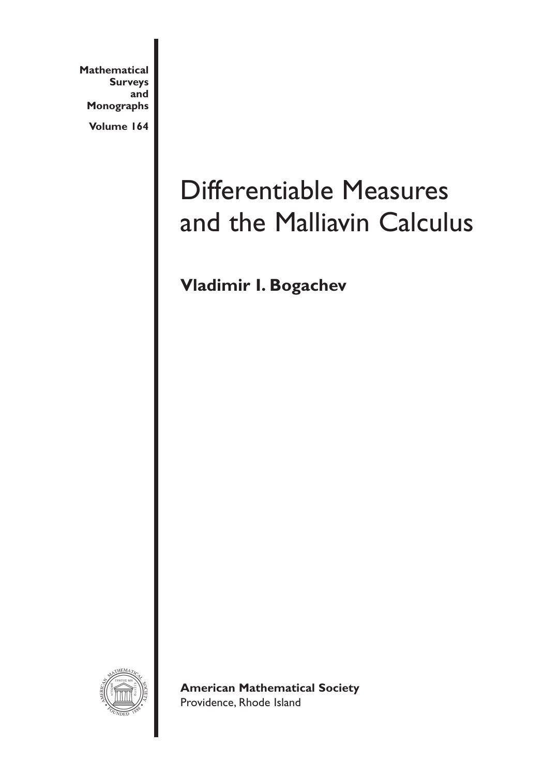**Mathematical Surveys and Monographs**

**Volume 164**

## Differentiable Measures and the Malliavin Calculus

**Vladimir I. Bogachev**



**American Mathematical Society** Providence, Rhode Island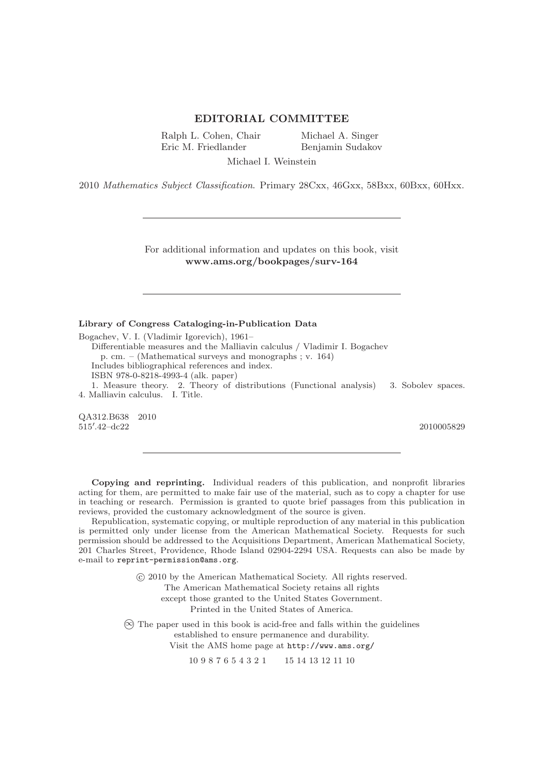#### **EDITORIAL COMMITTEE**

Ralph L. Cohen, Chair Eric M. Friedlander

Michael A. Singer Benjamin Sudakov

Michael I. Weinstein

2010 Mathematics Subject Classification. Primary 28Cxx, 46Gxx, 58Bxx, 60Bxx, 60Hxx.

For additional information and updates on this book, visit **www.ams.org/bookpages/surv-164**

#### **Library of Congress Cataloging-in-Publication Data**

Bogachev, V. I. (Vladimir Igorevich), 1961– Differentiable measures and the Malliavin calculus / Vladimir I. Bogachev p. cm. – (Mathematical surveys and monographs ; v. 164) Includes bibliographical references and index. ISBN 978-0-8218-4993-4 (alk. paper) 1. Measure theory. 2. Theory of distributions (Functional analysis) 3. Sobolev spaces. 4. Malliavin calculus. I. Title.

QA312.B638 2010  $515'$ 

2010005829

**Copying and reprinting.** Individual readers of this publication, and nonprofit libraries acting for them, are permitted to make fair use of the material, such as to copy a chapter for use in teaching or research. Permission is granted to quote brief passages from this publication in reviews, provided the customary acknowledgment of the source is given.

Republication, systematic copying, or multiple reproduction of any material in this publication is permitted only under license from the American Mathematical Society. Requests for such permission should be addressed to the Acquisitions Department, American Mathematical Society, 201 Charles Street, Providence, Rhode Island 02904-2294 USA. Requests can also be made by e-mail to reprint-permission@ams.org.

> -c 2010 by the American Mathematical Society. All rights reserved. The American Mathematical Society retains all rights

except those granted to the United States Government.

Printed in the United States of America.

-∞ The paper used in this book is acid-free and falls within the guidelines established to ensure permanence and durability. Visit the AMS home page at http://www.ams.org/

10 9 8 7 6 5 4 3 2 1 15 14 13 12 11 10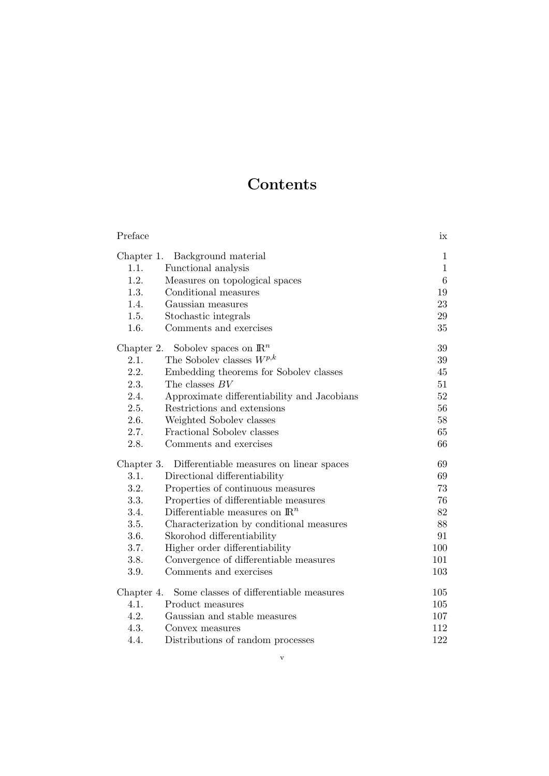## **Contents**

| Preface                                     |                                             | ix              |
|---------------------------------------------|---------------------------------------------|-----------------|
| Chapter 1.                                  | $\mathbf{1}$                                |                 |
| 1.1.                                        | Background material<br>Functional analysis  | $\mathbf{1}$    |
| 1.2.                                        | Measures on topological spaces              | $6\phantom{.}6$ |
| 1.3.                                        | Conditional measures                        | 19              |
| 1.4.                                        | Gaussian measures                           | 23              |
| 1.5.                                        | Stochastic integrals                        | 29              |
| 1.6.                                        | Comments and exercises                      | 35              |
| Chapter 2. Sobolev spaces on $\mathbb{R}^n$ | 39                                          |                 |
| 2.1.                                        | The Sobolev classes $W^{p,k}$               | 39              |
| 2.2.                                        | Embedding theorems for Sobolev classes      | 45              |
| 2.3.                                        | The classes $BV$                            | 51              |
| 2.4.                                        | Approximate differentiability and Jacobians | 52              |
| 2.5.                                        | Restrictions and extensions                 | 56              |
| 2.6.                                        | Weighted Sobolev classes                    | 58              |
| 2.7.                                        | Fractional Sobolev classes                  | 65              |
| 2.8.                                        | Comments and exercises                      | 66              |
| Chapter 3.                                  | Differentiable measures on linear spaces    | 69              |
| 3.1.                                        | Directional differentiability               | 69              |
| 3.2.                                        | Properties of continuous measures           | 73              |
| 3.3.                                        | Properties of differentiable measures       | 76              |
| 3.4.                                        | Differentiable measures on $\mathbb{R}^n$   | 82              |
| 3.5.                                        | Characterization by conditional measures    | 88              |
| 3.6.                                        | Skorohod differentiability                  | 91              |
| 3.7.                                        | Higher order differentiability              | 100             |
| 3.8.                                        | Convergence of differentiable measures      | 101             |
| 3.9.                                        | Comments and exercises                      | 103             |
| Chapter 4.                                  | 105                                         |                 |
| 4.1.                                        | Product measures                            | 105             |
| 4.2.                                        | Gaussian and stable measures                | 107             |
| 4.3.                                        | Convex measures                             | 112             |
| 4.4.                                        | Distributions of random processes           | 122             |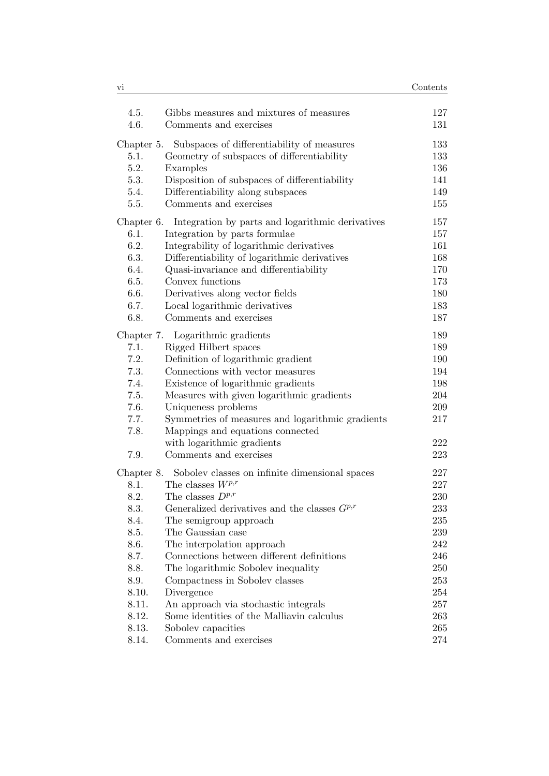| vi         |                                                           | Contents |
|------------|-----------------------------------------------------------|----------|
| 4.5.       | Gibbs measures and mixtures of measures                   | 127      |
| 4.6.       | Comments and exercises                                    | 131      |
| Chapter 5. | Subspaces of differentiability of measures                | 133      |
| 5.1.       | Geometry of subspaces of differentiability                | 133      |
| 5.2.       | Examples                                                  | 136      |
| 5.3.       | Disposition of subspaces of differentiability             | 141      |
| 5.4.       | Differentiability along subspaces                         | 149      |
| 5.5.       | Comments and exercises                                    | 155      |
| Chapter 6. | Integration by parts and logarithmic derivatives          | 157      |
| 6.1.       | Integration by parts formulae                             | 157      |
| 6.2.       | Integrability of logarithmic derivatives                  | 161      |
| 6.3.       | Differentiability of logarithmic derivatives              | 168      |
| 6.4.       | Quasi-invariance and differentiability                    | 170      |
| 6.5.       | Convex functions                                          | 173      |
| 6.6.       | Derivatives along vector fields                           | 180      |
| 6.7.       | Local logarithmic derivatives                             | 183      |
| 6.8.       | Comments and exercises                                    | 187      |
|            | Chapter 7. Logarithmic gradients                          | 189      |
| 7.1.       | Rigged Hilbert spaces                                     | 189      |
| 7.2.       | Definition of logarithmic gradient                        | 190      |
| 7.3.       | Connections with vector measures                          | 194      |
| 7.4.       | Existence of logarithmic gradients                        | 198      |
| 7.5.       | Measures with given logarithmic gradients                 | 204      |
| 7.6.       | Uniqueness problems                                       | 209      |
| 7.7.       | Symmetries of measures and logarithmic gradients          | 217      |
| 7.8.       | Mappings and equations connected                          |          |
|            | with logarithmic gradients                                | 222      |
| 7.9.       | Comments and exercises                                    | 223      |
|            | Chapter 8. Sobolev classes on infinite dimensional spaces | 227      |
| 8.1.       | The classes $W^{p,r}$                                     | 227      |
| 8.2.       | The classes $D^{p,r}$                                     | 230      |
| 8.3.       | Generalized derivatives and the classes $G^{p,r}$         | 233      |
| 8.4.       | The semigroup approach                                    | 235      |
| 8.5.       | The Gaussian case                                         | 239      |
| 8.6.       | The interpolation approach                                | 242      |
| 8.7.       | Connections between different definitions                 | 246      |
| 8.8.       | The logarithmic Sobolev inequality                        | 250      |
| 8.9.       | Compactness in Sobolev classes                            | 253      |
| 8.10.      | Divergence                                                | 254      |
| 8.11.      | An approach via stochastic integrals                      | 257      |
| 8.12.      | Some identities of the Malliavin calculus                 | 263      |
| 8.13.      | Soboley capacities                                        | 265      |
| 8.14.      | Comments and exercises                                    | 274      |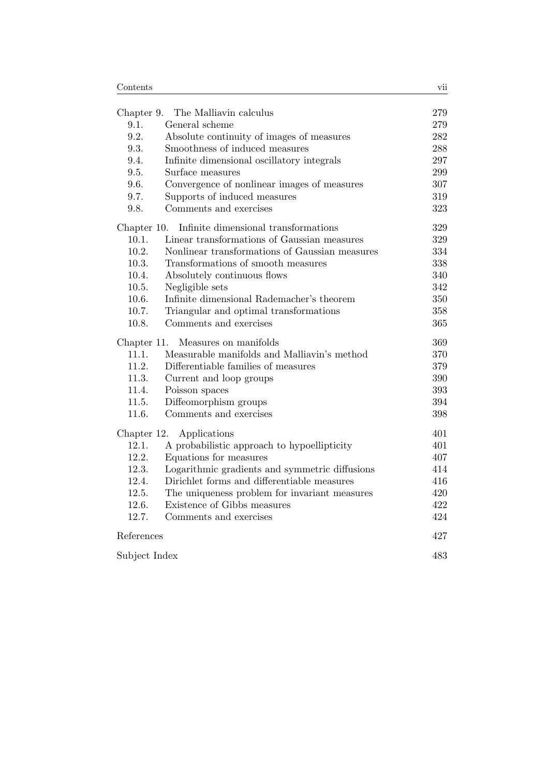|                                      | Chapter 9. The Malliavin calculus              | 279     |
|--------------------------------------|------------------------------------------------|---------|
| 9.1.                                 | General scheme                                 | 279     |
| 9.2.                                 | Absolute continuity of images of measures      | 282     |
| 9.3.                                 | Smoothness of induced measures                 | 288     |
| 9.4.                                 | Infinite dimensional oscillatory integrals     | 297     |
| 9.5.                                 | Surface measures                               | 299     |
| 9.6.                                 | Convergence of nonlinear images of measures    | 307     |
| 9.7.                                 | Supports of induced measures                   | 319     |
| 9.8.                                 | Comments and exercises                         | 323     |
| Chapter 10.                          | Infinite dimensional transformations           | 329     |
| 10.1.                                | Linear transformations of Gaussian measures    | 329     |
| 10.2.                                | Nonlinear transformations of Gaussian measures | 334     |
| 10.3.                                | Transformations of smooth measures             | 338     |
| 10.4.                                | Absolutely continuous flows                    | 340     |
| 10.5.                                | Negligible sets                                | 342     |
| 10.6.                                | Infinite dimensional Rademacher's theorem      | $350\,$ |
| 10.7.                                | Triangular and optimal transformations         | 358     |
| 10.8.                                | Comments and exercises                         | 365     |
| Measures on manifolds<br>Chapter 11. |                                                | 369     |
| 11.1.                                | Measurable manifolds and Malliavin's method    | 370     |
| 11.2.                                | Differentiable families of measures            | 379     |
| 11.3.                                | Current and loop groups                        | 390     |
| 11.4.                                | Poisson spaces                                 | 393     |
| 11.5.                                | Diffeomorphism groups                          | 394     |
| 11.6.                                | Comments and exercises                         | 398     |
| Chapter 12.                          | Applications                                   | 401     |
| 12.1.                                | A probabilistic approach to hypoellipticity    | 401     |
| 12.2.                                | Equations for measures                         | 407     |
| 12.3.                                | Logarithmic gradients and symmetric diffusions | 414     |
| 12.4.                                | Dirichlet forms and differentiable measures    | 416     |
| 12.5.                                | The uniqueness problem for invariant measures  | 420     |
| 12.6.                                | Existence of Gibbs measures                    | 422     |
| 12.7.                                | Comments and exercises                         | 424     |
| References                           |                                                | 427     |
| Subject Index                        |                                                | 483     |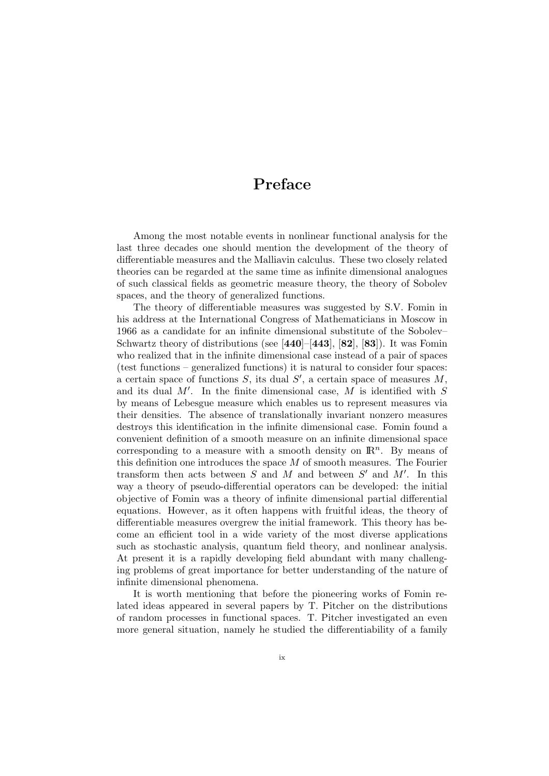### Preface

Among the most notable events in nonlinear functional analysis for the last three decades one should mention the development of the theory of differentiable measures and the Malliavin calculus. These two closely related theories can be regarded at the same time as infinite dimensional analogues of such classical fields as geometric measure theory, the theory of Sobolev spaces, and the theory of generalized functions.

The theory of differentiable measures was suggested by S.V. Fomin in his address at the International Congress of Mathematicians in Moscow in 1966 as a candidate for an infinite dimensional substitute of the Sobolev– Schwartz theory of distributions (see  $[440]$ – $[443]$ ,  $[82]$ ,  $[83]$ ). It was Fomin who realized that in the infinite dimensional case instead of a pair of spaces (test functions – generalized functions) it is natural to consider four spaces: a certain space of functions  $S$ , its dual  $S'$ , a certain space of measures  $M$ , and its dual  $M'$ . In the finite dimensional case,  $M$  is identified with  $S$ by means of Lebesgue measure which enables us to represent measures via their densities. The absence of translationally invariant nonzero measures destroys this identification in the infinite dimensional case. Fomin found a convenient definition of a smooth measure on an infinite dimensional space corresponding to a measure with a smooth density on  $\mathbb{R}^n$ . By means of this definition one introduces the space  $M$  of smooth measures. The Fourier transform then acts between  $S$  and  $M$  and between  $S'$  and  $M'$ . In this way a theory of pseudo-differential operators can be developed: the initial objective of Fomin was a theory of infinite dimensional partial differential equations. However, as it often happens with fruitful ideas, the theory of differentiable measures overgrew the initial framework. This theory has become an efficient tool in a wide variety of the most diverse applications such as stochastic analysis, quantum field theory, and nonlinear analysis. At present it is a rapidly developing field abundant with many challenging problems of great importance for better understanding of the nature of infinite dimensional phenomena.

It is worth mentioning that before the pioneering works of Fomin related ideas appeared in several papers by T. Pitcher on the distributions of random processes in functional spaces. T. Pitcher investigated an even more general situation, namely he studied the differentiability of a family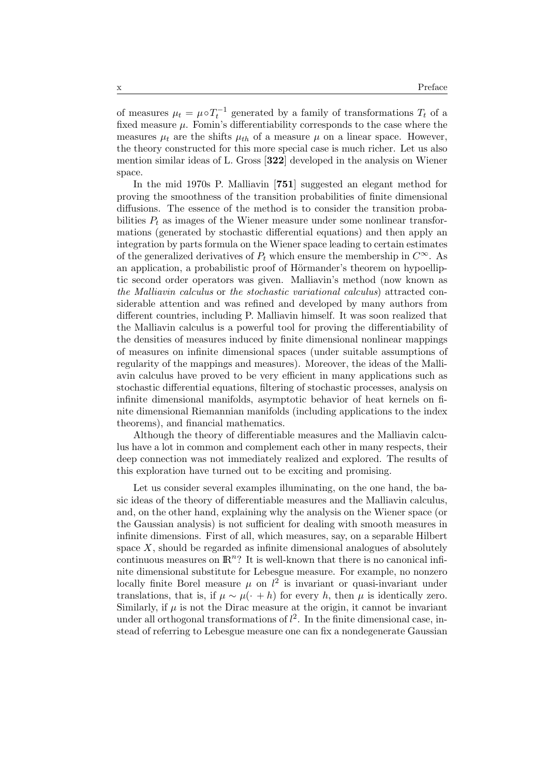of measures  $\mu_t = \mu \circ T_t^{-1}$  generated by a family of transformations  $T_t$  of a fixed measure  $\mu$ . Fomin's differentiability corresponds to the case where the measures  $\mu_t$  are the shifts  $\mu_{th}$  of a measure  $\mu$  on a linear space. However, the theory constructed for this more special case is much richer. Let us also mention similar ideas of L. Gross [322] developed in the analysis on Wiener space.

In the mid 1970s P. Malliavin [751] suggested an elegant method for proving the smoothness of the transition probabilities of finite dimensional diffusions. The essence of the method is to consider the transition probabilities  $P_t$  as images of the Wiener measure under some nonlinear transformations (generated by stochastic differential equations) and then apply an integration by parts formula on the Wiener space leading to certain estimates of the generalized derivatives of  $P_t$  which ensure the membership in  $C^{\infty}$ . As an application, a probabilistic proof of Hörmander's theorem on hypoelliptic second order operators was given. Malliavin's method (now known as the Malliavin calculus or the stochastic variational calculus) attracted considerable attention and was refined and developed by many authors from different countries, including P. Malliavin himself. It was soon realized that the Malliavin calculus is a powerful tool for proving the differentiability of the densities of measures induced by finite dimensional nonlinear mappings of measures on infinite dimensional spaces (under suitable assumptions of regularity of the mappings and measures). Moreover, the ideas of the Malliavin calculus have proved to be very efficient in many applications such as stochastic differential equations, filtering of stochastic processes, analysis on infinite dimensional manifolds, asymptotic behavior of heat kernels on finite dimensional Riemannian manifolds (including applications to the index theorems), and financial mathematics.

Although the theory of differentiable measures and the Malliavin calculus have a lot in common and complement each other in many respects, their deep connection was not immediately realized and explored. The results of this exploration have turned out to be exciting and promising.

Let us consider several examples illuminating, on the one hand, the basic ideas of the theory of differentiable measures and the Malliavin calculus, and, on the other hand, explaining why the analysis on the Wiener space (or the Gaussian analysis) is not sufficient for dealing with smooth measures in infinite dimensions. First of all, which measures, say, on a separable Hilbert space  $X$ , should be regarded as infinite dimensional analogues of absolutely continuous measures on  $\mathbb{R}^n$ ? It is well-known that there is no canonical infinite dimensional substitute for Lebesgue measure. For example, no nonzero locally finite Borel measure  $\mu$  on  $l^2$  is invariant or quasi-invariant under translations, that is, if  $\mu \sim \mu(\cdot + h)$  for every h, then  $\mu$  is identically zero. Similarly, if  $\mu$  is not the Dirac measure at the origin, it cannot be invariant under all orthogonal transformations of  $l^2$ . In the finite dimensional case, instead of referring to Lebesgue measure one can fix a nondegenerate Gaussian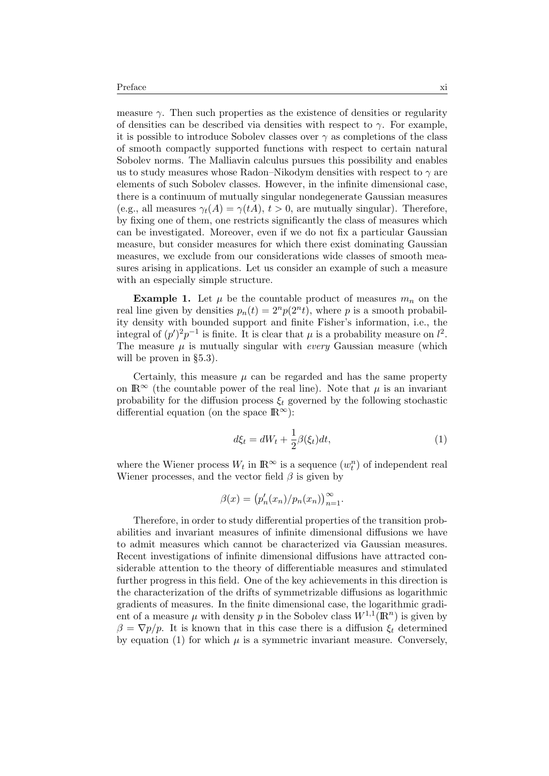measure  $\gamma$ . Then such properties as the existence of densities or regularity of densities can be described via densities with respect to  $\gamma$ . For example, it is possible to introduce Sobolev classes over  $\gamma$  as completions of the class of smooth compactly supported functions with respect to certain natural Sobolev norms. The Malliavin calculus pursues this possibility and enables us to study measures whose Radon–Nikodym densities with respect to  $\gamma$  are elements of such Sobolev classes. However, in the infinite dimensional case, there is a continuum of mutually singular nondegenerate Gaussian measures (e.g., all measures  $\gamma_t(A) = \gamma(tA)$ ,  $t > 0$ , are mutually singular). Therefore, by fixing one of them, one restricts significantly the class of measures which can be investigated. Moreover, even if we do not fix a particular Gaussian measure, but consider measures for which there exist dominating Gaussian measures, we exclude from our considerations wide classes of smooth measures arising in applications. Let us consider an example of such a measure with an especially simple structure.

**Example 1.** Let  $\mu$  be the countable product of measures  $m_n$  on the real line given by densities  $p_n(t) = 2^n p(2^n t)$ , where p is a smooth probability density with bounded support and finite Fisher's information, i.e., the integral of  $(p')^2 p^{-1}$  is finite. It is clear that  $\mu$  is a probability measure on  $l^2$ . The measure  $\mu$  is mutually singular with *every* Gaussian measure (which will be proven in §5.3).

Certainly, this measure  $\mu$  can be regarded and has the same property on  $\mathbb{R}^{\infty}$  (the countable power of the real line). Note that  $\mu$  is an invariant probability for the diffusion process  $\xi_t$  governed by the following stochastic differential equation (on the space  $\mathbb{R}^{\infty}$ ):

$$
d\xi_t = dW_t + \frac{1}{2}\beta(\xi_t)dt,\tag{1}
$$

where the Wiener process  $W_t$  in  $\mathbb{R}^{\infty}$  is a sequence  $(w_t^n)$  of independent real Wiener processes, and the vector field  $\beta$  is given by

$$
\beta(x) = (p'_n(x_n)/p_n(x_n))_{n=1}^{\infty}.
$$

Therefore, in order to study differential properties of the transition probabilities and invariant measures of infinite dimensional diffusions we have to admit measures which cannot be characterized via Gaussian measures. Recent investigations of infinite dimensional diffusions have attracted considerable attention to the theory of differentiable measures and stimulated further progress in this field. One of the key achievements in this direction is the characterization of the drifts of symmetrizable diffusions as logarithmic gradients of measures. In the finite dimensional case, the logarithmic gradient of a measure  $\mu$  with density p in the Sobolev class  $W^{1,1}(\mathbb{R}^n)$  is given by  $\beta = \nabla p/p$ . It is known that in this case there is a diffusion  $\xi_t$  determined by equation (1) for which  $\mu$  is a symmetric invariant measure. Conversely,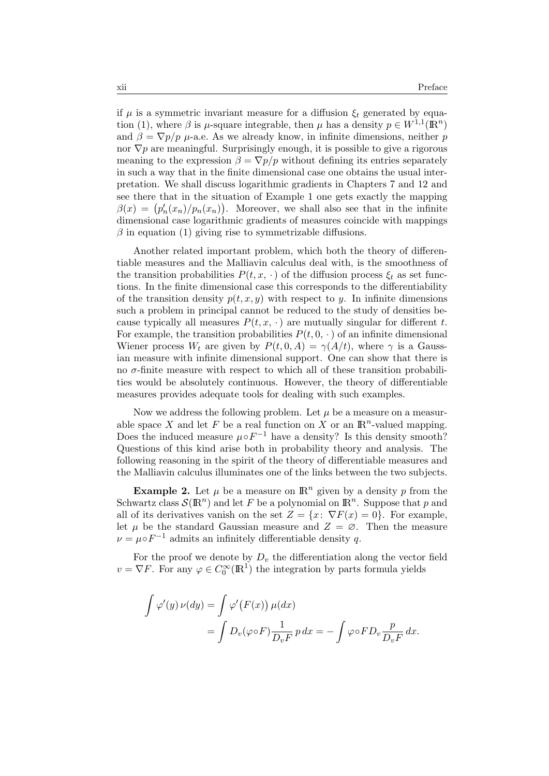if  $\mu$  is a symmetric invariant measure for a diffusion  $\xi_t$  generated by equation (1), where  $\beta$  is  $\mu$ -square integrable, then  $\mu$  has a density  $p \in W^{1,1}(\mathbb{R}^n)$ and  $\beta = \nabla p / p$   $\mu$ -a.e. As we already know, in infinite dimensions, neither p nor  $\nabla p$  are meaningful. Surprisingly enough, it is possible to give a rigorous meaning to the expression  $\beta = \nabla p / p$  without defining its entries separately in such a way that in the finite dimensional case one obtains the usual interpretation. We shall discuss logarithmic gradients in Chapters 7 and 12 and see there that in the situation of Example 1 one gets exactly the mapping  $\beta(x) = (p'_n(x_n)/p_n(x_n)).$  Moreover, we shall also see that in the infinite dimensional case logarithmic gradients of measures coincide with mappings  $\beta$  in equation (1) giving rise to symmetrizable diffusions.

Another related important problem, which both the theory of differentiable measures and the Malliavin calculus deal with, is the smoothness of the transition probabilities  $P(t, x, \cdot)$  of the diffusion process  $\xi_t$  as set functions. In the finite dimensional case this corresponds to the differentiability of the transition density  $p(t, x, y)$  with respect to y. In infinite dimensions such a problem in principal cannot be reduced to the study of densities because typically all measures  $P(t, x, \cdot)$  are mutually singular for different t. For example, the transition probabilities  $P(t, 0, \cdot)$  of an infinite dimensional Wiener process  $W_t$  are given by  $P(t, 0, A) = \gamma(A/t)$ , where  $\gamma$  is a Gaussian measure with infinite dimensional support. One can show that there is no σ-finite measure with respect to which all of these transition probabilities would be absolutely continuous. However, the theory of differentiable measures provides adequate tools for dealing with such examples.

Now we address the following problem. Let  $\mu$  be a measure on a measurable space X and let F be a real function on X or an  $\mathbb{R}^n$ -valued mapping. Does the induced measure  $\mu \circ F^{-1}$  have a density? Is this density smooth? Questions of this kind arise both in probability theory and analysis. The following reasoning in the spirit of the theory of differentiable measures and the Malliavin calculus illuminates one of the links between the two subjects.

**Example 2.** Let  $\mu$  be a measure on  $\mathbb{R}^n$  given by a density p from the Schwartz class  $\mathcal{S}(\mathbb{R}^n)$  and let F be a polynomial on  $\mathbb{R}^n$ . Suppose that p and all of its derivatives vanish on the set  $Z = \{x: \nabla F(x) = 0\}$ . For example, let  $\mu$  be the standard Gaussian measure and  $Z = \emptyset$ . Then the measure  $\nu = \mu \circ F^{-1}$  admits an infinitely differentiable density q.

For the proof we denote by  $D_v$  the differentiation along the vector field  $v = \nabla F$ . For any  $\varphi \in C_0^{\infty}(\mathbb{R}^1)$  the integration by parts formula yields

$$
\int \varphi'(y) \nu(dy) = \int \varphi'(F(x)) \mu(dx)
$$
  
= 
$$
\int D_v(\varphi \circ F) \frac{1}{D_v F} p dx = - \int \varphi \circ F D_v \frac{p}{D_v F} dx.
$$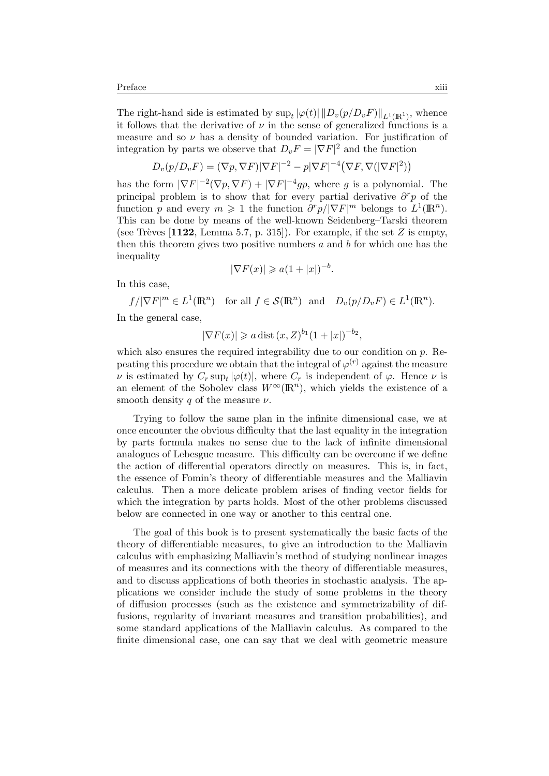The right-hand side is estimated by  $\sup_t |\varphi(t)| ||D_v(p/D_vF)||_{L^1(\mathbb{R}^1)}$ , whence it follows that the derivative of  $\nu$  in the sense of generalized functions is a measure and so  $\nu$  has a density of bounded variation. For justification of integration by parts we observe that  $D_v F = |\nabla F|^2$  and the function

$$
D_v(p/D_v F) = (\nabla p, \nabla F) |\nabla F|^{-2} - p |\nabla F|^{-4} (\nabla F, \nabla (|\nabla F|^2))
$$

has the form  $|\nabla F|^{-2}(\nabla p, \nabla F) + |\nabla F|^{-4}gp$ , where g is a polynomial. The principal problem is to show that for every partial derivative  $\partial^r p$  of the function p and every  $m \geq 1$  the function  $\frac{\partial^r p}{|\nabla F|^m}$  belongs to  $L^1(\mathbb{R}^n)$ . This can be done by means of the well-known Seidenberg–Tarski theorem (see Trèves [1122, Lemma 5.7, p. 315]). For example, if the set  $Z$  is empty, then this theorem gives two positive numbers  $a$  and  $b$  for which one has the inequality

$$
|\nabla F(x)| \geqslant a(1+|x|)^{-b}.
$$

In this case,

 $f/|\nabla F|^m \in L^1(\mathbb{R}^n)$  for all  $f \in \mathcal{S}(\mathbb{R}^n)$  and  $D_v(p/D_v F) \in L^1(\mathbb{R}^n)$ .

In the general case,

$$
|\nabla F(x)| \geq a \text{ dist } (x, Z)^{b_1} (1+|x|)^{-b_2},
$$

which also ensures the required integrability due to our condition on  $p$ . Repeating this procedure we obtain that the integral of  $\varphi^{(r)}$  against the measure  $\nu$  is estimated by  $C_r \sup_t |\varphi(t)|$ , where  $C_r$  is independent of  $\varphi$ . Hence  $\nu$  is an element of the Sobolev class  $W^{\infty}(\mathbb{R}^n)$ , which yields the existence of a smooth density q of the measure  $\nu$ .

Trying to follow the same plan in the infinite dimensional case, we at once encounter the obvious difficulty that the last equality in the integration by parts formula makes no sense due to the lack of infinite dimensional analogues of Lebesgue measure. This difficulty can be overcome if we define the action of differential operators directly on measures. This is, in fact, the essence of Fomin's theory of differentiable measures and the Malliavin calculus. Then a more delicate problem arises of finding vector fields for which the integration by parts holds. Most of the other problems discussed below are connected in one way or another to this central one.

The goal of this book is to present systematically the basic facts of the theory of differentiable measures, to give an introduction to the Malliavin calculus with emphasizing Malliavin's method of studying nonlinear images of measures and its connections with the theory of differentiable measures, and to discuss applications of both theories in stochastic analysis. The applications we consider include the study of some problems in the theory of diffusion processes (such as the existence and symmetrizability of diffusions, regularity of invariant measures and transition probabilities), and some standard applications of the Malliavin calculus. As compared to the finite dimensional case, one can say that we deal with geometric measure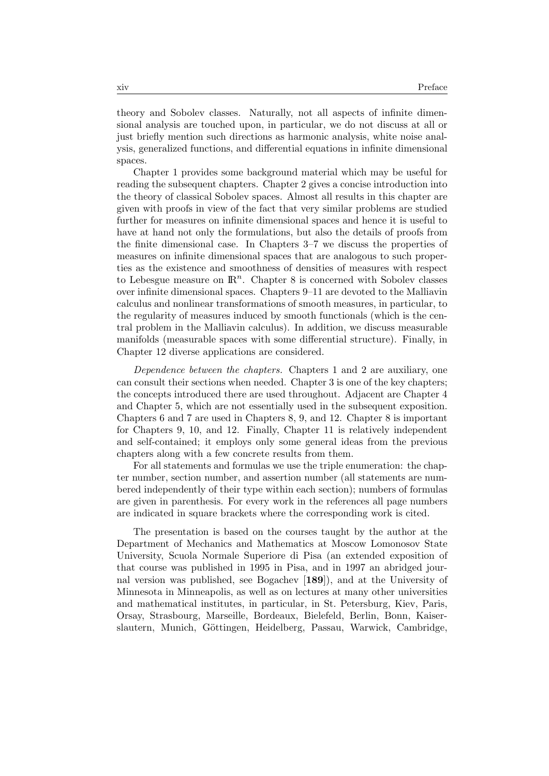theory and Sobolev classes. Naturally, not all aspects of infinite dimensional analysis are touched upon, in particular, we do not discuss at all or just briefly mention such directions as harmonic analysis, white noise analysis, generalized functions, and differential equations in infinite dimensional spaces.

Chapter 1 provides some background material which may be useful for reading the subsequent chapters. Chapter 2 gives a concise introduction into the theory of classical Sobolev spaces. Almost all results in this chapter are given with proofs in view of the fact that very similar problems are studied further for measures on infinite dimensional spaces and hence it is useful to have at hand not only the formulations, but also the details of proofs from the finite dimensional case. In Chapters 3–7 we discuss the properties of measures on infinite dimensional spaces that are analogous to such properties as the existence and smoothness of densities of measures with respect to Lebesgue measure on  $\mathbb{R}^n$ . Chapter 8 is concerned with Sobolev classes over infinite dimensional spaces. Chapters 9–11 are devoted to the Malliavin calculus and nonlinear transformations of smooth measures, in particular, to the regularity of measures induced by smooth functionals (which is the central problem in the Malliavin calculus). In addition, we discuss measurable manifolds (measurable spaces with some differential structure). Finally, in Chapter 12 diverse applications are considered.

Dependence between the chapters. Chapters 1 and 2 are auxiliary, one can consult their sections when needed. Chapter 3 is one of the key chapters; the concepts introduced there are used throughout. Adjacent are Chapter 4 and Chapter 5, which are not essentially used in the subsequent exposition. Chapters 6 and 7 are used in Chapters 8, 9, and 12. Chapter 8 is important for Chapters 9, 10, and 12. Finally, Chapter 11 is relatively independent and self-contained; it employs only some general ideas from the previous chapters along with a few concrete results from them.

For all statements and formulas we use the triple enumeration: the chapter number, section number, and assertion number (all statements are numbered independently of their type within each section); numbers of formulas are given in parenthesis. For every work in the references all page numbers are indicated in square brackets where the corresponding work is cited.

The presentation is based on the courses taught by the author at the Department of Mechanics and Mathematics at Moscow Lomonosov State University, Scuola Normale Superiore di Pisa (an extended exposition of that course was published in 1995 in Pisa, and in 1997 an abridged journal version was published, see Bogachev [189]), and at the University of Minnesota in Minneapolis, as well as on lectures at many other universities and mathematical institutes, in particular, in St. Petersburg, Kiev, Paris, Orsay, Strasbourg, Marseille, Bordeaux, Bielefeld, Berlin, Bonn, Kaiserslautern, Munich, Göttingen, Heidelberg, Passau, Warwick, Cambridge,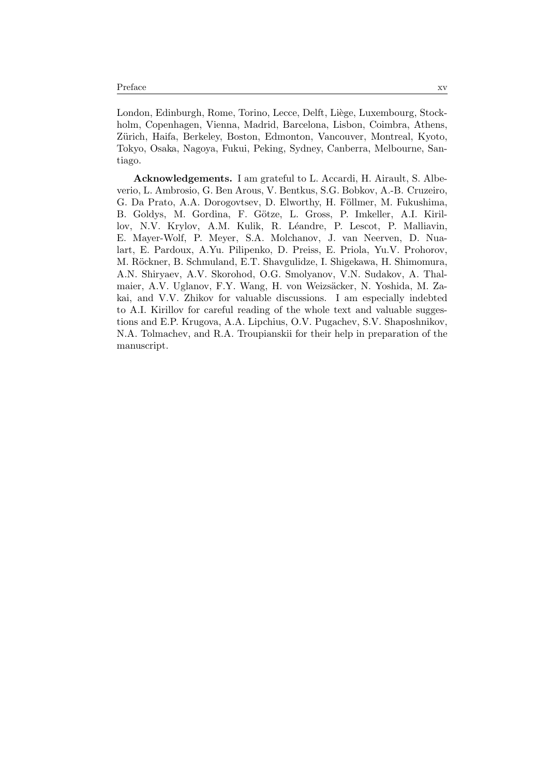London, Edinburgh, Rome, Torino, Lecce, Delft, Liège, Luxembourg, Stockholm, Copenhagen, Vienna, Madrid, Barcelona, Lisbon, Coimbra, Athens, Zürich, Haifa, Berkeley, Boston, Edmonton, Vancouver, Montreal, Kyoto, Tokyo, Osaka, Nagoya, Fukui, Peking, Sydney, Canberra, Melbourne, Santiago.

Acknowledgements. I am grateful to L. Accardi, H. Airault, S. Albeverio, L. Ambrosio, G. Ben Arous, V. Bentkus, S.G. Bobkov, A.-B. Cruzeiro, G. Da Prato, A.A. Dorogovtsev, D. Elworthy, H. Föllmer, M. Fukushima, B. Goldys, M. Gordina, F. Götze, L. Gross, P. Imkeller, A.I. Kirillov, N.V. Krylov, A.M. Kulik, R. Léandre, P. Lescot, P. Malliavin, E. Mayer-Wolf, P. Meyer, S.A. Molchanov, J. van Neerven, D. Nualart, E. Pardoux, A.Yu. Pilipenko, D. Preiss, E. Priola, Yu.V. Prohorov, M. Röckner, B. Schmuland, E.T. Shavgulidze, I. Shigekawa, H. Shimomura, A.N. Shiryaev, A.V. Skorohod, O.G. Smolyanov, V.N. Sudakov, A. Thalmaier, A.V. Uglanov, F.Y. Wang, H. von Weizsäcker, N. Yoshida, M. Zakai, and V.V. Zhikov for valuable discussions. I am especially indebted to A.I. Kirillov for careful reading of the whole text and valuable suggestions and E.P. Krugova, A.A. Lipchius, O.V. Pugachev, S.V. Shaposhnikov, N.A. Tolmachev, and R.A. Troupianskii for their help in preparation of the manuscript.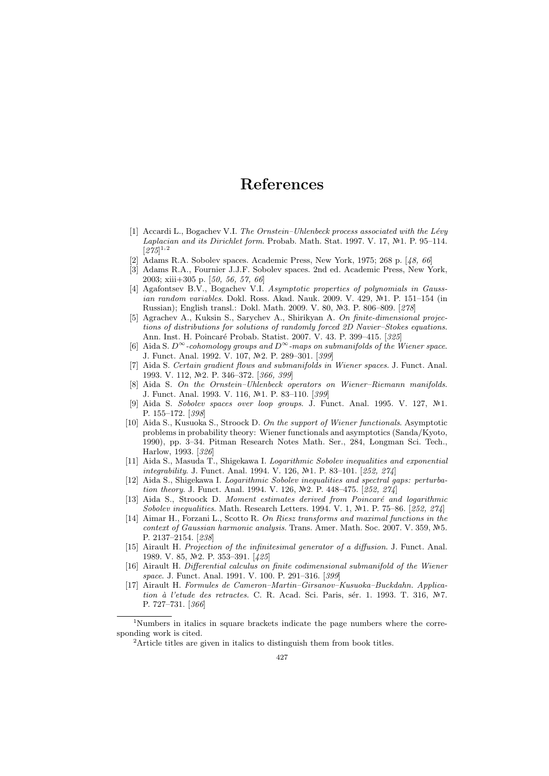### References

- [1] Accardi L., Bogachev V.I. The Ornstein–Uhlenbeck process associated with the Lévy Laplacian and its Dirichlet form. Probab. Math. Stat. 1997. V. 17,  $N<sup>2</sup>1$ . P. 95–114.  $[275]^{1,2}$
- [2] Adams R.A. Sobolev spaces. Academic Press, New York, 1975; 268 p. [48, 66]
- [3] Adams R.A., Fournier J.J.F. Sobolev spaces. 2nd ed. Academic Press, New York, 2003; xiii+305 p. [50, 56, 57, 66]
- [4] Agafontsev B.V., Bogachev V.I. Asymptotic properties of polynomials in Gaussian random variables. Dokl. Ross. Akad. Nauk. 2009. V. 429,  $\mathbb{N}^2$ 1. P. 151–154 (in Russian); English transl.: Dokl. Math. 2009. V. 80, Nº3. P. 806-809. [278]
- [5] Agrachev A., Kuksin S., Sarychev A., Shirikyan A. On finite-dimensional projections of distributions for solutions of randomly forced 2D Navier–Stokes equations. Ann. Inst. H. Poincaré Probab. Statist. 2007. V. 43. P. 399-415. [325]
- [6] Aida S.  $D^{\infty}$ -cohomology groups and  $D^{\infty}$ -maps on submanifolds of the Wiener space. J. Funct. Anal. 1992. V. 107, №2. P. 289-301. [399]
- [7] Aida S. Certain gradient flows and submanifolds in Wiener spaces. J. Funct. Anal. 1993. V. 112, №2. P. 346-372. [366, 399]
- [8] Aida S. On the Ornstein–Uhlenbeck operators on Wiener–Riemann manifolds. J. Funct. Anal. 1993. V. 116, №1. P. 83-110. [399]
- Aida S. Sobolev spaces over loop groups. J. Funct. Anal. 1995. V. 127,  $\mathbb{N}^2$ 1. P. 155–172. [398]
- [10] Aida S., Kusuoka S., Stroock D. On the support of Wiener functionals. Asymptotic problems in probability theory: Wiener functionals and asymptotics (Sanda/Kyoto, 1990), pp. 3–34. Pitman Research Notes Math. Ser., 284, Longman Sci. Tech., Harlow, 1993. [326]
- [11] Aida S., Masuda T., Shigekawa I. Logarithmic Sobolev inequalities and exponential integrability. J. Funct. Anal. 1994. V. 126,  $\mathbb{N}$ 1. P. 83–101. [252, 274]
- [12] Aida S., Shigekawa I. Logarithmic Sobolev inequalities and spectral gaps: perturbation theory. J. Funct. Anal. 1994. V. 126,  $N<sup>2</sup>$ . P. 448-475. [252, 274]
- [13] Aida S., Stroock D. Moment estimates derived from Poincaré and logarithmic Sobolev inequalities. Math. Research Letters. 1994. V. 1,  $N=1$ . P. 75–86. [252, 274]
- [14] Aimar H., Forzani L., Scotto R. On Riesz transforms and maximal functions in the context of Gaussian harmonic analysis. Trans. Amer. Math. Soc. 2007. V. 359,  $N=5$ . P. 2137–2154. [238]
- [15] Airault H. Projection of the infinitesimal generator of a diffusion. J. Funct. Anal. 1989. V. 85, №2. P. 353–391. [425]
- [16] Airault H. Differential calculus on finite codimensional submanifold of the Wiener space. J. Funct. Anal. 1991. V. 100. P. 291–316. [399]
- [17] Airault H. Formules de Cameron–Martin–Girsanov–Kusuoka–Buckdahn. Application à l'etude des retractes. C. R. Acad. Sci. Paris, sér. 1. 1993. T. 316, Nº7. P. 727–731. [366]

<sup>&</sup>lt;sup>1</sup>Numbers in italics in square brackets indicate the page numbers where the corresponding work is cited.

<sup>&</sup>lt;sup>2</sup>Article titles are given in italics to distinguish them from book titles.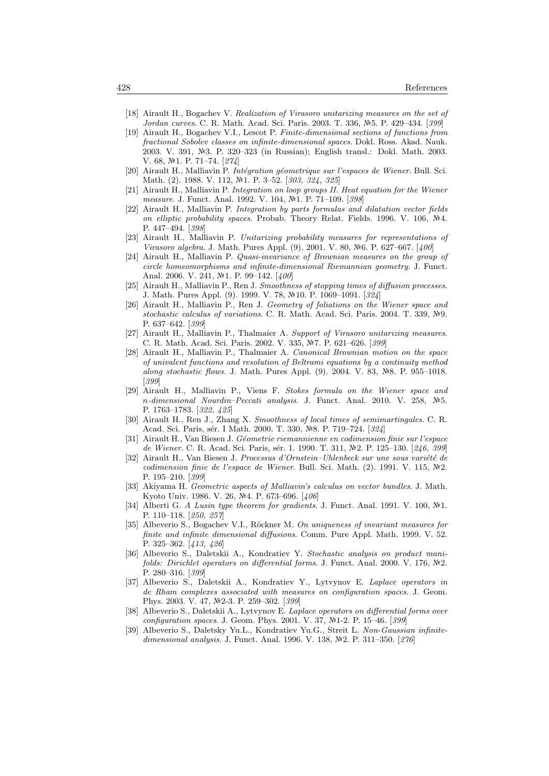- [18] Airault H., Bogachev V. Realization of Virasoro unitarizing measures on the set of Jordan curves. C. R. Math. Acad. Sci. Paris. 2003. T. 336, N.5. P. 429–434. [399]
- [19] Airault H., Bogachev V.I., Lescot P. Finite-dimensional sections of functions from fractional Sobolev classes on infinite-dimensional spaces. Dokl. Ross. Akad. Nauk. 2003. V. 391, №3. P. 320–323 (in Russian); English transl.: Dokl. Math. 2003. V. 68, №1. P. 71–74. [274]
- [20] Airault H., Malliavin P. Intégration géometrique sur l'espaces de Wiener. Bull. Sci. Math. (2). 1988. V. 112, Nº1. P. 3-52. [303, 324, 325]
- [21] Airault H., Malliavin P. Integration on loop groups II. Heat equation for the Wiener measure. J. Funct. Anal. 1992. V. 104, №1. P. 71-109. [398]
- [22] Airault H., Malliavin P. Integration by parts formulas and dilatation vector fields on elliptic probability spaces. Probab. Theory Relat. Fields. 1996. V. 106,  $\mathbb{N}^2$ 4. P. 447–494. [398]
- [23] Airault H., Malliavin P. Unitarizing probability measures for representations of *Virasoro algebra.* J. Math. Pures Appl. (9). 2001. V. 80, №6. P. 627–667. [400]
- [24] Airault H., Malliavin P. Quasi-invariance of Brownian measures on the group of circle homeomorphisms and infinite-dimensional Riemannian geometry. J. Funct. Anal. 2006. V. 241, №1. P. 99-142. [400]
- [25] Airault H., Malliavin P., Ren J. Smoothness of stopping times of diffusion processes. J. Math. Pures Appl. (9). 1999. V. 78, 10. P. 1069–1091. [324]
- [26] Airault H., Malliavin P., Ren J. Geometry of foliations on the Wiener space and stochastic calculus of variations. C. R. Math. Acad. Sci. Paris. 2004. T. 339,  $N<sup>2</sup>9$ . P. 637–642. [399]
- [27] Airault H., Malliavin P., Thalmaier A. Support of Virasoro unitarizing measures. C. R. Math. Acad. Sci. Paris. 2002. V. 335, №7. P. 621–626. [399]
- [28] Airault H., Malliavin P., Thalmaier A. Canonical Brownian motion on the space of univalent functions and resolution of Beltrami equations by a continuity method along stochastic flows. J. Math. Pures Appl.  $(9)$ . 2004. V. 83, Nº8. P. 955–1018. [399]
- [29] Airault H., Malliavin P., Viens F. Stokes formula on the Wiener space and n-dimensional Nourdin–Peccati analysis. J. Funct. Anal. 2010. V. 258, Nº5. P. 1763–1783. [322, 425]
- [30] Airault H., Ren J., Zhang X. Smoothness of local times of semimartingales. C. R. Acad. Sci. Paris, sér. I Math. 2000. T. 330, Nº8. P. 719-724. [324]
- [31] Airault H., Van Biesen J. Géometrie riemannienne en codimension finie sur l'espace de Wiener. C. R. Acad. Sci. Paris, sér. 1. 1990. T. 311, Nº2. P. 125-130. [246, 399]
- [32] Airault H., Van Biesen J. Processus d'Ornstein–Uhlenbeck sur une sous variété de codimension finie de l'espace de Wiener. Bull. Sci. Math. (2). 1991. V. 115,  $\mathbb{N}^2$ . P. 195–210. [399]
- [33] Akiyama H. Geometric aspects of Malliavin's calculus on vector bundles. J. Math. Kyoto Univ. 1986. V. 26, Nº4. P. 673-696. [406]
- [34] Alberti G. A Lusin type theorem for gradients. J. Funct. Anal. 1991. V. 100,  $\mathbb{N}^2$ 1. P. 110–118. [250, 257]
- [35] Albeverio S., Bogachev V.I., Röckner M. On uniqueness of invariant measures for finite and infinite dimensional diffusions. Comm. Pure Appl. Math. 1999. V. 52. P. 325–362. [413, 426]
- [36] Albeverio S., Daletskii A., Kondratiev Y. Stochastic analysis on product manifolds: Dirichlet operators on differential forms. J. Funct. Anal. 2000. V. 176,  $N<sup>2</sup>2$ . P. 280–316. [399]
- [37] Albeverio S., Daletskii A., Kondratiev Y., Lytvynov E. Laplace operators in de Rham complexes associated with measures on configuration spaces. J. Geom. Phys. 2003. V. 47, Nº2-3. P. 259-302. [399]
- [38] Albeverio S., Daletskii A., Lytvynov E. Laplace operators on differential forms over configuration spaces. J. Geom. Phys. 2001. V. 37, №1-2. P. 15-46. [399]
- [39] Albeverio S., Daletsky Yu.L., Kondratiev Yu.G., Streit L. Non-Gaussian infinitedimensional analysis. J. Funct. Anal. 1996. V. 138, №2. P. 311-350. [276]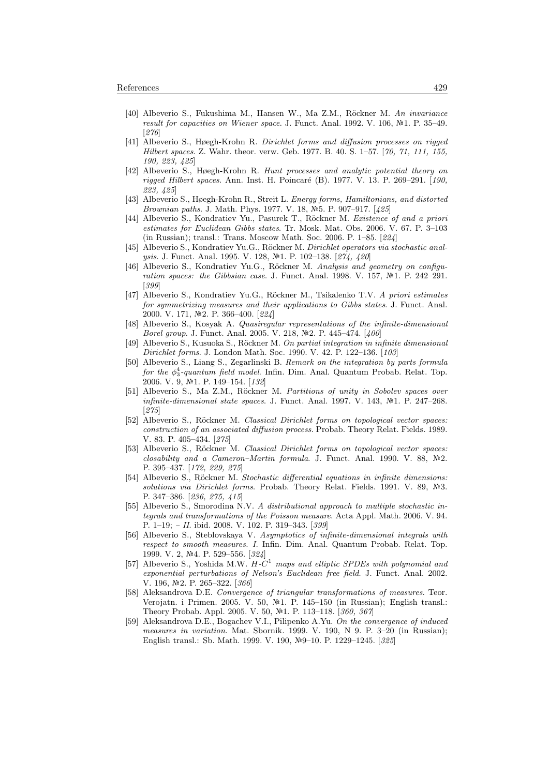- [40] Albeverio S., Fukushima M., Hansen W., Ma Z.M., Röckner M. An invariance result for capacities on Wiener space. J. Funct. Anal. 1992. V. 106,  $\mathbb{N}$ 1. P. 35–49. [276]
- [41] Albeverio S., Høegh-Krohn R. Dirichlet forms and diffusion processes on rigged Hilbert spaces. Z. Wahr. theor. verw. Geb. 1977. B. 40. S. 1–57. [70, 71, 111, 155, 190, 223, 425]
- [42] Albeverio S., Høegh-Krohn R. Hunt processes and analytic potential theory on rigged Hilbert spaces. Ann. Inst. H. Poincaré (B). 1977. V. 13. P. 269–291. [190, 223, 425]
- [43] Albeverio S., Høegh-Krohn R., Streit L. Energy forms, Hamiltonians, and distorted Brownian paths. J. Math. Phys. 1977. V. 18, Nº5. P. 907-917. [425]
- [44] Albeverio S., Kondratiev Yu., Pasurek T., Röckner M. Existence of and a priori estimates for Euclidean Gibbs states. Tr. Mosk. Mat. Obs. 2006. V. 67. P. 3–103 (in Russian); transl.: Trans. Moscow Math. Soc. 2006. P. 1–85. [224]
- [45] Albeverio S., Kondratiev Yu.G., Röckner M. Dirichlet operators via stochastic analysis. J. Funct. Anal. 1995. V. 128, №1. P. 102-138. [274, 420]
- [46] Albeverio S., Kondratiev Yu.G., Röckner M. Analysis and geometry on configuration spaces: the Gibbsian case. J. Funct. Anal. 1998. V. 157,  $N=1$ . P. 242-291. [399]
- [47] Albeverio S., Kondratiev Yu.G., Röckner M., Tsikalenko T.V. A priori estimates for symmetrizing measures and their applications to Gibbs states. J. Funct. Anal. 2000. V. 171, №2. P. 366–400. [224]
- [48] Albeverio S., Kosyak A. Quasiregular representations of the infinite-dimensional Borel group. J. Funct. Anal. 2005. V. 218, №2. P. 445–474. [400]
- [49] Albeverio S., Kusuoka S., Röckner M. On partial integration in infinite dimensional Dirichlet forms. J. London Math. Soc. 1990. V. 42. P. 122–136. [103]
- [50] Albeverio S., Liang S., Zegarlinski B. Remark on the integration by parts formula for the  $\phi_3^4$ -quantum field model. Infin. Dim. Anal. Quantum Probab. Relat. Top. 2006. V. 9, №1. P. 149-154. [132]
- [51] Albeverio S., Ma Z.M., Röckner M. Partitions of unity in Sobolev spaces over infinite-dimensional state spaces. J. Funct. Anal. 1997. V. 143,  $\mathbb{N}^2$ 1. P. 247–268. [275]
- [52] Albeverio S., Röckner M. Classical Dirichlet forms on topological vector spaces: construction of an associated diffusion process. Probab. Theory Relat. Fields. 1989. V. 83. P. 405–434. [275]
- [53] Albeverio S., Röckner M. Classical Dirichlet forms on topological vector spaces: closability and a Cameron-Martin formula. J. Funct. Anal. 1990. V. 88,  $N2$ . P. 395–437. [172, 229, 275]
- [54] Albeverio S., Röckner M. Stochastic differential equations in infinite dimensions: solutions via Dirichlet forms. Probab. Theory Relat. Fields. 1991. V. 89,  $N=3$ . P. 347–386. [236, 275, 415]
- [55] Albeverio S., Smorodina N.V. A distributional approach to multiple stochastic integrals and transformations of the Poisson measure. Acta Appl. Math. 2006. V. 94. P. 1–19; – II. ibid. 2008. V. 102. P. 319–343. [399]
- [56] Albeverio S., Steblovskaya V. Asymptotics of infinite-dimensional integrals with respect to smooth measures. I. Infin. Dim. Anal. Quantum Probab. Relat. Top. 1999. V. 2, №4. P. 529–556. [324]
- [57] Albeverio S., Yoshida M.W.  $H-C^1$  maps and elliptic SPDEs with polynomial and exponential perturbations of Nelson's Euclidean free field. J. Funct. Anal. 2002. V. 196, №2. P. 265-322. [366]
- [58] Aleksandrova D.E. Convergence of triangular transformations of measures. Teor. Verojatn. i Primen. 2005. V. 50,  $\mathbb{N}^2$ 1. P. 145–150 (in Russian); English transl.: Theory Probab. Appl. 2005. V. 50, №1. P. 113-118. [360, 367]
- [59] Aleksandrova D.E., Bogachev V.I., Pilipenko A.Yu. On the convergence of induced measures in variation. Mat. Sbornik. 1999. V. 190, N 9. P. 3–20 (in Russian); English transl.: Sb. Math. 1999. V. 190, №9-10. P. 1229-1245. [325]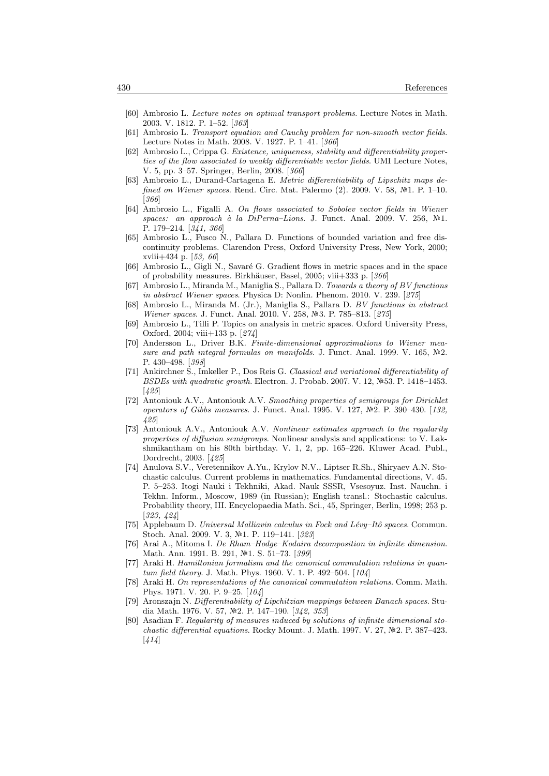- [60] Ambrosio L. Lecture notes on optimal transport problems. Lecture Notes in Math. 2003. V. 1812. P. 1–52. [363]
- [61] Ambrosio L. Transport equation and Cauchy problem for non-smooth vector fields. Lecture Notes in Math. 2008. V. 1927. P. 1–41. [366]
- [62] Ambrosio L., Crippa G. Existence, uniqueness, stability and differentiability properties of the flow associated to weakly differentiable vector fields. UMI Lecture Notes, V. 5, pp. 3–57. Springer, Berlin, 2008. [366]
- [63] Ambrosio L., Durand-Cartagena E. Metric differentiability of Lipschitz maps defined on Wiener spaces. Rend. Circ. Mat. Palermo  $(2)$ . 2009. V. 58,  $\mathbb{N}^2$ 1. P. 1–10. [366]
- [64] Ambrosio L., Figalli A. On flows associated to Sobolev vector fields in Wiener spaces: an approach à la DiPerna–Lions. J. Funct. Anal. 2009. V. 256,  $\mathbb{N}^2$ 1. P. 179–214. [341, 366]
- [65] Ambrosio L., Fusco N., Pallara D. Functions of bounded variation and free discontinuity problems. Clarendon Press, Oxford University Press, New York, 2000; xviii+434 p. [53, 66]
- [66] Ambrosio L., Gigli N., Savaré G. Gradient flows in metric spaces and in the space of probability measures. Birkhäuser, Basel, 2005; viii $+333$  p. [366]
- [67] Ambrosio L., Miranda M., Maniglia S., Pallara D. Towards a theory of BV functions in abstract Wiener spaces. Physica D: Nonlin. Phenom. 2010. V. 239. [275]
- [68] Ambrosio L., Miranda M. (Jr.), Maniglia S., Pallara D. BV functions in abstract Wiener spaces. J. Funct. Anal. 2010. V. 258, Nº3. P. 785-813. [275]
- [69] Ambrosio L., Tilli P. Topics on analysis in metric spaces. Oxford University Press, Oxford, 2004; viii+133 p. [274]
- [70] Andersson L., Driver B.K. Finite-dimensional approximations to Wiener measure and path integral formulas on manifolds. J. Funct. Anal. 1999. V. 165,  $N2$ . P. 430–498. [398]
- [71] Ankirchner S., Imkeller P., Dos Reis G. Classical and variational differentiability of BSDEs with quadratic growth. Electron. J. Probab. 2007. V. 12,  $N=53$ . P. 1418–1453. [425]
- [72] Antoniouk A.V., Antoniouk A.V. Smoothing properties of semigroups for Dirichlet operators of Gibbs measures. J. Funct. Anal. 1995. V. 127, Nº2. P. 390-430. [132, 425]
- [73] Antoniouk A.V., Antoniouk A.V. Nonlinear estimates approach to the regularity properties of diffusion semigroups. Nonlinear analysis and applications: to V. Lakshmikantham on his 80th birthday. V. 1, 2, pp. 165–226. Kluwer Acad. Publ., Dordrecht, 2003. [425]
- [74] Anulova S.V., Veretennikov A.Yu., Krylov N.V., Liptser R.Sh., Shiryaev A.N. Stochastic calculus. Current problems in mathematics. Fundamental directions, V. 45. P. 5–253. Itogi Nauki i Tekhniki, Akad. Nauk SSSR, Vsesoyuz. Inst. Nauchn. i Tekhn. Inform., Moscow, 1989 (in Russian); English transl.: Stochastic calculus. Probability theory, III. Encyclopaedia Math. Sci., 45, Springer, Berlin, 1998; 253 p. [323, 424]
- [75] Applebaum D. Universal Malliavin calculus in Fock and Lévy–Itô spaces. Commun. Stoch. Anal. 2009. V. 3, №1. P. 119–141. [323]
- [76] Arai A., Mitoma I. De Rham–Hodge–Kodaira decomposition in infinite dimension. Math. Ann. 1991. B. 291, №1. S. 51-73. [399]
- [77] Araki H. Hamiltonian formalism and the canonical commutation relations in quantum field theory. J. Math. Phys. 1960. V. 1. P. 492–504. [104]
- [78] Araki H. On representations of the canonical commutation relations. Comm. Math. Phys. 1971. V. 20. P. 9–25. [104]
- [79] Aronszajn N. Differentiability of Lipchitzian mappings between Banach spaces. Studia Math. 1976. V. 57, №2. P. 147-190. [342, 353]
- Asadian F. Regularity of measures induced by solutions of infinite dimensional stochastic differential equations. Rocky Mount. J. Math. 1997. V. 27,  $N<sup>2</sup>$ . P. 387–423.  $[414]$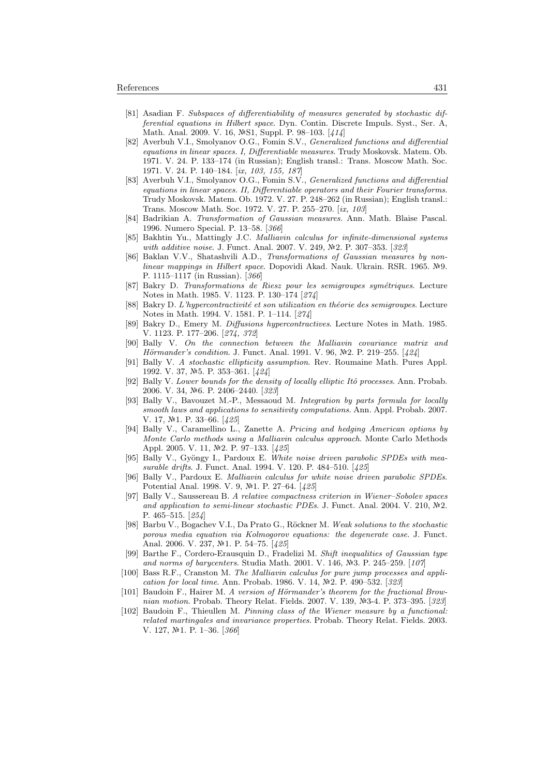- [81] Asadian F. Subspaces of differentiability of measures generated by stochastic differential equations in Hilbert space. Dyn. Contin. Discrete Impuls. Syst., Ser. A, ,<br>Math. Anal. 2009. V. 16, №S1, Suppl. P. 98–103. [414]
- [82] Averbuh V.I., Smolyanov O.G., Fomin S.V., Generalized functions and differential equations in linear spaces. I, Differentiable measures. Trudy Moskovsk. Matem. Ob. 1971. V. 24. P. 133–174 (in Russian); English transl.: Trans. Moscow Math. Soc. 1971. V. 24. P. 140–184. [ix, 103, 155, 187]
- [83] Averbuh V.I., Smolyanov O.G., Fomin S.V., Generalized functions and differential equations in linear spaces. II, Differentiable operators and their Fourier transforms. Trudy Moskovsk. Matem. Ob. 1972. V. 27. P. 248–262 (in Russian); English transl.: Trans. Moscow Math. Soc. 1972. V. 27. P. 255–270. [ix, 103]
- [84] Badrikian A. Transformation of Gaussian measures. Ann. Math. Blaise Pascal. 1996. Numero Special. P. 13–58. [366]
- [85] Bakhtin Yu., Mattingly J.C. Malliavin calculus for infinite-dimensional systems with additive noise. J. Funct. Anal. 2007. V. 249, Nº2. P. 307-353. [323]
- [86] Baklan V.V., Shatashvili A.D., Transformations of Gaussian measures by nonlinear mappings in Hilbert space. Dopovidi Akad. Nauk. Ukrain. RSR. 1965. Nº9. P. 1115–1117 (in Russian). [366]
- [87] Bakry D. Transformations de Riesz pour les semigroupes symétriques. Lecture Notes in Math. 1985. V. 1123. P. 130–174 [274]
- [88] Bakry D. L'hypercontractivité et son utilization en théorie des semigroupes. Lecture Notes in Math. 1994. V. 1581. P. 1–114. [274]
- [89] Bakry D., Emery M. Diffusions hypercontractives. Lecture Notes in Math. 1985. V. 1123. P. 177–206. [274, 372]
- [90] Bally V. On the connection between the Malliavin covariance matrix and *Hörmander's condition.* J. Funct. Anal. 1991. V. 96,  $N=2$ . P. 219–255. [424]
- [91] Bally V. A stochastic ellipticity assumption. Rev. Roumaine Math. Pures Appl. 1992. V. 37, №5. P. 353-361. [424]
- [92] Bally V. Lower bounds for the density of locally elliptic Itô processes. Ann. Probab. 2006. V. 34, №6. P. 2406-2440. [323]
- [93] Bally V., Bavouzet M.-P., Messaoud M. Integration by parts formula for locally smooth laws and applications to sensitivity computations. Ann. Appl. Probab. 2007. V. 17, No<sub>1</sub>. P. 33-66. [425]
- [94] Bally V., Caramellino L., Zanette A. Pricing and hedging American options by Monte Carlo methods using a Malliavin calculus approach. Monte Carlo Methods Appl. 2005. V. 11, №2. P. 97-133. [425]
- [95] Bally V., Gyöngy I., Pardoux E. White noise driven parabolic SPDEs with measurable drifts. J. Funct. Anal. 1994. V. 120. P. 484–510. [425]
- [96] Bally V., Pardoux E. Malliavin calculus for white noise driven parabolic SPDEs. Potential Anal. 1998. V. 9, №1. P. 27–64. [425]
- [97] Bally V., Saussereau B. A relative compactness criterion in Wiener–Sobolev spaces and application to semi-linear stochastic PDEs. J. Funct. Anal. 2004. V. 210,  $\mathbb{N}^2$ . P. 465–515. [254]
- [98] Barbu V., Bogachev V.I., Da Prato G., Röckner M. Weak solutions to the stochastic porous media equation via Kolmogorov equations: the degenerate case. J. Funct. Anal. 2006. V. 237,  $\mathbb{N}$ 1. P. 54–75. [425]
- [99] Barthe F., Cordero-Erausquin D., Fradelizi M. Shift inequalities of Gaussian type and norms of barycenters. Studia Math. 2001. V. 146,  $\mathbb{N}^2$ . P. 245–259. [107]
- [100] Bass R.F., Cranston M. The Malliavin calculus for pure jump processes and application for local time. Ann. Probab. 1986. V. 14,  $N<sup>2</sup>$ . P. 490–532. [323]
- [101] Baudoin F., Hairer M. A version of Hörmander's theorem for the fractional Brownian motion. Probab. Theory Relat. Fields. 2007. V. 139, Nº3-4. P. 373-395. [323]
- [102] Baudoin F., Thieullen M. Pinning class of the Wiener measure by a functional: related martingales and invariance properties. Probab. Theory Relat. Fields. 2003. V. 127,  $N<sup>2</sup>1$ . P. 1-36. [366]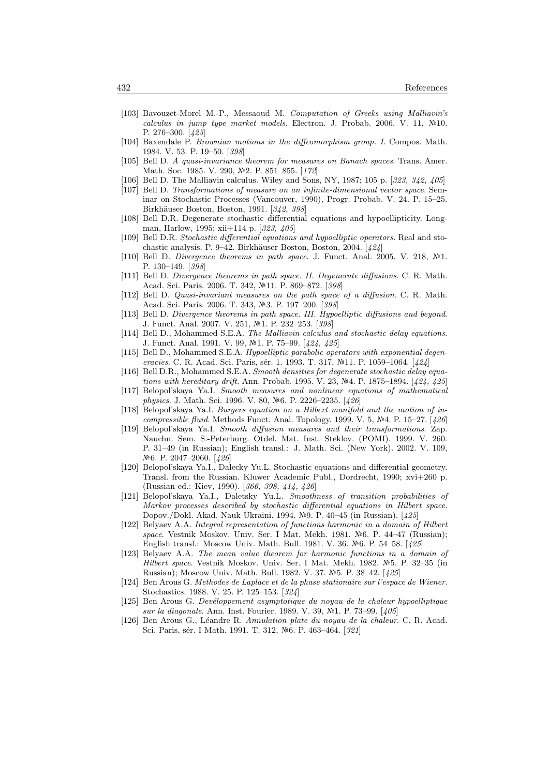- [103] Bavouzet-Morel M.-P., Messaoud M. Computation of Greeks using Malliavin's calculus in jump type market models. Electron. J. Probab. 2006. V. 11,  $\mathbb{N}^2$ 10. P. 276–300. [425]
- [104] Baxendale P. Brownian motions in the diffeomorphism group. I. Compos. Math. 1984. V. 53. P. 19–50. [398]
- [105] Bell D. A quasi-invariance theorem for measures on Banach spaces. Trans. Amer. Math. Soc. 1985. V. 290, №2. P. 851-855. [172]
- [106] Bell D. The Malliavin calculus. Wiley and Sons, NY, 1987; 105 p. [323, 342, 405]
- [107] Bell D. Transformations of measure on an infinite-dimensional vector space. Seminar on Stochastic Processes (Vancouver, 1990), Progr. Probab. V. 24. P. 15–25. Birkhäuser Boston, Boston, 1991. [342, 398]
- [108] Bell D.R. Degenerate stochastic differential equations and hypoellipticity. Longman, Harlow, 1995; xii+114 p. [323, 405]
- [109] Bell D.R. Stochastic differential equations and hypoelliptic operators. Real and stochastic analysis. P. 9–42. Birkhäuser Boston, Boston, 2004. [424]
- [110] Bell D. Divergence theorems in path space. J. Funct. Anal. 2005. V. 218,  $N<sup>1</sup>$ . P. 130–149. [398]
- [111] Bell D. Divergence theorems in path space. II. Degenerate diffusions. C. R. Math. Acad. Sci. Paris. 2006. T. 342, Nº11. P. 869-872. [398]
- [112] Bell D. Quasi-invariant measures on the path space of a diffusion. C. R. Math. Acad. Sci. Paris. 2006. T. 343, №3. P. 197-200. [398]
- [113] Bell D. Divergence theorems in path space. III. Hypoelliptic diffusions and beyond. J. Funct. Anal. 2007. V. 251, №1. P. 232-253. [398]
- [114] Bell D., Mohammed S.E.A. The Malliavin calculus and stochastic delay equations. J. Funct. Anal. 1991. V. 99, №1. P. 75–99. [424, 425]
- [115] Bell D., Mohammed S.E.A. Hypoelliptic parabolic operators with exponential degeneracies. C. R. Acad. Sci. Paris, sér. 1. 1993. T. 317, Nº11. P. 1059-1064. [424]
- [116] Bell D.R., Mohammed S.E.A. Smooth densities for degenerate stochastic delay equations with hereditary drift. Ann. Probab. 1995. V. 23, Nº4. P. 1875–1894. [424, 425]
- [117] Belopol'skaya Ya.I. Smooth measures and nonlinear equations of mathematical physics. J. Math. Sci. 1996. V. 80, Nº6. P. 2226-2235. [426]
- [118] Belopol'skaya Ya.I. Burgers equation on a Hilbert manifold and the motion of incompressible fluid. Methods Funct. Anal. Topology. 1999. V. 5,  $N<sup>2</sup>4$ . P. 15–27. [426]
- [119] Belopol'skaya Ya.I. Smooth diffusion measures and their transformations. Zap. Nauchn. Sem. S.-Peterburg. Otdel. Mat. Inst. Steklov. (POMI). 1999. V. 260. P. 31–49 (in Russian); English transl.: J. Math. Sci. (New York). 2002. V. 109, N<sup>o</sup>6. P. 2047–2060. [426]
- [120] Belopol'skaya Ya.I., Dalecky Yu.L. Stochastic equations and differential geometry. Transl. from the Russian. Kluwer Academic Publ., Dordrecht, 1990; xvi+260 p. (Russian ed.: Kiev, 1990). [366, 398, 414, 426]
- [121] Belopol'skaya Ya.I., Daletsky Yu.L. Smoothness of transition probabilities of Markov processes described by stochastic differential equations in Hilbert space. Dopov./Dokl. Akad. Nauk Ukraini. 1994. №9. P. 40–45 (in Russian). [425]
- [122] Belyaev A.A. Integral representation of functions harmonic in a domain of Hilbert space. Vestnik Moskov. Univ. Ser. I Mat. Mekh. 1981.  $N<sup>2</sup>6$ . P. 44–47 (Russian); English transl.: Moscow Univ. Math. Bull. 1981. V. 36. №6. P. 54–58. [425]
- [123] Belyaev A.A. The mean value theorem for harmonic functions in a domain of Hilbert space. Vestnik Moskov. Univ. Ser. I Mat. Mekh. 1982.  $N=5$ . P. 32-35 (in Russian); Moscow Univ. Math. Bull. 1982. V. 37. Nº5. P. 38-42. [425]
- [124] Ben Arous G. Methodes de Laplace et de la phase stationaire sur l'espace de Wiener. Stochastics. 1988. V. 25. P. 125–153. [324]
- [125] Ben Arous G. Devéloppement asymptotique du noyau de la chaleur hypoelliptique sur la diagonale. Ann. Inst. Fourier. 1989. V. 39, Nº1. P. 73-99. [405]
- [126] Ben Arous G., Léandre R. Annulation plate du noyau de la chaleur. C. R. Acad. Sci. Paris, sér. I Math. 1991. T. 312, №6. P. 463-464. [321]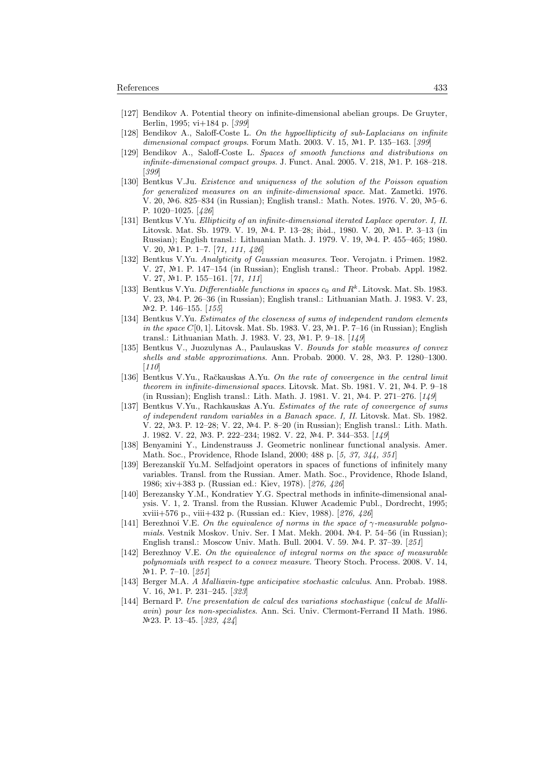- [127] Bendikov A. Potential theory on infinite-dimensional abelian groups. De Gruyter, Berlin, 1995; vi+184 p. [399]
- [128] Bendikov A., Saloff-Coste L. On the hypoellipticity of sub-Laplacians on infinite dimensional compact groups. Forum Math. 2003. V. 15,  $N<sup>2</sup>1$ . P. 135–163. [399]
- [129] Bendikov A., Saloff-Coste L. Spaces of smooth functions and distributions on infinite-dimensional compact groups. J. Funct. Anal. 2005. V. 218,  $N<sup>2</sup>1$ . P. 168–218. [399]
- [130] Bentkus V.Ju. Existence and uniqueness of the solution of the Poisson equation for generalized measures on an infinite-dimensional space. Mat. Zametki. 1976. V. 20,  $\mathbb{N}$ -6. 825–834 (in Russian); English transl.: Math. Notes. 1976. V. 20,  $\mathbb{N}$ -5–6. P. 1020–1025. [426]
- [131] Bentkus V.Yu. Ellipticity of an infinite-dimensional iterated Laplace operator. I, II. Litovsk. Mat. Sb. 1979. V. 19, №4. P. 13–28; ibid., 1980. V. 20, №1. P. 3–13 (in Russian); English transl.: Lithuanian Math. J. 1979. V. 19, Nº4. P. 455–465; 1980. V. 20, №1. P. 1–7. [71, 111, 426]
- [132] Bentkus V.Yu. Analyticity of Gaussian measures. Teor. Verojatn. i Primen. 1982. V. 27,  $\mathbb{N}^1$ . P. 147–154 (in Russian); English transl.: Theor. Probab. Appl. 1982. V. 27, №1. P. 155–161. [71, 111]
- [133] Bentkus V.Yu. Differentiable functions in spaces  $c_0$  and  $R^k$ . Litovsk. Mat. Sb. 1983. V. 23, 4. P. 26–36 (in Russian); English transl.: Lithuanian Math. J. 1983. V. 23, N<sup>o</sup>2. P. 146–155. [155]
- [134] Bentkus V.Yu. Estimates of the closeness of sums of independent random elements in the space  $C[0, 1]$ . Litovsk. Mat. Sb. 1983. V. 23, Nº1. P. 7-16 (in Russian); English transl.: Lithuanian Math. J. 1983. V. 23,  $N<sup>2</sup>1$ . P. 9–18. [149]
- [135] Bentkus V., Juozulynas A., Paulauskas V. Bounds for stable measures of convex shells and stable approximations. Ann. Probab. 2000. V. 28,  $N=3$ . P. 1280–1300.  $[110]$
- [136] Bentkus V.Yu., Račkauskas A.Yu. On the rate of convergence in the central limit theorem in infinite-dimensional spaces. Litovsk. Mat. Sb. 1981. V. 21,  $\mathcal{N}$ 24. P. 9–18 (in Russian); English transl.: Lith. Math. J. 1981. V. 21,  $\mathbb{N}^2 4$ . P. 271–276. [149]
- [137] Bentkus V.Yu., Rachkauskas A.Yu. Estimates of the rate of convergence of sums of independent random variables in a Banach space. I, II. Litovsk. Mat. Sb. 1982. V. 22, №3. P. 12–28; V. 22, №4. P. 8–20 (in Russian); English transl.: Lith. Math. J. 1982. V. 22, №3. P. 222–234; 1982. V. 22, №4. P. 344–353. [149]
- [138] Benyamini Y., Lindenstrauss J. Geometric nonlinear functional analysis. Amer. Math. Soc., Providence, Rhode Island, 2000; 488 p. [5, 37, 344, 351]
- [139] Berezanskiĭ Yu.M. Selfadjoint operators in spaces of functions of infinitely many variables. Transl. from the Russian. Amer. Math. Soc., Providence, Rhode Island, 1986; xiv+383 p. (Russian ed.: Kiev, 1978). [276, 426]
- [140] Berezansky Y.M., Kondratiev Y.G. Spectral methods in infinite-dimensional analysis. V. 1, 2. Transl. from the Russian. Kluwer Academic Publ., Dordrecht, 1995; xviii+576 p., viii+432 p. (Russian ed.: Kiev, 1988). [276, 426]
- [141] Berezhnoi V.E. On the equivalence of norms in the space of  $\gamma$ -measurable polynomials. Vestnik Moskov. Univ. Ser. I Mat. Mekh. 2004.  $N<sup>2</sup>4$ . P. 54–56 (in Russian); English transl.: Moscow Univ. Math. Bull. 2004. V. 59. №4. P. 37–39. [251]
- [142] Berezhnoy V.E. On the equivalence of integral norms on the space of measurable polynomials with respect to a convex measure. Theory Stoch. Process. 2008. V. 14,  $N<sup>2</sup>1.$  P. 7–10. [251]
- [143] Berger M.A. A Malliavin-type anticipative stochastic calculus. Ann. Probab. 1988. V. 16, №1. P. 231-245. [323]
- [144] Bernard P. Une presentation de calcul des variations stochastique (calcul de Malliavin) pour les non-specialistes. Ann. Sci. Univ. Clermont-Ferrand II Math. 1986. 23. P. 13–45. [323, 424]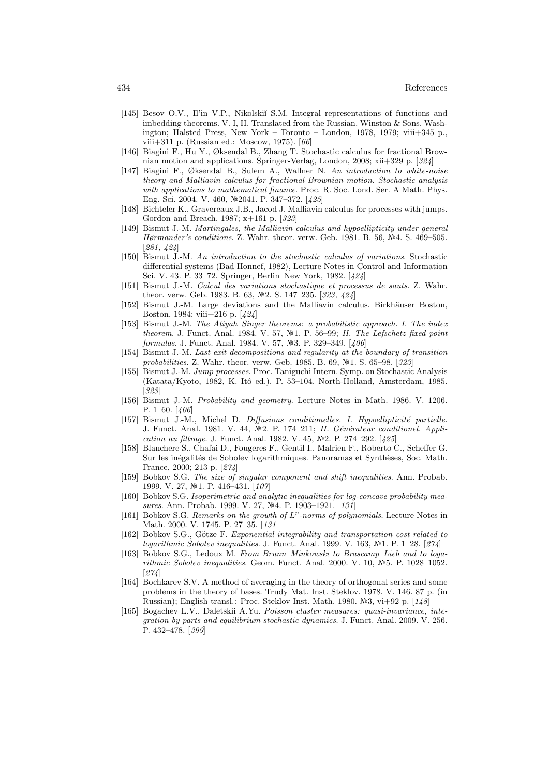- [145] Besov O.V., Il'in V.P., Nikolskiı̆ S.M. Integral representations of functions and imbedding theorems. V. I, II. Translated from the Russian. Winston & Sons, Washington; Halsted Press, New York – Toronto – London, 1978, 1979; viii+345 p., viii+311 p. (Russian ed.: Moscow, 1975). [66]
- [146] Biagini F., Hu Y., Øksendal B., Zhang T. Stochastic calculus for fractional Brownian motion and applications. Springer-Verlag, London, 2008; xii+329 p. [324]
- [147] Biagini F., Øksendal B., Sulem A., Wallner N. An introduction to white-noise theory and Malliavin calculus for fractional Brownian motion. Stochastic analysis with applications to mathematical finance. Proc. R. Soc. Lond. Ser. A Math. Phys. Eng. Sci. 2004. V. 460, 2041. P. 347–372. [425]
- [148] Bichteler K., Gravereaux J.B., Jacod J. Malliavin calculus for processes with jumps. Gordon and Breach, 1987; x+161 p. [323]
- [149] Bismut J.-M. Martingales, the Malliavin calculus and hypoellipticity under general Hørmander's conditions. Z. Wahr. theor. verw. Geb. 1981. B. 56, Nº4. S. 469-505. [281, 424]
- [150] Bismut J.-M. An introduction to the stochastic calculus of variations. Stochastic differential systems (Bad Honnef, 1982), Lecture Notes in Control and Information Sci. V. 43. P. 33–72. Springer, Berlin–New York, 1982. [424]
- [151] Bismut J.-M. Calcul des variations stochastique et processus de sauts. Z. Wahr. theor. verw. Geb. 1983. B. 63, №2. S. 147–235. [323, 424]
- [152] Bismut J.-M. Large deviations and the Malliavin calculus. Birkhäuser Boston, Boston, 1984; viii+216 p. [424]
- [153] Bismut J.-M. The Atiyah–Singer theorems: a probabilistic approach. I. The index theorem. J. Funct. Anal. 1984. V. 57,  $N<sup>2</sup>1$ . P. 56–99; II. The Lefschetz fixed point formulas. J. Funct. Anal. 1984. V. 57,  $N=329-349$ . [406]
- [154] Bismut J.-M. Last exit decompositions and regularity at the boundary of transition probabilities. Z. Wahr. theor. verw. Geb. 1985. B. 69,  $\mathbb{N}$ 1. S. 65–98. [323]
- [155] Bismut J.-M. Jump processes. Proc. Taniguchi Intern. Symp. on Stochastic Analysis (Katata/Kyoto, 1982, K. Itô ed.), P. 53-104. North-Holland, Amsterdam, 1985. [323]
- [156] Bismut J.-M. Probability and geometry. Lecture Notes in Math. 1986. V. 1206. P. 1–60. [406]
- [157] Bismut J.-M., Michel D. Diffusions conditionelles. I. Hypoellipticité partielle. J. Funct. Anal. 1981. V. 44, Nº2. P. 174-211; II. Générateur conditionel. Application au filtrage. J. Funct. Anal. 1982. V. 45,  $N<sup>2</sup>$ . P. 274–292. [425]
- [158] Blanchere S., Chafai D., Fougeres F., Gentil I., Malrien F., Roberto C., Scheffer G. Sur les inégalités de Sobolev logarithmiques. Panoramas et Synthèses, Soc. Math. France, 2000; 213 p. [274]
- [159] Bobkov S.G. The size of singular component and shift inequalities. Ann. Probab. 1999. V. 27, №1. P. 416-431. [107]
- [160] Bobkov S.G. Isoperimetric and analytic inequalities for log-concave probability measures. Ann. Probab. 1999. V. 27, №4. P. 1903–1921. [131]
- [161] Bobkov S.G. Remarks on the growth of  $L^p$ -norms of polynomials. Lecture Notes in Math. 2000. V. 1745. P. 27–35. [131]
- [162] Bobkov S.G., Götze F. Exponential integrability and transportation cost related to logarithmic Sobolev inequalities. J. Funct. Anal. 1999. V. 163,  $N<sup>2</sup>1$ . P. 1–28. [274]
- [163] Bobkov S.G., Ledoux M. From Brunn–Minkowski to Brascamp–Lieb and to logarithmic Sobolev inequalities. Geom. Funct. Anal. 2000. V. 10,  $N=5$ . P. 1028–1052. [274]
- [164] Bochkarev S.V. A method of averaging in the theory of orthogonal series and some problems in the theory of bases. Trudy Mat. Inst. Steklov. 1978. V. 146. 87 p. (in Russian); English transl.: Proc. Steklov Inst. Math. 1980. Nº3, vi+92 p. [148]
- [165] Bogachev L.V., Daletskii A.Yu. Poisson cluster measures: quasi-invariance, integration by parts and equilibrium stochastic dynamics. J. Funct. Anal. 2009. V. 256. P. 432–478. [399]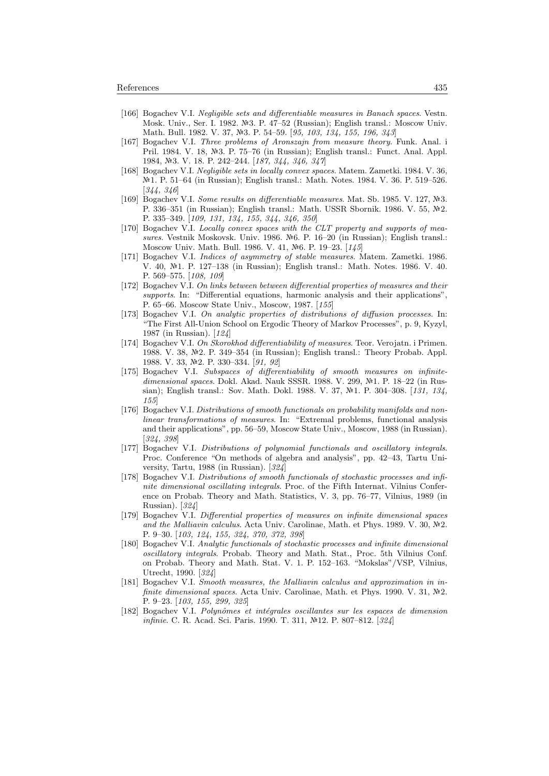- [166] Bogachev V.I. Negligible sets and differentiable measures in Banach spaces. Vestn. Mosk. Univ., Ser. I. 1982. Nº3. P. 47–52 (Russian); English transl.: Moscow Univ. Math. Bull. 1982. V. 37, Nº3. P. 54-59. [95, 103, 134, 155, 196, 343]
- [167] Bogachev V.I. Three problems of Aronszajn from measure theory. Funk. Anal. i Pril. 1984. V. 18, №3. P. 75–76 (in Russian); English transl.: Funct. Anal. Appl. 1984, №3. V. 18. P. 242–244. [187, 344, 346, 347]
- [168] Bogachev V.I. Negligible sets in locally convex spaces. Matem. Zametki. 1984. V. 36, 1. P. 51–64 (in Russian); English transl.: Math. Notes. 1984. V. 36. P. 519–526. [344, 346]
- [169] Bogachev V.I. Some results on differentiable measures. Mat. Sb. 1985. V. 127,  $N=3$ . P. 336–351 (in Russian); English transl.: Math. USSR Sbornik. 1986. V. 55,  $N<sup>2</sup>$ . P. 335–349. [109, 131, 134, 155, 344, 346, 350]
- [170] Bogachev V.I. Locally convex spaces with the CLT property and supports of measures. Vestnik Moskovsk. Univ. 1986.  $N<sup>6</sup>$ . P. 16–20 (in Russian); English transl.: Moscow Univ. Math. Bull. 1986. V. 41, Nº6. P. 19-23. [145]
- [171] Bogachev V.I. Indices of asymmetry of stable measures. Matem. Zametki. 1986. V. 40, №1. P. 127-138 (in Russian); English transl.: Math. Notes. 1986. V. 40. P. 569–575. [108, 109]
- [172] Bogachev V.I. On links between between differential properties of measures and their supports. In: "Differential equations, harmonic analysis and their applications". P. 65–66. Moscow State Univ., Moscow, 1987. [155]
- [173] Bogachev V.I. On analytic properties of distributions of diffusion processes. In: "The First All-Union School on Ergodic Theory of Markov Processes", p. 9, Kyzyl, 1987 (in Russian). [124]
- [174] Bogachev V.I. On Skorokhod differentiability of measures. Teor. Verojatn. i Primen. 1988. V. 38, 2. P. 349–354 (in Russian); English transl.: Theory Probab. Appl. 1988. V. 33, №2. P. 330–334. [91, 92]
- [175] Bogachev V.I. Subspaces of differentiability of smooth measures on infinitedimensional spaces. Dokl. Akad. Nauk SSSR. 1988. V. 299, №1. P. 18–22 (in Russian); English transl.: Sov. Math. Dokl. 1988. V. 37, Nº1. P. 304-308. [131, 134, 155]
- [176] Bogachev V.I. Distributions of smooth functionals on probability manifolds and nonlinear transformations of measures. In: "Extremal problems, functional analysis and their applications", pp. 56–59, Moscow State Univ., Moscow, 1988 (in Russian). [324, 398]
- [177] Bogachev V.I. Distributions of polynomial functionals and oscillatory integrals. Proc. Conference "On methods of algebra and analysis", pp. 42–43, Tartu University, Tartu, 1988 (in Russian). [324]
- [178] Bogachev V.I. Distributions of smooth functionals of stochastic processes and infinite dimensional oscillating integrals. Proc. of the Fifth Internat. Vilnius Conference on Probab. Theory and Math. Statistics, V. 3, pp. 76–77, Vilnius, 1989 (in Russian). [324]
- [179] Bogachev V.I. Differential properties of measures on infinite dimensional spaces and the Malliavin calculus. Acta Univ. Carolinae, Math. et Phys. 1989. V. 30,  $N<sup>2</sup>$ . P. 9–30. [103, 124, 155, 324, 370, 372, 398]
- [180] Bogachev V.I. Analytic functionals of stochastic processes and infinite dimensional oscillatory integrals. Probab. Theory and Math. Stat., Proc. 5th Vilnius Conf. on Probab. Theory and Math. Stat. V. 1. P. 152–163. "Mokslas"/VSP, Vilnius, Utrecht, 1990. [324]
- [181] Bogachev V.I. Smooth measures, the Malliavin calculus and approximation in infinite dimensional spaces. Acta Univ. Carolinae, Math. et Phys. 1990. V. 31,  $\mathbb{N}^2$ . P. 9–23. [103, 155, 299, 325]
- [182] Bogachev V.I. Polynômes et intégrales oscillantes sur les espaces de dimension infinie. C. R. Acad. Sci. Paris. 1990. T. 311, №12. P. 807-812. [324]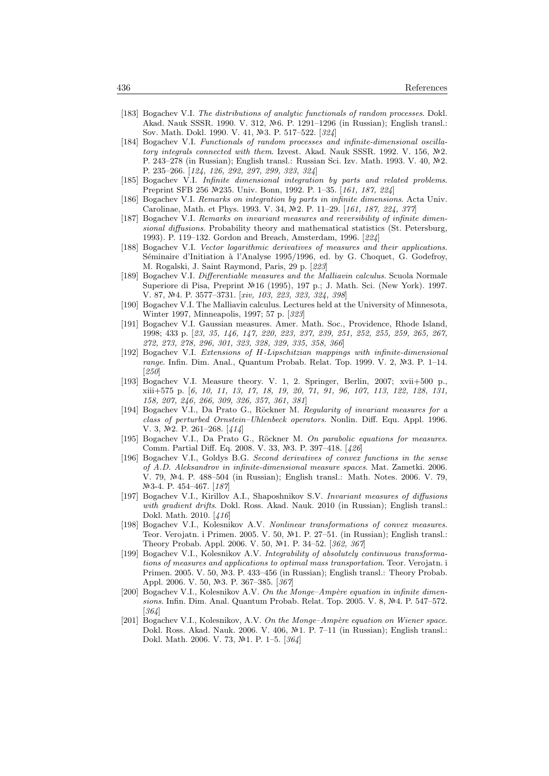- [183] Bogachev V.I. The distributions of analytic functionals of random processes. Dokl. Akad. Nauk SSSR. 1990. V. 312, №6. P. 1291–1296 (in Russian); English transl.: Sov. Math. Dokl. 1990. V. 41, Nº3. P. 517-522. [324]
- [184] Bogachev V.I. Functionals of random processes and infinite-dimensional oscillatory integrals connected with them. Izvest. Akad. Nauk SSSR. 1992. V. 156,  $N<sup>2</sup>2$ . P. 243–278 (in Russian); English transl.: Russian Sci. Izv. Math. 1993. V. 40, №2. P. 235–266. [124, 126, 292, 297, 299, 323, 324]
- [185] Bogachev V.I. Infinite dimensional integration by parts and related problems. Preprint SFB 256 Nº235. Univ. Bonn, 1992. P. 1-35. [161, 187, 224]
- [186] Bogachev V.I. Remarks on integration by parts in infinite dimensions. Acta Univ. Carolinae, Math. et Phys. 1993. V. 34, №2. P. 11–29. [161, 187, 224, 377]
- [187] Bogachev V.I. Remarks on invariant measures and reversibility of infinite dimensional diffusions. Probability theory and mathematical statistics (St. Petersburg, 1993). P. 119–132. Gordon and Breach, Amsterdam, 1996. [224]
- [188] Bogachev V.I. Vector logarithmic derivatives of measures and their applications. Séminaire d'Initiation à l'Analyse 1995/1996, ed. by G. Choquet, G. Godefroy, M. Rogalski, J. Saint Raymond, Paris, 29 p. [223]
- [189] Bogachev V.I. Differentiable measures and the Malliavin calculus. Scuola Normale Superiore di Pisa, Preprint №16 (1995), 197 p.; J. Math. Sci. (New York). 1997. V. 87, №4. P. 3577-3731. [xiv, 103, 223, 323, 324, 398]
- [190] Bogachev V.I. The Malliavin calculus. Lectures held at the University of Minnesota, Winter 1997, Minneapolis, 1997; 57 p. [323]
- [191] Bogachev V.I. Gaussian measures. Amer. Math. Soc., Providence, Rhode Island, 1998; 433 p. [23, 35, 146, 147, 220, 223, 237, 239, 251, 252, 255, 259, 265, 267, 272, 273, 278, 296, 301, 323, 328, 329, 335, 358, 366]
- [192] Bogachev V.I. Extensions of H-Lipschitzian mappings with infinite-dimensional range. Infin. Dim. Anal., Quantum Probab. Relat. Top. 1999. V. 2,  $N-3$ . P. 1–14. [250]
- [193] Bogachev V.I. Measure theory. V. 1, 2. Springer, Berlin, 2007; xvii+500 p., xiii+575 p. [6, 10, 11, 13, 17, 18, 19, 20, 71, 91, 96, 107, 113, 122, 128, 131, 158, 207, 246, 266, 309, 326, 357, 361, 381]
- [194] Bogachev V.I., Da Prato G., Röckner M. Regularity of invariant measures for a class of perturbed Ornstein–Uhlenbeck operators. Nonlin. Diff. Equ. Appl. 1996. V. 3,  $\mathbb{N}2$ . P. 261-268. [414]
- [195] Bogachev V.I., Da Prato G., Röckner M. On parabolic equations for measures. Comm. Partial Diff. Eq. 2008. V. 33, №3. P. 397-418. [426]
- [196] Bogachev V.I., Goldys B.G. Second derivatives of convex functions in the sense of A.D. Aleksandrov in infinite-dimensional measure spaces. Mat. Zametki. 2006. V. 79, №4. P. 488–504 (in Russian); English transl.: Math. Notes. 2006. V. 79, Nº3-4. P. 454-467. [187]
- [197] Bogachev V.I., Kirillov A.I., Shaposhnikov S.V. Invariant measures of diffusions with gradient drifts. Dokl. Ross. Akad. Nauk. 2010 (in Russian); English transl.: Dokl. Math. 2010. [416]
- [198] Bogachev V.I., Kolesnikov A.V. Nonlinear transformations of convex measures. Teor. Verojatn. i Primen. 2005. V. 50, №1. P. 27–51. (in Russian); English transl.: Theory Probab. Appl. 2006. V. 50, №1. P. 34-52. [362, 367]
- [199] Bogachev V.I., Kolesnikov A.V. Integrability of absolutely continuous transformations of measures and applications to optimal mass transportation. Teor. Verojatn. i Primen. 2005. V. 50, Nº3. P. 433-456 (in Russian); English transl.: Theory Probab. Appl. 2006. V. 50, №3. P. 367-385. [367]
- [200] Bogachev V.I., Kolesnikov A.V. On the Monge–Ampère equation in infinite dimensions. Infin. Dim. Anal. Quantum Probab. Relat. Top. 2005. V. 8,  $N<sup>2</sup>4$ . P. 547–572. [364]
- [201] Bogachev V.I., Kolesnikov, A.V. On the Monge-Ampère equation on Wiener space. Dokl. Ross. Akad. Nauk. 2006. V. 406, №1. P. 7–11 (in Russian); English transl.: Dokl. Math. 2006. V. 73, №1. P. 1-5. [364]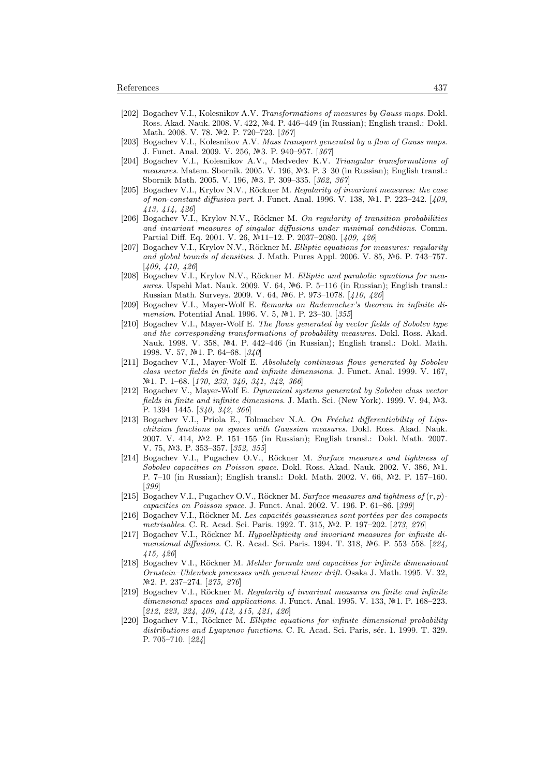- [202] Bogachev V.I., Kolesnikov A.V. Transformations of measures by Gauss maps. Dokl. Ross. Akad. Nauk. 2008. V. 422, №4. P. 446–449 (in Russian); English transl.: Dokl. Math. 2008. V. 78. Nº2. P. 720-723. [367]
- [203] Bogachev V.I., Kolesnikov A.V. Mass transport generated by a flow of Gauss maps. J. Funct. Anal. 2009. V. 256, №3. P. 940–957. [367]
- [204] Bogachev V.I., Kolesnikov A.V., Medvedev K.V. Triangular transformations of measures. Matem. Sbornik. 2005. V. 196,  $\mathbb{N}$ 3. P. 3–30 (in Russian); English transl.: Sbornik Math. 2005. V. 196, №3. P. 309-335. [362, 367]
- [205] Bogachev V.I., Krylov N.V., Röckner M. Regularity of invariant measures: the case of non-constant diffusion part. J. Funct. Anal. 1996. V. 138, №1. P. 223-242. [409, 413, 414, 426]
- [206] Bogachev V.I., Krylov N.V., Röckner M. On regularity of transition probabilities and invariant measures of singular diffusions under minimal conditions. Comm. Partial Diff. Eq. 2001. V. 26, №11–12. P. 2037–2080. [409, 426]
- [207] Bogachev V.I., Krylov N.V., Röckner M. Elliptic equations for measures: regularity and global bounds of densities. J. Math. Pures Appl. 2006. V. 85, Nº6. P. 743–757. [409, 410, 426]
- [208] Bogachev V.I., Krylov N.V., Röckner M. Elliptic and parabolic equations for measures. Uspehi Mat. Nauk. 2009. V. 64,  $\mathbb{N}^6$ . P. 5–116 (in Russian); English transl.: Russian Math. Surveys. 2009. V. 64, №6. P. 973-1078. [410, 426]
- [209] Bogachev V.I., Mayer-Wolf E. Remarks on Rademacher's theorem in infinite dimension. Potential Anal. 1996. V. 5, №1. P. 23-30. [355]
- [210] Bogachev V.I., Mayer-Wolf E. The flows generated by vector fields of Sobolev type and the corresponding transformations of probability measures. Dokl. Ross. Akad. Nauk. 1998. V. 358, Nº4. P. 442–446 (in Russian); English transl.: Dokl. Math. 1998. V. 57, №1. P. 64–68. [340]
- [211] Bogachev V.I., Mayer-Wolf E. Absolutely continuous flows generated by Sobolev class vector fields in finite and infinite dimensions. J. Funct. Anal. 1999. V. 167, №1. P. 1–68. [170, 233, 340, 341, 342, 366]
- [212] Bogachev V., Mayer-Wolf E. Dynamical systems generated by Sobolev class vector fields in finite and infinite dimensions. J. Math. Sci. (New York). 1999. V. 94,  $N=3$ . P. 1394–1445. [340, 342, 366]
- [213] Bogachev V.I., Priola E., Tolmachev N.A. On Fréchet differentiability of Lipschitzian functions on spaces with Gaussian measures. Dokl. Ross. Akad. Nauk. 2007. V. 414, №2. P. 151-155 (in Russian); English transl.: Dokl. Math. 2007. V. 75, №3. P. 353-357. [352, 355]
- [214] Bogachev V.I., Pugachev O.V., Röckner M. Surface measures and tightness of Sobolev capacities on Poisson space. Dokl. Ross. Akad. Nauk. 2002. V. 386,  $\mathbb{N}^2$ 1. P. 7-10 (in Russian); English transl.: Dokl. Math. 2002. V. 66, №2. P. 157-160. [399]
- [215] Bogachev V.I., Pugachev O.V., Röckner M. Surface measures and tightness of  $(r, p)$ capacities on Poisson space. J. Funct. Anal. 2002. V. 196. P. 61–86. [399]
- [216] Bogachev V.I., Röckner M. Les capacités gaussiennes sont portées par des compacts metrisables. C. R. Acad. Sci. Paris. 1992. T. 315, Nº2. P. 197-202. [273, 276]
- [217] Bogachev V.I., Röckner M. Hypoellipticity and invariant measures for infinite dimensional diffusions. C. R. Acad. Sci. Paris. 1994. T. 318,  $N<sup>2</sup>6$ . P. 553–558. [224, 415, 426]
- [218] Bogachev V.I., Röckner M. Mehler formula and capacities for infinite dimensional Ornstein–Uhlenbeck processes with general linear drift. Osaka J. Math. 1995. V. 32, 2. P. 237–274. [275, 276]
- [219] Bogachev V.I., Röckner M. Regularity of invariant measures on finite and infinite dimensional spaces and applications. J. Funct. Anal. 1995. V. 133,  $N<sup>2</sup>1$ . P. 168–223. [212, 223, 224, 409, 412, 415, 421, 426]
- [220] Bogachev V.I., Röckner M. Elliptic equations for infinite dimensional probability distributions and Lyapunov functions. C. R. Acad. Sci. Paris, sér. 1. 1999. T. 329. P. 705–710. [224]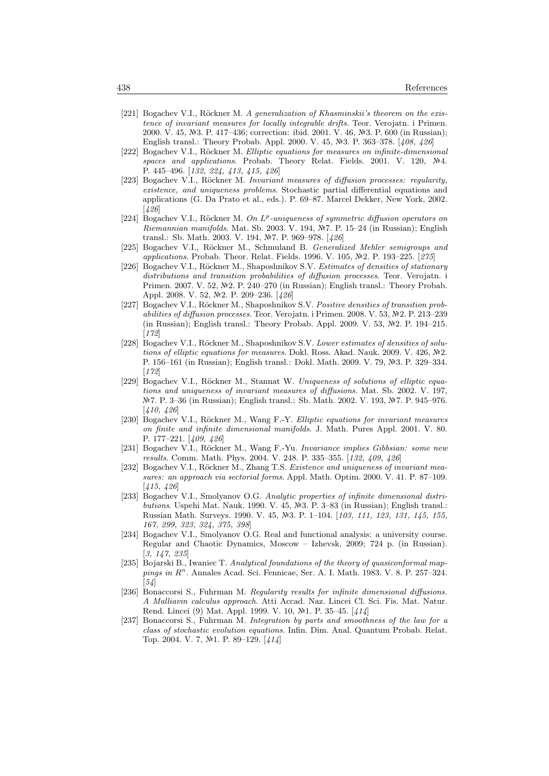- [221] Bogachev V.I., Röckner M. A generalization of Khasminskii's theorem on the existence of invariant measures for locally integrable drifts. Teor. Verojatn. i Primen. 2000. V. 45, №3. P. 417–436; correction: ibid. 2001. V. 46, №3. P. 600 (in Russian); English transl.: Theory Probab. Appl. 2000. V. 45, №3. P. 363–378. [408, 426]
- [222] Bogachev V.I., Röckner M. Elliptic equations for measures on infinite-dimensional spaces and applications. Probab. Theory Relat. Fields. 2001. V. 120,  $\mathbb{N}4$ . P. 445–496. [132, 224, 413, 415, 426]
- [223] Bogachev V.I., Röckner M. Invariant measures of diffusion processes: regularity, existence, and uniqueness problems. Stochastic partial differential equations and applications (G. Da Prato et al., eds.). P. 69–87. Marcel Dekker, New York, 2002. [426]
- [224] Bogachev V.I., Röckner M. On  $L^p$ -uniqueness of symmetric diffusion operators on Riemannian manifolds. Mat. Sb. 2003. V. 194,  $N$ °7. P. 15–24 (in Russian); English transl.: Sb. Math. 2003. V. 194, №7. P. 969–978. [426]
- [225] Bogachev V.I., Röckner M., Schmuland B. Generalized Mehler semigroups and applications. Probab. Theor. Relat. Fields. 1996. V. 105, Nº2. P. 193-225. [275]
- [226] Bogachev V.I., Röckner M., Shaposhnikov S.V. Estimates of densities of stationary distributions and transition probabilities of diffusion processes. Teor. Verojatn. i Primen. 2007. V. 52, №2. P. 240–270 (in Russian); English transl.: Theory Probab. Appl. 2008. V. 52, №2. P. 209–236. [426]
- [227] Bogachev V.I., Röckner M., Shaposhnikov S.V. Positive densities of transition probabilities of diffusion processes. Teor. Verojatn. i Primen. 2008. V. 53,  $N<sup>2</sup>2$ . P. 213–239 (in Russian); English transl.: Theory Probab. Appl. 2009. V. 53, №2. P. 194–215. [172]
- [228] Bogachev V.I., Röckner M., Shaposhnikov S.V. Lower estimates of densities of solutions of elliptic equations for measures. Dokl. Ross. Akad. Nauk. 2009. V. 426,  $N$ <sup>2</sup>. P. 156–161 (in Russian); English transl.: Dokl. Math. 2009. V. 79, №3. P. 329–334. [172]
- [229] Bogachev V.I., Röckner M., Stannat W. Uniqueness of solutions of elliptic equations and uniqueness of invariant measures of diffusions. Mat. Sb. 2002. V. 197, Nº 7. P. 3–36 (in Russian); English transl.: Sb. Math. 2002. V. 193, № 7. P. 945–976. [410, 426]
- [230] Bogachev V.I., Röckner M., Wang F.-Y. Elliptic equations for invariant measures on finite and infinite dimensional manifolds. J. Math. Pures Appl. 2001. V. 80. P. 177–221. [409, 426]
- [231] Bogachev V.I., Röckner M., Wang F.-Yu. Invariance implies Gibbsian: some new results. Comm. Math. Phys. 2004. V. 248. P. 335–355. [132, 409, 426]
- [232] Bogachev V.I., Röckner M., Zhang T.S. Existence and uniqueness of invariant measures: an approach via sectorial forms. Appl. Math. Optim. 2000. V. 41. P. 87–109. [415, 426]
- [233] Bogachev V.I., Smolyanov O.G. Analytic properties of infinite dimensional distributions. Uspehi Mat. Nauk. 1990. V. 45,  $\mathbb{N}^3$ . P. 3–83 (in Russian); English transl.: Russian Math. Surveys. 1990. V. 45, №3. P. 1–104. [103, 111, 123, 131, 145, 155, 167, 299, 323, 324, 375, 398]
- [234] Bogachev V.I., Smolyanov O.G. Real and functional analysis: a university course. Regular and Chaotic Dynamics, Moscow – Izhevsk, 2009; 724 p. (in Russian). [3, 147, 235]
- [235] Bojarski B., Iwaniec T. Analytical foundations of the theory of quasiconformal mappings in R<sup>n</sup>. Annales Acad. Sci. Fennicae, Ser. A. I. Math. 1983. V. 8. P. 257-324.  $[54]$
- [236] Bonaccorsi S., Fuhrman M. Regularity results for infinite dimensional diffusions. A Malliavin calculus approach. Atti Accad. Naz. Lincei Cl. Sci. Fis. Mat. Natur. Rend. Lincei (9) Mat. Appl. 1999. V. 10,  $N<sup>2</sup>1$ . P. 35–45. [414]
- [237] Bonaccorsi S., Fuhrman M. Integration by parts and smoothness of the law for a class of stochastic evolution equations. Infin. Dim. Anal. Quantum Probab. Relat. Top. 2004. V. 7, №1. P. 89–129. [414]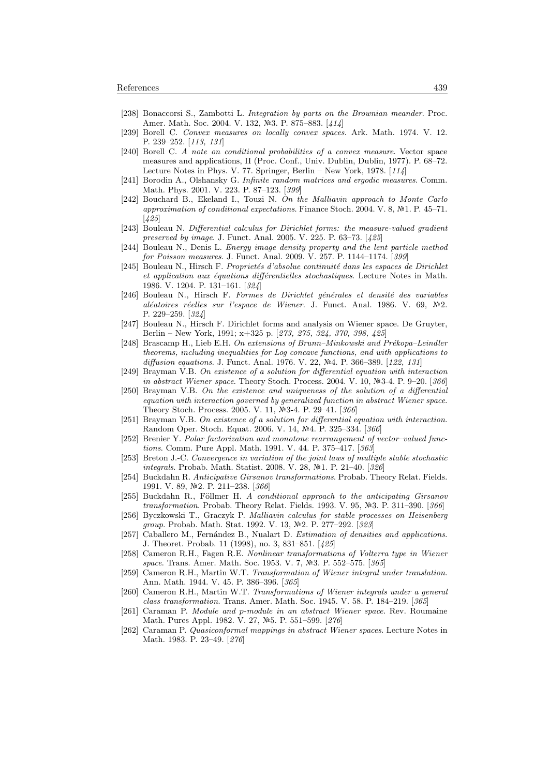- [238] Bonaccorsi S., Zambotti L. Integration by parts on the Brownian meander. Proc. Amer. Math. Soc. 2004. V. 132, №3. P. 875–883. [414]
- [239] Borell C. Convex measures on locally convex spaces. Ark. Math. 1974. V. 12. P. 239–252. [113, 131]
- [240] Borell C. A note on conditional probabilities of a convex measure. Vector space measures and applications, II (Proc. Conf., Univ. Dublin, Dublin, 1977). P. 68–72. Lecture Notes in Phys. V. 77. Springer, Berlin – New York, 1978.  $[114]$
- [241] Borodin A., Olshansky G. Infinite random matrices and ergodic measures. Comm. Math. Phys. 2001. V. 223. P. 87–123. [399]
- [242] Bouchard B., Ekeland I., Touzi N. On the Malliavin approach to Monte Carlo approximation of conditional expectations. Finance Stoch. 2004. V. 8,  $N<sup>2</sup>1$ . P. 45–71. [425]
- [243] Bouleau N. Differential calculus for Dirichlet forms: the measure-valued gradient preserved by image. J. Funct. Anal. 2005. V. 225. P. 63–73. [425]
- [244] Bouleau N., Denis L. Energy image density property and the lent particle method for Poisson measures. J. Funct. Anal. 2009. V. 257. P. 1144–1174. [399]
- [245] Bouleau N., Hirsch F. Proprietés d'absolue continuité dans les espaces de Dirichlet et application aux équations différentielles stochastiques. Lecture Notes in Math. 1986. V. 1204. P. 131–161. [324]
- [246] Bouleau N., Hirsch F. Formes de Dirichlet générales et densité des variables aléatoires réelles sur l'espace de Wiener. J. Funct. Anal. 1986. V. 69, Nº2. P. 229–259. [324]
- [247] Bouleau N., Hirsch F. Dirichlet forms and analysis on Wiener space. De Gruyter, Berlin – New York, 1991; x+325 p. [273, 275, 324, 370, 398, 425]
- [248] Brascamp H., Lieb E.H. On extensions of Brunn–Minkowski and Prékopa–Leindler theorems, including inequalities for Log concave functions, and with applications to diffusion equations. J. Funct. Anal. 1976. V. 22,  $N=4$ . P. 366–389. [122, 131]
- [249] Brayman V.B. On existence of a solution for differential equation with interaction in abstract Wiener space. Theory Stoch. Process. 2004. V. 10,  $N=3-4$ . P. 9–20. [366]
- [250] Brayman V.B. On the existence and uniqueness of the solution of a differential equation with interaction governed by generalized function in abstract Wiener space. Theory Stoch. Process. 2005. V. 11, №3-4. P. 29-41. [366]
- [251] Brayman V.B. On existence of a solution for differential equation with interaction. Random Oper. Stoch. Equat. 2006. V. 14, Nº4. P. 325-334. [366]
- [252] Brenier Y. Polar factorization and monotone rearrangement of vector–valued functions. Comm. Pure Appl. Math. 1991. V. 44. P. 375–417. [363]
- [253] Breton J.-C. Convergence in variation of the joint laws of multiple stable stochastic *integrals*. Probab. Math. Statist. 2008. V. 28, №1. P. 21–40. [326]
- [254] Buckdahn R. Anticipative Girsanov transformations. Probab. Theory Relat. Fields. 1991. V. 89, №2. P. 211-238. [366]
- [255] Buckdahn R., Föllmer H. A conditional approach to the anticipating Girsanov transformation. Probab. Theory Relat. Fields. 1993. V. 95,  $N=3$ . P. 311–390. [366]
- [256] Byczkowski T., Graczyk P. Malliavin calculus for stable processes on Heisenberg group. Probab. Math. Stat. 1992. V. 13, №2. P. 277-292. [323]
- [257] Caballero M., Fernández B., Nualart D. Estimation of densities and applications. J. Theoret. Probab. 11 (1998), no. 3, 831–851. [425]
- [258] Cameron R.H., Fagen R.E. Nonlinear transformations of Volterra type in Wiener space. Trans. Amer. Math. Soc. 1953. V. 7, Nº3. P. 552–575. [365]
- [259] Cameron R.H., Martin W.T. Transformation of Wiener integral under translation. Ann. Math. 1944. V. 45. P. 386–396. [365]
- [260] Cameron R.H., Martin W.T. Transformations of Wiener integrals under a general class transformation. Trans. Amer. Math. Soc. 1945. V. 58. P. 184–219. [365]
- [261] Caraman P. Module and p-module in an abstract Wiener space. Rev. Roumaine Math. Pures Appl. 1982. V. 27, Nº5. P. 551-599. [276]
- [262] Caraman P. Quasiconformal mappings in abstract Wiener spaces. Lecture Notes in Math. 1983. P. 23–49. [276]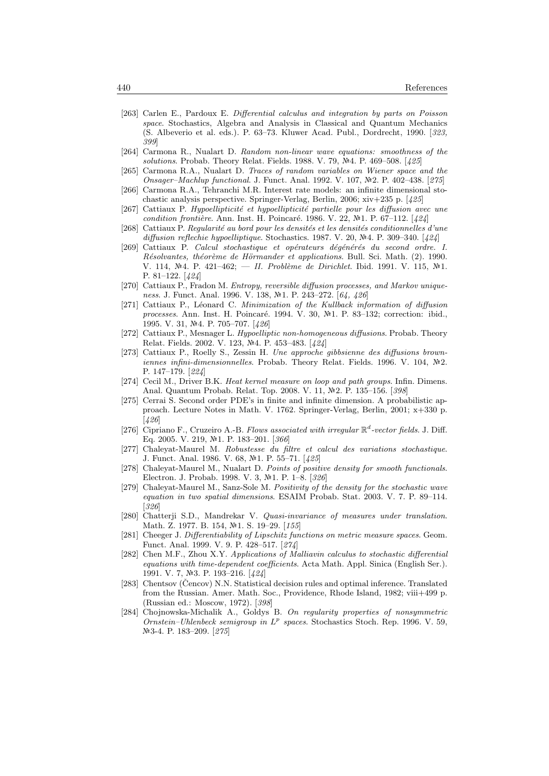- [263] Carlen E., Pardoux E. Differential calculus and integration by parts on Poisson space. Stochastics, Algebra and Analysis in Classical and Quantum Mechanics (S. Albeverio et al. eds.). P. 63–73. Kluwer Acad. Publ., Dordrecht, 1990. [323, 399]
- [264] Carmona R., Nualart D. Random non-linear wave equations: smoothness of the solutions. Probab. Theory Relat. Fields. 1988. V. 79,  $N<sup>2</sup>4$ . P. 469–508. [425]
- [265] Carmona R.A., Nualart D. Traces of random variables on Wiener space and the Onsager–Machlup functional. J. Funct. Anal. 1992. V. 107, №2. P. 402–438. [275]
- [266] Carmona R.A., Tehranchi M.R. Interest rate models: an infinite dimensional stochastic analysis perspective. Springer-Verlag, Berlin, 2006; xiv+235 p. [425]
- [267] Cattiaux P. Hypoellipticité et hypoellipticité partielle pour les diffusion avec une condition frontière. Ann. Inst. H. Poincaré. 1986. V. 22,  $\mathbb{N}^2$ 1. P. 67–112. [424]
- [268] Cattiaux P. Regularité au bord pour les densités et les densités conditionnelles d'une diffusion reflechie hypoelliptique. Stochastics. 1987. V. 20,  $N=4$ . P. 309–340. [424]
- [269] Cattiaux P. Calcul stochastique et opérateurs dégénérés du second ordre. I. Résolvantes, théorème de Hörmander et applications. Bull. Sci. Math. (2). 1990. V. 114, Nº4. P. 421-462; - II. Problème de Dirichlet. Ibid. 1991. V. 115, Nº1. P. 81–122. [424]
- [270] Cattiaux P., Fradon M. Entropy, reversible diffusion processes, and Markov uniqueness. J. Funct. Anal. 1996. V. 138, №1. P. 243–272. [64, 426]
- [271] Cattiaux P., Léonard C. Minimization of the Kullback information of diffusion processes. Ann. Inst. H. Poincaré. 1994. V. 30, Nº1. P. 83-132; correction: ibid., 1995. V. 31, №4. P. 705–707. [426]
- [272] Cattiaux P., Mesnager L. Hypoelliptic non-homogeneous diffusions. Probab. Theory Relat. Fields. 2002. V. 123, Nº4. P. 453-483. [424]
- [273] Cattiaux P., Roelly S., Zessin H. Une approche gibbsienne des diffusions brown $i$ ennes infini-dimensionnelles. Probab. Theory Relat. Fields. 1996. V. 104,  $N$ <sup>2</sup>2. P. 147–179. [224]
- [274] Cecil M., Driver B.K. Heat kernel measure on loop and path groups. Infin. Dimens. Anal. Quantum Probab. Relat. Top. 2008. V. 11, №2. P. 135-156. [398]
- [275] Cerrai S. Second order PDE's in finite and infinite dimension. A probabilistic approach. Lecture Notes in Math. V. 1762. Springer-Verlag, Berlin, 2001; x+330 p. [426]
- [276] Cipriano F., Cruzeiro A.-B. Flows associated with irregular  $\mathbb{R}^d$ -vector fields. J. Diff. Eq. 2005. V. 219, №1. P. 183-201. [366]
- [277] Chaleyat-Maurel M. Robustesse du filtre et calcul des variations stochastique. J. Funct. Anal. 1986. V. 68, №1. P. 55-71. [425]
- [278] Chaleyat-Maurel M., Nualart D. Points of positive density for smooth functionals. Electron. J. Probab. 1998. V. 3, №1. P. 1–8. [326]
- [279] Chaleyat-Maurel M., Sanz-Sole M. Positivity of the density for the stochastic wave equation in two spatial dimensions. ESAIM Probab. Stat. 2003. V. 7. P. 89–114. [326]
- [280] Chatterji S.D., Mandrekar V. Quasi-invariance of measures under translation. Math. Z. 1977. B. 154, Nº1. S. 19-29. [155]
- [281] Cheeger J. Differentiability of Lipschitz functions on metric measure spaces. Geom. Funct. Anal. 1999. V. 9. P. 428–517. [274]
- [282] Chen M.F., Zhou X.Y. Applications of Malliavin calculus to stochastic differential equations with time-dependent coefficients. Acta Math. Appl. Sinica (English Ser.). 1991. V. 7, №3. P. 193-216. [424]
- [283] Chentsov (Cencov) N.N. Statistical decision rules and optimal inference. Translated from the Russian. Amer. Math. Soc., Providence, Rhode Island, 1982; viii+499 p. (Russian ed.: Moscow, 1972). [398]
- [284] Chojnowska-Michalik A., Goldys B. On regularity properties of nonsymmetric Ornstein-Uhlenbeck semigroup in  $L^p$  spaces. Stochastics Stoch. Rep. 1996. V. 59, 3-4. P. 183–209. [275]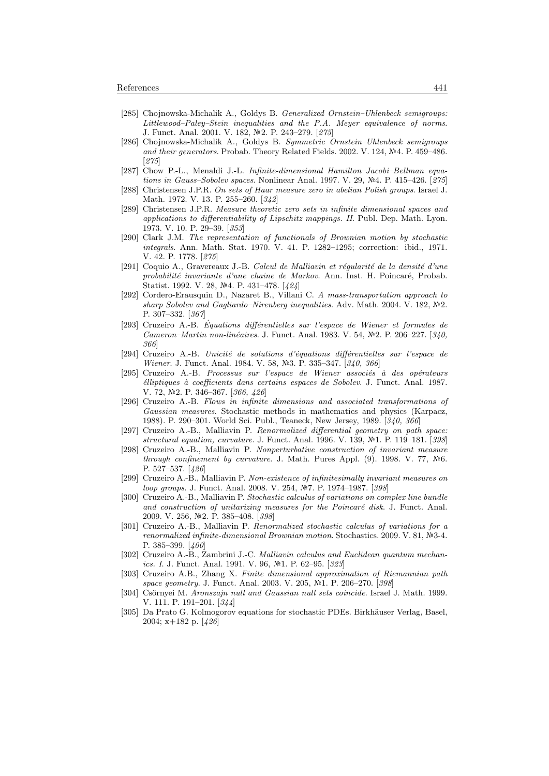- [285] Chojnowska-Michalik A., Goldys B. Generalized Ornstein–Uhlenbeck semigroups: Littlewood–Paley–Stein inequalities and the P.A. Meyer equivalence of norms. J. Funct. Anal. 2001. V. 182, №2. P. 243-279. [275]
- [286] Chojnowska-Michalik A., Goldys B. Symmetric Ornstein–Uhlenbeck semigroups and their generators. Probab. Theory Related Fields. 2002. V. 124, Nº4. P. 459–486. [275]
- [287] Chow P.-L., Menaldi J.-L. Infinite-dimensional Hamilton–Jacobi–Bellman equations in Gauss–Sobolev spaces. Nonlinear Anal. 1997. V. 29,  $\mathbb{N}^2$ 4. P. 415–426. [275]
- [288] Christensen J.P.R. On sets of Haar measure zero in abelian Polish groups. Israel J. Math. 1972. V. 13. P. 255–260. [342]
- [289] Christensen J.P.R. Measure theoretic zero sets in infinite dimensional spaces and applications to differentiability of Lipschitz mappings. II. Publ. Dep. Math. Lyon. 1973. V. 10. P. 29–39. [353]
- [290] Clark J.M. The representation of functionals of Brownian motion by stochastic integrals. Ann. Math. Stat. 1970. V. 41. P. 1282–1295; correction: ibid., 1971. V. 42. P. 1778. [275]
- $[291]$  Coquio A., Gravereaux J.-B. Calcul de Malliavin et régularité de la densité d'une probabilité invariante d'une chaine de Markov. Ann. Inst. H. Poincaré, Probab. Statist. 1992. V. 28, Nº4. P. 431-478. [424]
- [292] Cordero-Erausquin D., Nazaret B., Villani C. A mass-transportation approach to sharp Sobolev and Gagliardo–Nirenberg inequalities. Adv. Math. 2004. V. 182,  $N2$ . P. 307–332. [367]
- $[293]$  Cruzeiro A.-B. Equations différentielles sur l'espace de Wiener et formules de Cameron–Martin non-linéaires. J. Funct. Anal. 1983. V. 54,  $N<sup>2</sup>$ . P. 206–227. [340, 366]
- [294] Cruzeiro A.-B. Unicité de solutions d'équations différentielles sur l'espace de Wiener. J. Funct. Anal. 1984. V. 58, №3. P. 335–347. [340, 366]
- [295] Cruzeiro A.-B. Processus sur l'espace de Wiener associés à des opérateurs  $'elliptiques \t\`a coefficients dans certaines espaces de Sobolev. J. Funct. Anal. 1987.$ V. 72, №2. P. 346–367. [366, 426]
- [296] Cruzeiro A.-B. Flows in infinite dimensions and associated transformations of Gaussian measures. Stochastic methods in mathematics and physics (Karpacz, 1988). P. 290–301. World Sci. Publ., Teaneck, New Jersey, 1989. [340, 366]
- [297] Cruzeiro A.-B., Malliavin P. Renormalized differential geometry on path space: structural equation, curvature. J. Funct. Anal. 1996. V. 139, Nº1. P. 119–181. [398]
- [298] Cruzeiro A.-B., Malliavin P. Nonperturbative construction of invariant measure through confinement by curvature. J. Math. Pures Appl. (9). 1998. V. 77,  $N$ <sup>6</sup>. P. 527–537. [426]
- [299] Cruzeiro A.-B., Malliavin P. Non-existence of infinitesimally invariant measures on loop groups. J. Funct. Anal. 2008. V. 254, №7. P. 1974–1987. [398]
- [300] Cruzeiro A.-B., Malliavin P. Stochastic calculus of variations on complex line bundle and construction of unitarizing measures for the Poincaré disk. J. Funct. Anal. 2009. V. 256, №2. P. 385-408. [398]
- [301] Cruzeiro A.-B., Malliavin P. Renormalized stochastic calculus of variations for a renormalized infinite-dimensional Brownian motion. Stochastics. 2009. V. 81, Nº3-4. P. 385–399. [400]
- [302] Cruzeiro A.-B., Zambrini J.-C. Malliavin calculus and Euclidean quantum mechanics. I. J. Funct. Anal. 1991. V. 96, №1. P. 62–95. [323]
- [303] Cruzeiro A.B., Zhang X. Finite dimensional approximation of Riemannian path space geometry. J. Funct. Anal. 2003. V. 205, №1. P. 206–270. [398]
- [304] Csörnyei M. Aronszajn null and Gaussian null sets coincide. Israel J. Math. 1999. V. 111. P. 191–201. [344]
- [305] Da Prato G. Kolmogorov equations for stochastic PDEs. Birkhäuser Verlag, Basel, 2004; x+182 p. [426]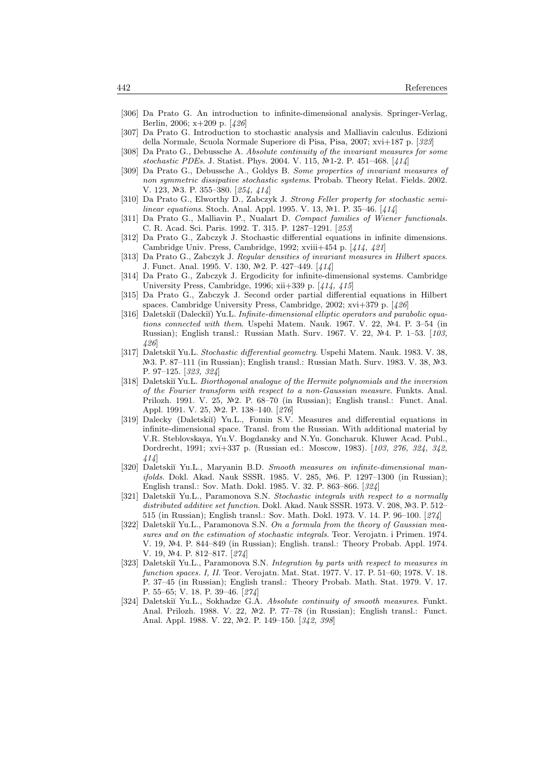- [306] Da Prato G. An introduction to infinite-dimensional analysis. Springer-Verlag, Berlin, 2006; x+209 p. [426]
- [307] Da Prato G. Introduction to stochastic analysis and Malliavin calculus. Edizioni della Normale, Scuola Normale Superiore di Pisa, Pisa, 2007; xvi+187 p. [323]
- [308] Da Prato G., Debussche A. Absolute continuity of the invariant measures for some stochastic PDEs. J. Statist. Phys. 2004. V. 115, Nº1-2. P. 451-468. [414]
- [309] Da Prato G., Debussche A., Goldys B. Some properties of invariant measures of non symmetric dissipative stochastic systems. Probab. Theory Relat. Fields. 2002. V. 123, №3. P. 355–380. [254, 414]
- [310] Da Prato G., Elworthy D., Zabczyk J. Strong Feller property for stochastic semilinear equations. Stoch. Anal. Appl. 1995. V. 13,  $N<sup>2</sup>1$ . P. 35–46. [414]
- [311] Da Prato G., Malliavin P., Nualart D. Compact families of Wiener functionals. C. R. Acad. Sci. Paris. 1992. T. 315. P. 1287–1291. [253]
- [312] Da Prato G., Zabczyk J. Stochastic differential equations in infinite dimensions. Cambridge Univ. Press, Cambridge, 1992; xviii+454 p. [414, 421]
- [313] Da Prato G., Zabczyk J. Regular densities of invariant measures in Hilbert spaces. J. Funct. Anal. 1995. V. 130, №2. P. 427-449. [414]
- [314] Da Prato G., Zabczyk J. Ergodicity for infinite-dimensional systems. Cambridge University Press, Cambridge, 1996; xii+339 p. [414, 415]
- [315] Da Prato G., Zabczyk J. Second order partial differential equations in Hilbert spaces. Cambridge University Press, Cambridge, 2002; xvi+379 p. [426]
- [316] Daletskiĭ (Daleckiĭ) Yu.L. Infinite-dimensional elliptic operators and parabolic equations connected with them. Uspehi Matem. Nauk. 1967. V. 22,  $N<sup>2</sup>4$ . P. 3-54 (in Russian); English transl.: Russian Math. Surv. 1967. V. 22, Nº4. P. 1-53. [103, 426]
- [317] Daletskiĭ Yu.L. Stochastic differential geometry. Uspehi Matem. Nauk. 1983. V. 38,  $\mathbb{N}$ 3. P. 87–111 (in Russian); English transl.: Russian Math. Surv. 1983. V. 38,  $\mathbb{N}$ 3. P. 97–125. [323, 324]
- [318] Daletskiı̆ Yu.L. Biorthogonal analogue of the Hermite polynomials and the inversion of the Fourier transform with respect to a non-Gaussian measure. Funkts. Anal. Prilozh. 1991. V. 25,  $\mathbb{N}^2$ . P. 68–70 (in Russian); English transl.: Funct. Anal. Appl. 1991. V. 25, №2. P. 138-140. [276]
- [319] Dalecky (Daletskiĭ) Yu.L., Fomin S.V. Measures and differential equations in infinite-dimensional space. Transl. from the Russian. With additional material by V.R. Steblovskaya, Yu.V. Bogdansky and N.Yu. Goncharuk. Kluwer Acad. Publ., Dordrecht, 1991; xvi+337 p. (Russian ed.: Moscow, 1983). [103, 276, 324, 342, 414]
- [320] Daletskiĭ Yu.L., Maryanin B.D. Smooth measures on infinite-dimensional manifolds. Dokl. Akad. Nauk SSSR. 1985. V. 285, Nº6. P. 1297-1300 (in Russian); English transl.: Sov. Math. Dokl. 1985. V. 32. P. 863–866. [324]
- [321] Daletskiı̆ Yu.L., Paramonova S.N. Stochastic integrals with respect to a normally distributed additive set function. Dokl. Akad. Nauk SSSR. 1973. V. 208,  $N=3.512-$ 515 (in Russian); English transl.: Sov. Math. Dokl. 1973. V. 14. P. 96–100. [274]
- [322] Daletskiı̆ Yu.L., Paramonova S.N. On a formula from the theory of Gaussian measures and on the estimation of stochastic integrals. Teor. Verojatn. i Primen. 1974. V. 19, 4. P. 844–849 (in Russian); English. transl.: Theory Probab. Appl. 1974. V. 19, №4. P. 812–817. [274]
- [323] Daletskiĭ Yu.L., Paramonova S.N. Integration by parts with respect to measures in function spaces. I, II. Teor. Verojatn. Mat. Stat. 1977. V. 17. P. 51–60; 1978. V. 18. P. 37–45 (in Russian); English transl.: Theory Probab. Math. Stat. 1979. V. 17. P. 55–65; V. 18. P. 39–46. [274]
- [324] Daletskiĭ Yu.L., Sokhadze G.A. Absolute continuity of smooth measures. Funkt. Anal. Prilozh. 1988. V. 22,  $\mathbb{N}^2$ . P. 77–78 (in Russian); English transl.: Funct. Anal. Appl. 1988. V. 22, №2. P. 149-150. [342, 398]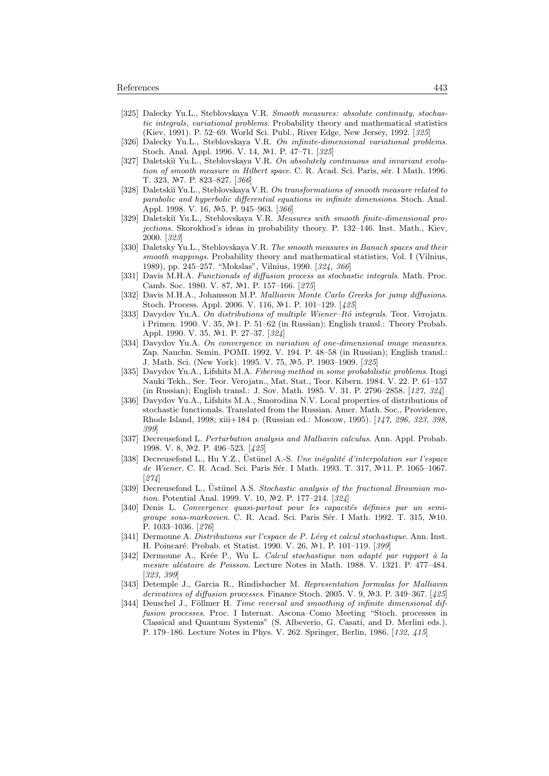- [325] Dalecky Yu.L., Steblovskaya V.R. Smooth measures: absolute continuity, stochastic integrals, variational problems. Probability theory and mathematical statistics (Kiev, 1991). P. 52–69. World Sci. Publ., River Edge, New Jersey, 1992. [325]
- [326] Dalecky Yu.L., Steblovskaya V.R. On infinite-dimensional variational problems. Stoch. Anal. Appl. 1996. V. 14, M<sup>2</sup>1. P. 47–71. [325]
- [327] Daletskiĭ Yu.L., Steblovskaya V.R. On absolutely continuous and invariant evolution of smooth measure in Hilbert space. C. R. Acad. Sci. Paris, sér. I Math. 1996. T. 323, №7. P. 823-827. [366]
- [328] Daletskiı̆ Yu.L., Steblovskaya V.R. On transformations of smooth measure related to parabolic and hyperbolic differential equations in infinite dimensions. Stoch. Anal. Appl. 1998. V. 16, №5. P. 945–963. [366]
- [329] Daletskiĭ Yu.L., Steblovskaya V.R. Measures with smooth finite-dimensional projections. Skorokhod's ideas in probability theory. P. 132–146. Inst. Math., Kiev, 2000. [323]
- [330] Daletsky Yu.L., Steblovskaya V.R. The smooth measures in Banach spaces and their smooth mappings. Probability theory and mathematical statistics, Vol. I (Vilnius, 1989), pp. 245–257. "Mokslas", Vilnius, 1990. [324, 366]
- [331] Davis M.H.A. Functionals of diffusion process as stochastic integrals. Math. Proc. Camb. Soc. 1980. V. 87, №1. P. 157-166. [275]
- [332] Davis M.H.A., Johansson M.P. Malliavin Monte Carlo Greeks for jump diffusions. Stoch. Process. Appl. 2006. V. 116, M<sup>2</sup>1. P. 101–129. [425]
- [333] Davydov Yu.A. On distributions of multiple Wiener–Itô integrals. Teor. Verojatn. i Primen. 1990. V. 35,  $N<sup>2</sup>1$ . P. 51–62 (in Russian); English transl.: Theory Probab. Appl. 1990. V. 35, №1. P. 27-37. [324]
- [334] Davydov Yu.A. On convergence in variation of one-dimensional image measures. Zap. Nauchn. Semin. POMI. 1992. V. 194. P. 48–58 (in Russian); English transl.: J. Math. Sci. (New York). 1995. V. 75, №5. P. 1903–1909. [325]
- [335] Davydov Yu.A., Lifshits M.A. Fibering method in some probabilistic problems. Itogi Nauki Tekh., Ser. Teor. Verojatn., Mat. Stat., Teor. Kibern. 1984. V. 22. P. 61–157 (in Russian); English transl.: J. Sov. Math. 1985. V. 31. P. 2796–2858. [127, 324]
- [336] Davydov Yu.A., Lifshits M.A., Smorodina N.V. Local properties of distributions of stochastic functionals. Translated from the Russian. Amer. Math. Soc., Providence, Rhode Island, 1998; xiii+184 p. (Russian ed.: Moscow, 1995). [147, 296, 323, 398, 399]
- [337] Decreusefond L. Perturbation analysis and Malliavin calculus. Ann. Appl. Probab. 1998. V. 8, №2. P. 496–523. [425]
- [338] Decreusefond L., Hu Y.Z., Üstünel A.-S. Une inégalité d'interpolation sur l'espace de Wiener. C. R. Acad. Sci. Paris Sér. I Math. 1993. T. 317, №11. P. 1065-1067. [274]
- [339] Decreusefond L., Üstünel A.S. Stochastic analysis of the fractional Brownian motion. Potential Anal. 1999. V. 10,  $\mathbb{N}2$ . P. 177–214. [324]
- [340] Denis L. Convergence quasi-partout pour les capacités définies par un semigroupe sous-markovien. C. R. Acad. Sci. Paris Sér. I Math. 1992. T. 315, Nº10. P. 1033–1036. [276]
- [341] Dermoune A. Distributions sur l'espace de P. Lévy et calcul stochastique. Ann. Inst. H. Poincaré. Probab. et Statist. 1990. V. 26, №1. P. 101–119. [399]
- [342] Dermoune A., Krée P., Wu L. Calcul stochastique non adapté par rapport à la mesure aléatoire de Poisson. Lecture Notes in Math. 1988. V. 1321. P. 477–484. [323, 399]
- [343] Detemple J., Garcia R., Rindisbacher M. Representation formulas for Malliavin derivatives of diffusion processes. Finance Stoch. 2005. V. 9,  $\mathbb{N}$ -3. P. 349–367. [425]
- [344] Deuschel J., Föllmer H. Time reversal and smoothing of infinite dimensional diffusion processes. Proc. I Internat. Ascona–Como Meeting "Stoch. processes in Classical and Quantum Systems" (S. Albeverio, G. Casati, and D. Merlini eds.). P. 179–186. Lecture Notes in Phys. V. 262. Springer, Berlin, 1986. [132, 415]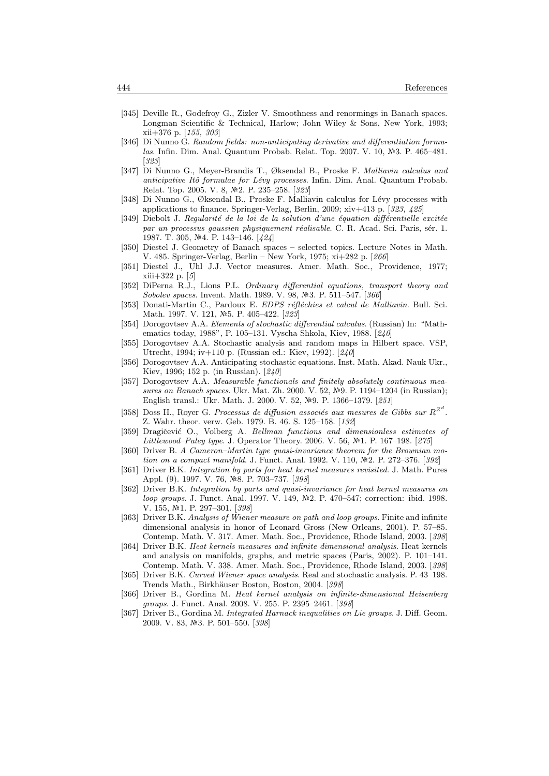- [345] Deville R., Godefroy G., Zizler V. Smoothness and renormings in Banach spaces. Longman Scientific & Technical, Harlow; John Wiley & Sons, New York, 1993; xii+376 p. [155, 303]
- [346] Di Nunno G. Random fields: non-anticipating derivative and differentiation formulas. Infin. Dim. Anal. Quantum Probab. Relat. Top. 2007. V. 10, Nº3. P. 465–481. [323]
- [347] Di Nunno G., Meyer-Brandis T., Øksendal B., Proske F. Malliavin calculus and anticipative Itô formulae for Lévy processes. Infin. Dim. Anal. Quantum Probab. Relat. Top. 2005. V. 8, №2. P. 235–258. [323]
- [348] Di Nunno G., Øksendal B., Proske F. Malliavin calculus for Lévy processes with applications to finance. Springer-Verlag, Berlin, 2009; xiv+413 p. [323, 425]
- [349] Diebolt J. Regularité de la loi de la solution d'une équation différentielle excitée par un processus gaussien physiquement réalisable. C. R. Acad. Sci. Paris, sér. 1. 1987. T. 305, №4. P. 143-146. [424]
- [350] Diestel J. Geometry of Banach spaces selected topics. Lecture Notes in Math. V. 485. Springer-Verlag, Berlin – New York, 1975; xi+282 p. [266]
- [351] Diestel J., Uhl J.J. Vector measures. Amer. Math. Soc., Providence, 1977; xiii+322 p. [5]
- [352] DiPerna R.J., Lions P.L. Ordinary differential equations, transport theory and Sobolev spaces. Invent. Math. 1989. V. 98, №3. P. 511–547. [366]
- [353] Donati-Martin C., Pardoux E. EDPS réfléchies et calcul de Malliavin. Bull. Sci. Math. 1997. V. 121, Nº5. P. 405-422. [323]
- [354] Dorogovtsev A.A. Elements of stochastic differential calculus. (Russian) In: "Mathematics today, 1988", P. 105–131. Vyscha Shkola, Kiev, 1988. [240]
- [355] Dorogovtsev A.A. Stochastic analysis and random maps in Hilbert space. VSP, Utrecht, 1994; iv+110 p. (Russian ed.: Kiev, 1992). [240]
- [356] Dorogovtsev A.A. Anticipating stochastic equations. Inst. Math. Akad. Nauk Ukr., Kiev, 1996; 152 p. (in Russian). [240]
- [357] Dorogovtsev A.A. Measurable functionals and finitely absolutely continuous measures on Banach spaces. Ukr. Mat. Zh. 2000. V. 52,  $N<sup>2</sup>9$ . P. 1194–1204 (in Russian); English transl.: Ukr. Math. J. 2000. V. 52, №9. P. 1366-1379. [251]
- [358] Doss H., Royer G. Processus de diffusion associés aux mesures de Gibbs sur  $R^{Z^d}$ . Z. Wahr. theor. verw. Geb. 1979. B. 46. S. 125–158. [132]
- [359] Dragičević O., Volberg A. Bellman functions and dimensionless estimates of Littlewood–Paley type. J. Operator Theory. 2006. V. 56,  $N<sup>2</sup>1$ . P. 167–198. [275]
- [360] Driver B. A Cameron–Martin type quasi-invariance theorem for the Brownian motion on a compact manifold. J. Funct. Anal. 1992. V. 110,  $N<sup>2</sup>2$ . P. 272–376. [392]
- [361] Driver B.K. Integration by parts for heat kernel measures revisited. J. Math. Pures Appl. (9). 1997. V. 76, Nº8. P. 703-737. [398]
- [362] Driver B.K. Integration by parts and quasi-invariance for heat kernel measures on loop groups. J. Funct. Anal. 1997. V. 149, Nº2. P. 470–547; correction: ibid. 1998. V. 155, №1. P. 297-301. [398]
- [363] Driver B.K. Analysis of Wiener measure on path and loop groups. Finite and infinite dimensional analysis in honor of Leonard Gross (New Orleans, 2001). P. 57–85. Contemp. Math. V. 317. Amer. Math. Soc., Providence, Rhode Island, 2003. [398]
- [364] Driver B.K. Heat kernels measures and infinite dimensional analysis. Heat kernels and analysis on manifolds, graphs, and metric spaces (Paris, 2002). P. 101–141. Contemp. Math. V. 338. Amer. Math. Soc., Providence, Rhode Island, 2003. [398]
- [365] Driver B.K. Curved Wiener space analysis. Real and stochastic analysis. P. 43–198. Trends Math., Birkhäuser Boston, Boston, 2004. [398]
- [366] Driver B., Gordina M. Heat kernel analysis on infinite-dimensional Heisenberg groups. J. Funct. Anal. 2008. V. 255. P. 2395–2461. [398]
- [367] Driver B., Gordina M. Integrated Harnack inequalities on Lie groups. J. Diff. Geom. 2009. V. 83, №3. P. 501–550. [398]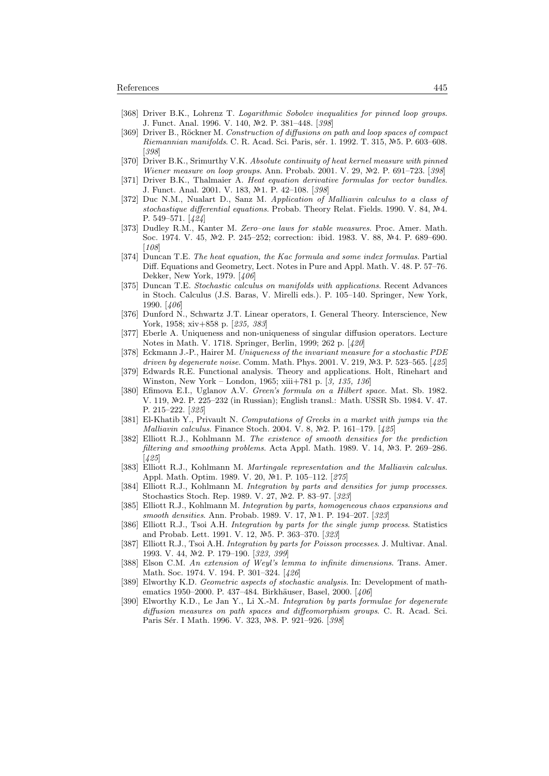- [368] Driver B.K., Lohrenz T. Logarithmic Sobolev inequalities for pinned loop groups. J. Funct. Anal. 1996. V. 140, №2. P. 381–448. [398]
- [369] Driver B., Röckner M. Construction of diffusions on path and loop spaces of compact Riemannian manifolds. C. R. Acad. Sci. Paris, sér. 1. 1992. T. 315, №5. P. 603–608. [398]
- [370] Driver B.K., Srimurthy V.K. Absolute continuity of heat kernel measure with pinned Wiener measure on loop groups. Ann. Probab. 2001. V. 29,  $N=2$ . P. 691–723. [398]
- [371] Driver B.K., Thalmaier A. Heat equation derivative formulas for vector bundles. J. Funct. Anal. 2001. V. 183, №1. P. 42-108. [398]
- [372] Duc N.M., Nualart D., Sanz M. Application of Malliavin calculus to a class of stochastique differential equations. Probab. Theory Relat. Fields. 1990. V. 84,  $N<sup>2</sup>4$ . P. 549–571. [424]
- [373] Dudley R.M., Kanter M. Zero–one laws for stable measures. Proc. Amer. Math. Soc. 1974. V. 45, №2. P. 245–252; correction: ibid. 1983. V. 88, №4. P. 689–690. [108]
- [374] Duncan T.E. The heat equation, the Kac formula and some index formulas. Partial Diff. Equations and Geometry, Lect. Notes in Pure and Appl. Math. V. 48. P. 57–76. Dekker, New York, 1979. [406]
- [375] Duncan T.E. Stochastic calculus on manifolds with applications. Recent Advances in Stoch. Calculus (J.S. Baras, V. Mirelli eds.). P. 105–140. Springer, New York, 1990. [406]
- [376] Dunford N., Schwartz J.T. Linear operators, I. General Theory. Interscience, New York, 1958; xiv+858 p. [235, 383]
- [377] Eberle A. Uniqueness and non-uniqueness of singular diffusion operators. Lecture Notes in Math. V. 1718. Springer, Berlin, 1999; 262 p. [420]
- [378] Eckmann J.-P., Hairer M. Uniqueness of the invariant measure for a stochastic PDE driven by degenerate noise. Comm. Math. Phys. 2001. V. 219,  $N=3$ . P. 523–565. [425]
- [379] Edwards R.E. Functional analysis. Theory and applications. Holt, Rinehart and Winston, New York – London, 1965; xiii+781 p. [3, 135, 136]
- [380] Efimova E.I., Uglanov A.V. Green's formula on a Hilbert space. Mat. Sb. 1982. V. 119, 2. P. 225–232 (in Russian); English transl.: Math. USSR Sb. 1984. V. 47. P. 215–222. [325]
- [381] El-Khatib Y., Privault N. Computations of Greeks in a market with jumps via the *Malliavin calculus.* Finance Stoch. 2004. V. 8,  $N<sup>2</sup>$ . P. 161–179. [425]
- [382] Elliott R.J., Kohlmann M. The existence of smooth densities for the prediction filtering and smoothing problems. Acta Appl. Math. 1989. V. 14,  $N<sup>2</sup>3$ . P. 269–286. [425]
- [383] Elliott R.J., Kohlmann M. Martingale representation and the Malliavin calculus. Appl. Math. Optim. 1989. V. 20, Nº1. P. 105-112. [275]
- [384] Elliott R.J., Kohlmann M. Integration by parts and densities for jump processes. Stochastics Stoch. Rep. 1989. V. 27, Nº2. P. 83-97. [323]
- [385] Elliott R.J., Kohlmann M. Integration by parts, homogeneous chaos expansions and smooth densities. Ann. Probab. 1989. V. 17, Nº1. P. 194-207. [323]
- [386] Elliott R.J., Tsoi A.H. Integration by parts for the single jump process. Statistics and Probab. Lett. 1991. V. 12, №5. P. 363–370. [323]
- [387] Elliott R.J., Tsoi A.H. Integration by parts for Poisson processes. J. Multivar. Anal. 1993. V. 44, №2. P. 179-190. [323, 399]
- [388] Elson C.M. An extension of Weyl's lemma to infinite dimensions. Trans. Amer. Math. Soc. 1974. V. 194. P. 301–324. [426]
- [389] Elworthy K.D. Geometric aspects of stochastic analysis. In: Development of mathematics 1950–2000. P. 437–484. Birkhäuser, Basel, 2000. [406]
- [390] Elworthy K.D., Le Jan Y., Li X.-M. Integration by parts formulae for degenerate diffusion measures on path spaces and diffeomorphism groups. C. R. Acad. Sci. Paris Sér. I Math. 1996. V. 323, Nº8. P. 921-926. [398]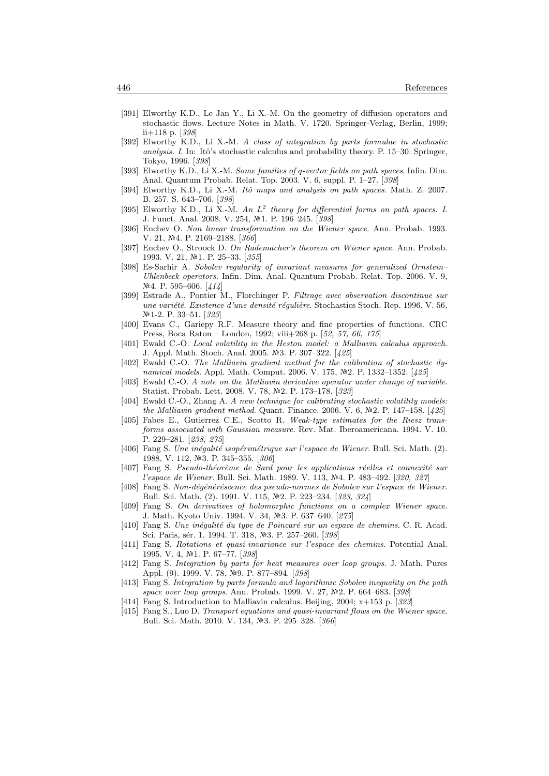- [391] Elworthy K.D., Le Jan Y., Li X.-M. On the geometry of diffusion operators and stochastic flows. Lecture Notes in Math. V. 1720. Springer-Verlag, Berlin, 1999; ii+118 p. [398]
- [392] Elworthy K.D., Li X.-M. A class of integration by parts formulae in stochastic analysis. I. In: Itô's stochastic calculus and probability theory. P.  $15-30$ . Springer, Tokyo, 1996. [398]
- [393] Elworthy K.D., Li X.-M. Some families of q-vector fields on path spaces. Infin. Dim. Anal. Quantum Probab. Relat. Top. 2003. V. 6, suppl. P. 1–27. [398]
- [394] Elworthy K.D., Li X.-M. Itô maps and analysis on path spaces. Math. Z. 2007. B. 257. S. 643–706. [398]
- [395] Elworthy K.D., Li X.-M. An  $L^2$  theory for differential forms on path spaces. I. J. Funct. Anal. 2008. V. 254, №1. P. 196–245. [398]
- [396] Enchev O. Non linear transformation on the Wiener space. Ann. Probab. 1993. V. 21, Nº4. P. 2169-2188. [366]
- [397] Enchev O., Stroock D. On Rademacher's theorem on Wiener space. Ann. Probab. 1993. V. 21, №1. P. 25-33. [355]
- [398] Es-Sarhir A. Sobolev regularity of invariant measures for generalized Ornstein– Uhlenbeck operators. Infin. Dim. Anal. Quantum Probab. Relat. Top. 2006. V. 9,  $N<sup>2</sup>4.$  P. 595–606. [414]
- [399] Estrade A., Pontier M., Florchinger P. Filtrage avec observation discontinue sur une variété. Existence d'une densité régulière. Stochastics Stoch. Rep. 1996. V. 56, Nº1-2. P. 33–51. [323]
- [400] Evans C., Gariepy R.F. Measure theory and fine properties of functions. CRC Press, Boca Raton – London, 1992; viii+268 p. [52, 57, 66, 175]
- [401] Ewald C.-O. Local volatility in the Heston model: a Malliavin calculus approach. J. Appl. Math. Stoch. Anal. 2005. №3. P. 307-322. [425]
- [402] Ewald C.-O. The Malliavin gradient method for the calibration of stochastic dynamical models. Appl. Math. Comput. 2006. V. 175, №2. P. 1332–1352. [425]
- [403] Ewald C.-O. A note on the Malliavin derivative operator under change of variable. Statist. Probab. Lett. 2008. V. 78,  $\mathbb{N}2$ . P. 173–178. [323]
- [404] Ewald C.-O., Zhang A. A new technique for calibrating stochastic volatility models: the Malliavin gradient method. Quant. Finance. 2006. V. 6,  $N=2$ . P. 147–158. [425]
- [405] Fabes E., Gutierrez C.E., Scotto R. Weak-type estimates for the Riesz transforms associated with Gaussian measure. Rev. Mat. Iberoamericana. 1994. V. 10. P. 229–281. [238, 275]
- [406] Fang S. Une inégalité isopérimétrique sur l'espace de Wiener. Bull. Sci. Math. (2). 1988. V. 112, №3. P. 345–355. [306]
- [407] Fang S. Pseudo-théorème de Sard pour les applications réelles et connexité sur l'espace de Wiener. Bull. Sci. Math. 1989. V. 113, №4. P. 483-492. [320, 327]
- [408] Fang S. Non-dégénéréscence des pseudo-normes de Sobolev sur l'espace de Wiener. Bull. Sci. Math. (2). 1991. V. 115, Nº2. P. 223–234. [323, 324]
- [409] Fang S. On derivatives of holomorphic functions on a complex Wiener space. J. Math. Kyoto Univ. 1994. V. 34, Nº3. P. 637-640. [275]
- [410] Fang S. Une inégalité du type de Poincaré sur un espace de chemins. C. R. Acad. Sci. Paris, sér. 1. 1994. T. 318, №3. P. 257–260. [398]
- [411] Fang S. Rotations et quasi-invariance sur l'espace des chemins. Potential Anal. 1995. V. 4, №1. P. 67-77. [398]
- [412] Fang S. Integration by parts for heat measures over loop groups. J. Math. Pures Appl. (9). 1999. V. 78, №9. P. 877–894. [398]
- [413] Fang S. Integration by parts formula and logarithmic Sobolev inequality on the path space over loop groups. Ann. Probab. 1999. V. 27,  $N-2$ . P. 664–683. [398]
- [414] Fang S. Introduction to Malliavin calculus. Beijing, 2004; x+153 p. [323]
- [415] Fang S., Luo D. Transport equations and quasi-invariant flows on the Wiener space. Bull. Sci. Math. 2010. V. 134, Nº3. P. 295-328. [366]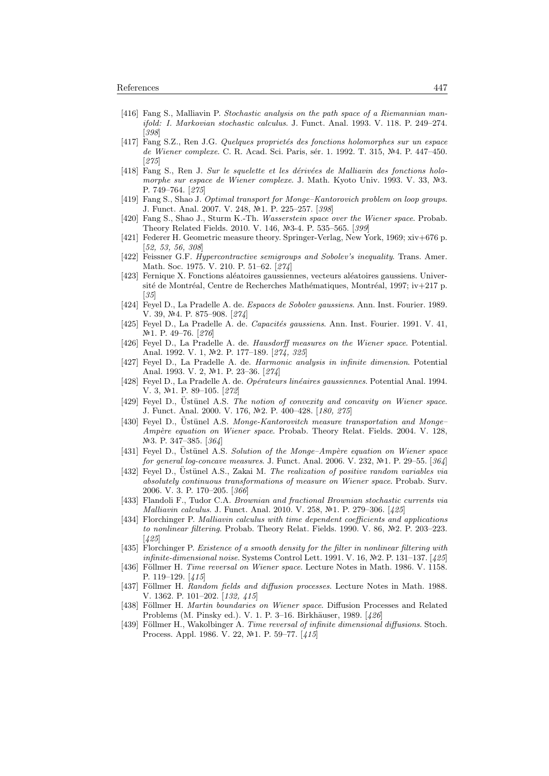- [416] Fang S., Malliavin P. Stochastic analysis on the path space of a Riemannian manifold: I. Markovian stochastic calculus. J. Funct. Anal. 1993. V. 118. P. 249–274. [398]
- [417] Fang S.Z., Ren J.G. Quelques proprietés des fonctions holomorphes sur un espace de Wiener complexe. C. R. Acad. Sci. Paris, sér. 1. 1992. T. 315, Nº4. P. 447–450. [275]
- [418] Fang S., Ren J. Sur le squelette et les dérivées de Malliavin des fonctions holomorphe sur espace de Wiener complexe. J. Math. Kyoto Univ. 1993. V. 33, Nº3. P. 749–764. [275]
- [419] Fang S., Shao J. Optimal transport for Monge–Kantorovich problem on loop groups. J. Funct. Anal. 2007. V. 248, №1. P. 225-257. [398]
- [420] Fang S., Shao J., Sturm K.-Th. Wasserstein space over the Wiener space. Probab. Theory Related Fields. 2010. V. 146, Nº3-4. P. 535-565. [399]
- [421] Federer H. Geometric measure theory. Springer-Verlag, New York, 1969; xiv+676 p. [52, 53, 56, 308]
- [422] Feissner G.F. Hypercontractive semigroups and Sobolev's inequality. Trans. Amer. Math. Soc. 1975. V. 210. P. 51–62. [274]
- [423] Fernique X. Fonctions aléatoires gaussiennes, vecteurs aléatoires gaussiens. Université de Montréal, Centre de Recherches Mathématiques, Montréal, 1997; iv $+217$  p. [35]
- [424] Feyel D., La Pradelle A. de. Espaces de Sobolev gaussiens. Ann. Inst. Fourier. 1989. V. 39,  $N<sup>2</sup>4$ . P. 875–908. [274]
- [425] Feyel D., La Pradelle A. de. Capacités gaussiens. Ann. Inst. Fourier. 1991. V. 41, Nº1. P. 49-76. [276]
- [426] Feyel D., La Pradelle A. de. Hausdorff measures on the Wiener space. Potential. Anal. 1992. V. 1, №2. P. 177-189. [274, 325]
- [427] Feyel D., La Pradelle A. de. Harmonic analysis in infinite dimension. Potential Anal. 1993. V. 2, №1. P. 23-36. [274]
- [428] Feyel D., La Pradelle A. de. Opérateurs linéaires gaussiennes. Potential Anal. 1994. V. 3, №1. P. 89-105. [272]
- [429] Feyel D., Üstünel A.S. The notion of convexity and concavity on Wiener space. J. Funct. Anal. 2000. V. 176, №2. P. 400–428. [180, 275]
- [430] Feyel D., Ustünel A.S. Monge-Kantorovitch measure transportation and Monge– Ampère equation on Wiener space. Probab. Theory Relat. Fields. 2004. V. 128, Nº3. P. 347–385. [364]
- [431] Feyel D., Ustünel A.S. Solution of the Monge-Ampère equation on Wiener space for general log-concave measures. J. Funct. Anal. 2006. V. 232,  $N<sup>2</sup>1$ . P. 29–55. [364]
- [432] Fevel D., Üstünel A.S., Zakai M. The realization of positive random variables via absolutely continuous transformations of measure on Wiener space. Probab. Surv. 2006. V. 3. P. 170–205. [366]
- [433] Flandoli F., Tudor C.A. Brownian and fractional Brownian stochastic currents via Malliavin calculus. J. Funct. Anal. 2010. V. 258, №1. P. 279-306. [425]
- [434] Florchinger P. Malliavin calculus with time dependent coefficients and applications to nonlinear filtering. Probab. Theory Relat. Fields. 1990. V. 86,  $\mathbb{N}2$ . P. 203-223. [425]
- [435] Florchinger P. Existence of a smooth density for the filter in nonlinear filtering with infinite-dimensional noise. Systems Control Lett. 1991. V. 16,  $N<sup>2</sup>$ . P. 131–137. [425]
- [436] Föllmer H. Time reversal on Wiener space. Lecture Notes in Math. 1986. V. 1158. P. 119–129. [415]
- [437] Föllmer H. Random fields and diffusion processes. Lecture Notes in Math. 1988. V. 1362. P. 101–202. [132, 415]
- [438] Föllmer H. Martin boundaries on Wiener space. Diffusion Processes and Related Problems (M. Pinsky ed.). V. 1. P. 3–16. Birkhäuser, 1989. [426]
- [439] Föllmer H., Wakolbinger A. Time reversal of infinite dimensional diffusions. Stoch. Process. Appl. 1986. V. 22, №1. P. 59–77. [415]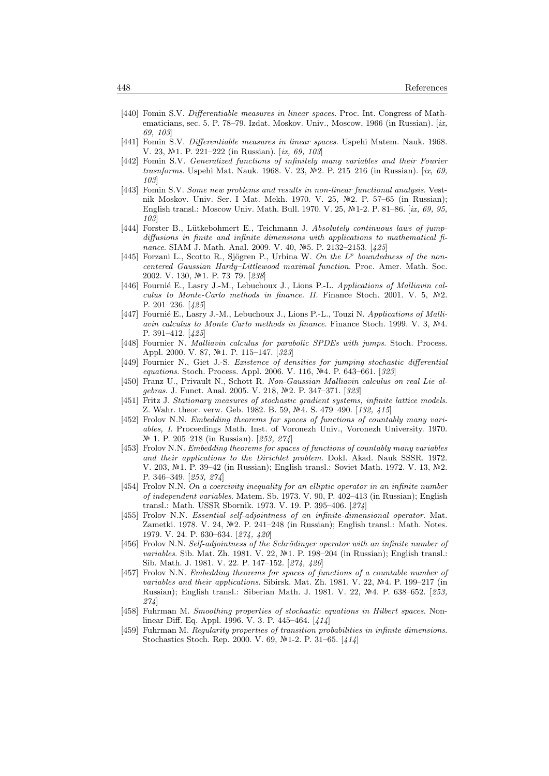- [440] Fomin S.V. Differentiable measures in linear spaces. Proc. Int. Congress of Mathematicians, sec. 5. P. 78–79. Izdat. Moskov. Univ., Moscow, 1966 (in Russian). [ix, 69, 103]
- [441] Fomin S.V. Differentiable measures in linear spaces. Uspehi Matem. Nauk. 1968. V. 23,  $\mathbb{N}^2$ 1. P. 221–222 (in Russian). [ix, 69, 103]
- [442] Fomin S.V. Generalized functions of infinitely many variables and their Fourier trasnforms. Uspehi Mat. Nauk. 1968. V. 23,  $N=2$ . P. 215–216 (in Russian). [ix, 69, 103]
- [443] Fomin S.V. Some new problems and results in non-linear functional analysis. Vestnik Moskov. Univ. Ser. I Mat. Mekh. 1970. V. 25, Nº2. P. 57-65 (in Russian); English transl.: Moscow Univ. Math. Bull. 1970. V. 25,  $N=1-2$ . P. 81–86. [ix, 69, 95, 103]
- [444] Forster B., Lütkebohmert E., Teichmann J. Absolutely continuous laws of jumpdiffusions in finite and infinite dimensions with applications to mathematical finance. SIAM J. Math. Anal. 2009. V. 40, №5. P. 2132-2153. [425]
- [445] Forzani L., Scotto R., Sjögren P., Urbina W. On the  $L^p$  boundedness of the noncentered Gaussian Hardy–Littlewood maximal function. Proc. Amer. Math. Soc. 2002. V. 130, №1. P. 73-79. [238]
- [446] Fournié E., Lasry J.-M., Lebuchoux J., Lions P.-L. Applications of Malliavin calculus to Monte-Carlo methods in finance. II. Finance Stoch. 2001. V. 5,  $\mathbb{N}^2$ . P. 201–236. [425]
- [447] Fournié E., Lasry J.-M., Lebuchoux J., Lions P.-L., Touzi N. Applications of Malliavin calculus to Monte Carlo methods in finance. Finance Stoch. 1999. V. 3, Nº4. P. 391–412. [425]
- [448] Fournier N. Malliavin calculus for parabolic SPDEs with jumps. Stoch. Process. Appl. 2000. V. 87, №1. P. 115–147. [323]
- [449] Fournier N., Giet J.-S. Existence of densities for jumping stochastic differential equations. Stoch. Process. Appl. 2006. V. 116, №4. P. 643–661. [323]
- [450] Franz U., Privault N., Schott R. Non-Gaussian Malliavin calculus on real Lie algebras. J. Funct. Anal. 2005. V. 218, №2. P. 347-371. [323]
- [451] Fritz J. Stationary measures of stochastic gradient systems, infinite lattice models. Z. Wahr. theor. verw. Geb. 1982. B. 59, №4. S. 479-490. [132, 415]
- [452] Frolov N.N. Embedding theorems for spaces of functions of countably many variables, I. Proceedings Math. Inst. of Voronezh Univ., Voronezh University. 1970. № 1. P. 205–218 (in Russian). [253, 274]
- [453] Frolov N.N. Embedding theorems for spaces of functions of countably many variables and their applications to the Dirichlet problem. Dokl. Akad. Nauk SSSR. 1972. V. 203,  $\mathbb{N}^2$ 1. P. 39–42 (in Russian); English transl.: Soviet Math. 1972. V. 13,  $\mathbb{N}^2$ 2. P. 346–349. [253, 274]
- [454] Frolov N.N. On a coercivity inequality for an elliptic operator in an infinite number of independent variables. Matem. Sb. 1973. V. 90, P. 402–413 (in Russian); English transl.: Math. USSR Sbornik. 1973. V. 19. P. 395–406. [274]
- [455] Frolov N.N. Essential self-adjointness of an infinite-dimensional operator. Mat. Zametki. 1978. V. 24,  $\mathbb{N}^2$ . P. 241–248 (in Russian); English transl.: Math. Notes. 1979. V. 24. P. 630–634. [274, 420]
- [456] Frolov N.N. Self-adjointness of the Schrödinger operator with an infinite number of variables. Sib. Mat. Zh. 1981. V. 22,  $\mathbb{N}$ -1. P. 198–204 (in Russian); English transl.: Sib. Math. J. 1981. V. 22. P. 147–152. [274, 420]
- [457] Frolov N.N. Embedding theorems for spaces of functions of a countable number of variables and their applications. Sibirsk. Mat. Zh. 1981. V. 22,  $\mathbb{N}4$ . P. 199–217 (in Russian); English transl.: Siberian Math. J. 1981, V. 22, Nº4, P. 638–652. [253, 274]
- [458] Fuhrman M. Smoothing properties of stochastic equations in Hilbert spaces. Nonlinear Diff. Eq. Appl. 1996. V. 3. P. 445–464. [414]
- [459] Fuhrman M. Regularity properties of transition probabilities in infinite dimensions. Stochastics Stoch. Rep. 2000. V. 69, Nº1-2. P. 31-65. [414]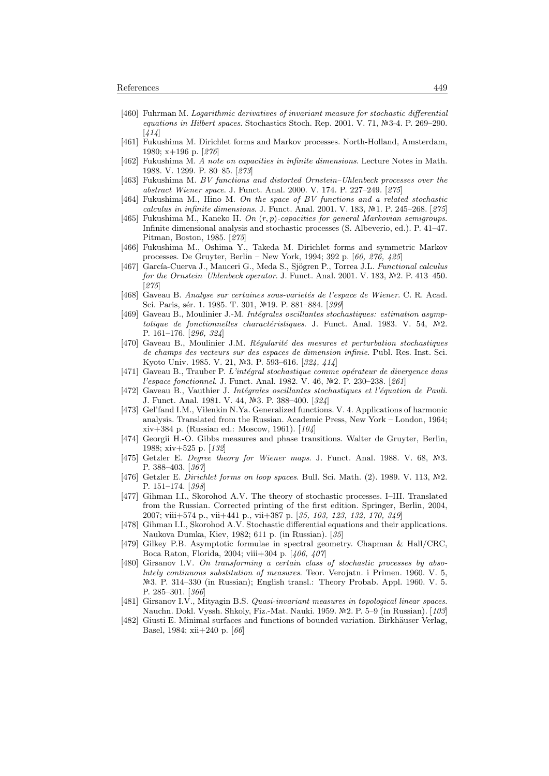- [460] Fuhrman M. Logarithmic derivatives of invariant measure for stochastic differential equations in Hilbert spaces. Stochastics Stoch. Rep. 2001. V. 71,  $\mathbb{N}$ 3-4. P. 269–290.  $[414]$
- [461] Fukushima M. Dirichlet forms and Markov processes. North-Holland, Amsterdam, 1980; x+196 p. [276]
- [462] Fukushima M. A note on capacities in infinite dimensions. Lecture Notes in Math. 1988. V. 1299. P. 80–85. [273]
- [463] Fukushima M. BV functions and distorted Ornstein–Uhlenbeck processes over the abstract Wiener space. J. Funct. Anal. 2000. V. 174. P. 227–249. [275]
- [464] Fukushima M., Hino M. On the space of BV functions and a related stochastic calculus in infinite dimensions. J. Funct. Anal. 2001. V. 183,  $N=1$ . P. 245–268. [275]
- [465] Fukushima M., Kaneko H. On  $(r, p)$ -capacities for general Markovian semigroups. Infinite dimensional analysis and stochastic processes (S. Albeverio, ed.). P. 41–47. Pitman, Boston, 1985. [275]
- [466] Fukushima M., Oshima Y., Takeda M. Dirichlet forms and symmetric Markov processes. De Gruyter, Berlin – New York, 1994; 392 p. [60, 276, 425]
- [467] García-Cuerva J., Mauceri G., Meda S., Sjögren P., Torrea J.L. Functional calculus for the Ornstein–Uhlenbeck operator. J. Funct. Anal. 2001. V. 183, №2. P. 413-450. [275]
- [468] Gaveau B. Analyse sur certaines sous-varietés de l'espace de Wiener. C. R. Acad. Sci. Paris, sér. 1. 1985. T. 301, №19. P. 881–884. [399]
- [469] Gaveau B., Moulinier J.-M. Intégrales oscillantes stochastiques: estimation asymptotique de fonctionnelles charactéristiques. J. Funct. Anal. 1983. V. 54,  $\mathbb{N}^2$ . P. 161–176. [296, 324]
- [470] Gaveau B., Moulinier J.M. Réqularité des mesures et perturbation stochastiques de champs des vecteurs sur des espaces de dimension infinie. Publ. Res. Inst. Sci. Kyoto Univ. 1985. V. 21, №3. P. 593–616. [324, 414]
- [471] Gaveau B., Trauber P. L'intégral stochastique comme opérateur de divergence dans l'espace fonctionnel. J. Funct. Anal. 1982. V. 46, №2. P. 230-238. [261]
- [472] Gaveau B., Vauthier J. Intégrales oscillantes stochastiques et l'équation de Pauli. J. Funct. Anal. 1981. V. 44, №3. P. 388-400. [324]
- [473] Gel'fand I.M., Vilenkin N.Ya. Generalized functions. V. 4. Applications of harmonic analysis. Translated from the Russian. Academic Press, New York – London, 1964; xiv+384 p. (Russian ed.: Moscow, 1961). [104]
- [474] Georgii H.-O. Gibbs measures and phase transitions. Walter de Gruyter, Berlin, 1988; xiv+525 p. [132]
- [475] Getzler E. Degree theory for Wiener maps. J. Funct. Anal. 1988. V. 68,  $N=3$ . P. 388–403. [367]
- [476] Getzler E. Dirichlet forms on loop spaces. Bull. Sci. Math.  $(2)$ . 1989. V. 113,  $\mathbb{N}2$ . P. 151–174. [398]
- [477] Gihman I.I., Skorohod A.V. The theory of stochastic processes. I–III. Translated from the Russian. Corrected printing of the first edition. Springer, Berlin, 2004, 2007; viii+574 p., vii+441 p., vii+387 p. [35, 103, 123, 132, 170, 349]
- [478] Gihman I.I., Skorohod A.V. Stochastic differential equations and their applications. Naukova Dumka, Kiev, 1982; 611 p. (in Russian). [35]
- [479] Gilkey P.B. Asymptotic formulae in spectral geometry. Chapman & Hall/CRC, Boca Raton, Florida, 2004; viii+304 p. [406, 407]
- [480] Girsanov I.V. On transforming a certain class of stochastic processes by absolutely continuous substitution of measures. Teor. Verojatn. i Primen. 1960. V. 5, 3. P. 314–330 (in Russian); English transl.: Theory Probab. Appl. 1960. V. 5. P. 285–301. [366]
- [481] Girsanov I.V., Mityagin B.S. Quasi-invariant measures in topological linear spaces. Nauchn. Dokl. Vyssh. Shkoly, Fiz.-Mat. Nauki. 1959. Nº2. P. 5–9 (in Russian). [103]
- [482] Giusti E. Minimal surfaces and functions of bounded variation. Birkhäuser Verlag, Basel, 1984; xii+240 p. [66]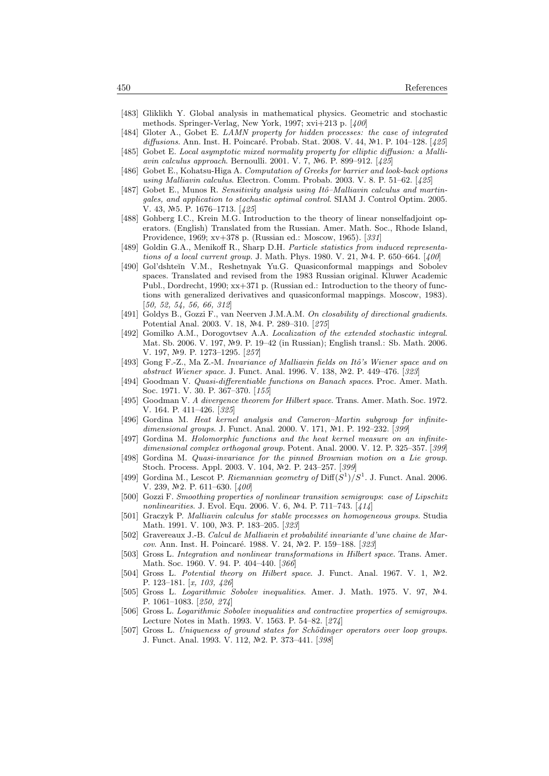- [483] Gliklikh Y. Global analysis in mathematical physics. Geometric and stochastic methods. Springer-Verlag, New York, 1997; xvi+213 p. [400]
- [484] Gloter A., Gobet E. LAMN property for hidden processes: the case of integrated diffusions. Ann. Inst. H. Poincaré. Probab. Stat. 2008. V. 44, №1. P. 104–128. [425]
- [485] Gobet E. Local asymptotic mixed normality property for elliptic diffusion: a Malliavin calculus approach. Bernoulli. 2001. V. 7, №6. P. 899-912. [425]
- [486] Gobet E., Kohatsu-Higa A. Computation of Greeks for barrier and look-back options using Malliavin calculus. Electron. Comm. Probab. 2003. V. 8. P. 51–62. [425]
- [487] Gobet E., Munos R. Sensitivity analysis using Itô–Malliavin calculus and martingales, and application to stochastic optimal control. SIAM J. Control Optim. 2005. V. 43,  $N=5$ . P. 1676–1713. [425]
- [488] Gohberg I.C., Krein M.G. Introduction to the theory of linear nonselfadjoint operators. (English) Translated from the Russian. Amer. Math. Soc., Rhode Island, Providence, 1969; xv+378 p. (Russian ed.: Moscow, 1965). [331]
- [489] Goldin G.A., Menikoff R., Sharp D.H. Particle statistics from induced representations of a local current group. J. Math. Phys. 1980. V. 21,  $\mathbb{N}^2$ 4. P. 650–664. [400]
- [490] Gol'dshteĭn V.M., Reshetnyak Yu.G. Quasiconformal mappings and Sobolev spaces. Translated and revised from the 1983 Russian original. Kluwer Academic Publ., Dordrecht, 1990; xx+371 p. (Russian ed.: Introduction to the theory of functions with generalized derivatives and quasiconformal mappings. Moscow, 1983). [50, 52, 54, 56, 66, 312]
- [491] Goldys B., Gozzi F., van Neerven J.M.A.M. On closability of directional gradients. Potential Anal. 2003. V. 18, Nº4. P. 289-310. [275]
- [492] Gomilko A.M., Dorogovtsev A.A. Localization of the extended stochastic integral. Mat. Sb. 2006. V. 197, №9. P. 19–42 (in Russian); English transl.: Sb. Math. 2006. V. 197, №9. P. 1273-1295. [257]
- [493] Gong F.-Z., Ma Z.-M. Invariance of Malliavin fields on Itô's Wiener space and on abstract Wiener space. J. Funct. Anal. 1996. V. 138, №2. P. 449–476. [323]
- [494] Goodman V. Quasi-differentiable functions on Banach spaces. Proc. Amer. Math. Soc. 1971. V. 30. P. 367–370. [155]
- [495] Goodman V. A divergence theorem for Hilbert space. Trans. Amer. Math. Soc. 1972. V. 164. P. 411–426. [325]
- [496] Gordina M. Heat kernel analysis and Cameron–Martin subgroup for infinitedimensional groups. J. Funct. Anal. 2000. V. 171, №1. P. 192-232. [399]
- [497] Gordina M. Holomorphic functions and the heat kernel measure on an infinitedimensional complex orthogonal group. Potent. Anal. 2000. V. 12. P. 325–357. [399]
- [498] Gordina M. Quasi-invariance for the pinned Brownian motion on a Lie group. Stoch. Process. Appl. 2003. V. 104, №2. P. 243–257. [399]
- [499] Gordina M., Lescot P. Riemannian geometry of  $\text{Diff}(S^1)/S^1$ . J. Funct. Anal. 2006. V. 239,  $N<sup>2</sup>$ 2. P. 611-630. [400]
- [500] Gozzi F. Smoothing properties of nonlinear transition semigroups: case of Lipschitz nonlinearities. J. Evol. Equ. 2006. V. 6,  $\mathcal{N}$ 4. P. 711–743. [414]
- [501] Graczyk P. Malliavin calculus for stable processes on homogeneous groups. Studia Math. 1991. V. 100, №3. P. 183-205. [323]
- [502] Gravereaux J.-B. Calcul de Malliavin et probabilité invariante d'une chaine de Marcov. Ann. Inst. H. Poincaré. 1988. V. 24, №2. P. 159–188. [323]
- [503] Gross L. Integration and nonlinear transformations in Hilbert space. Trans. Amer. Math. Soc. 1960. V. 94. P. 404–440. [366]
- [504] Gross L. Potential theory on Hilbert space. J. Funct. Anal. 1967. V. 1,  $\mathbb{N}^2$ . P. 123-181. [x, 103, 426]
- [505] Gross L. Logarithmic Sobolev inequalities. Amer. J. Math. 1975. V. 97, Nº4. P. 1061–1083. [250, 274]
- [506] Gross L. Logarithmic Sobolev inequalities and contractive properties of semigroups. Lecture Notes in Math. 1993. V. 1563. P. 54–82. [274]
- [507] Gross L. Uniqueness of ground states for Schödinger operators over loop groups. J. Funct. Anal. 1993. V. 112, №2. P. 373-441. [398]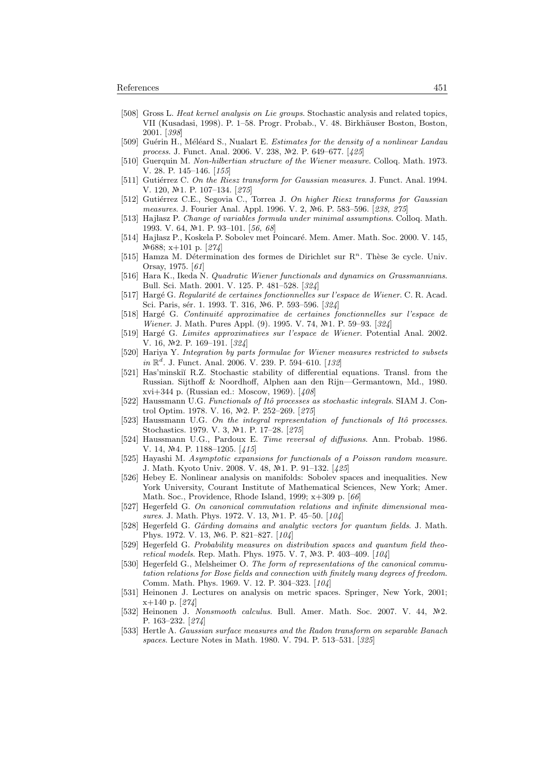- [508] Gross L. Heat kernel analysis on Lie groups. Stochastic analysis and related topics, VII (Kusadasi, 1998). P. 1–58. Progr. Probab., V. 48. Birkh¨auser Boston, Boston, 2001. [398]
- [509] Guérin H., Méléard S., Nualart E. Estimates for the density of a nonlinear Landau process. J. Funct. Anal. 2006. V. 238, №2. P. 649–677. [425]
- [510] Guerquin M. Non-hilbertian structure of the Wiener measure. Colloq. Math. 1973. V. 28. P. 145–146. [155]
- [511] Gutiérrez C. On the Riesz transform for Gaussian measures. J. Funct. Anal. 1994. V. 120, №1. P. 107-134. [275]
- [512] Gutiérrez C.E., Segovia C., Torrea J. On higher Riesz transforms for Gaussian measures. J. Fourier Anal. Appl. 1996. V. 2, №6. P. 583-596. [238, 275]
- [513] Hajłasz P. Change of variables formula under minimal assumptions. Colloq. Math. 1993. V. 64, №1. P. 93-101. [56, 68]
- [514] Hajłasz P., Koskela P. Sobolev met Poincaré. Mem. Amer. Math. Soc. 2000. V. 145, 688; x+101 p. [274]
- [515] Hamza M. Détermination des formes de Dirichlet sur  $\mathbb{R}^n$ . Thèse 3e cycle. Univ. Orsay, 1975. [61]
- [516] Hara K., Ikeda N. Quadratic Wiener functionals and dynamics on Grassmannians. Bull. Sci. Math. 2001. V. 125. P. 481–528. [324]
- [517] Hargé G. Regularité de certaines fonctionnelles sur l'espace de Wiener. C. R. Acad. Sci. Paris, sér. 1. 1993. T. 316, Nº6. P. 593-596. [324]
- [518] Hargé G. Continuité approximative de certaines fonctionnelles sur l'espace de Wiener. J. Math. Pures Appl. (9). 1995. V. 74, Nº1. P. 59-93. [324]
- [519] Harg´e G. Limites approximatives sur l'espace de Wiener. Potential Anal. 2002. V. 16, №2. P. 169–191. [324]
- [520] Hariya Y. Integration by parts formulae for Wiener measures restricted to subsets  $in \mathbb{R}^d$ . J. Funct. Anal. 2006. V. 239. P. 594-610. [132]
- [521] Has'minskiĭ R.Z. Stochastic stability of differential equations. Transl. from the Russian. Sijthoff & Noordhoff, Alphen aan den Rijn—Germantown, Md., 1980. xvi+344 p. (Russian ed.: Moscow, 1969). [408]
- [522] Haussmann U.G. Functionals of Itô processes as stochastic integrals. SIAM J. Control Optim. 1978. V. 16, Nº2. P. 252-269. [275]
- [523] Haussmann U.G. On the integral representation of functionals of Itô processes. Stochastics. 1979. V. 3, №1. P. 17-28. [275]
- [524] Haussmann U.G., Pardoux E. Time reversal of diffusions. Ann. Probab. 1986. V. 14, №4. P. 1188-1205. [415]
- [525] Hayashi M. Asymptotic expansions for functionals of a Poisson random measure. J. Math. Kyoto Univ. 2008. V. 48, №1. P. 91-132. [425]
- [526] Hebey E. Nonlinear analysis on manifolds: Sobolev spaces and inequalities. New York University, Courant Institute of Mathematical Sciences, New York; Amer. Math. Soc., Providence, Rhode Island, 1999; x+309 p. [66]
- [527] Hegerfeld G. On canonical commutation relations and infinite dimensional measures. J. Math. Phys. 1972. V. 13,  $N<sup>2</sup>1$ . P. 45–50. [104]
- [528] Hegerfeld G. Gårding domains and analytic vectors for quantum fields. J. Math. Phys. 1972. V. 13, No. P. 821-827. [104]
- [529] Hegerfeld G. Probability measures on distribution spaces and quantum field theoretical models. Rep. Math. Phys. 1975. V. 7,  $N=3$ . P. 403-409. [104]
- [530] Hegerfeld G., Melsheimer O. The form of representations of the canonical commutation relations for Bose fields and connection with finitely many degrees of freedom. Comm. Math. Phys. 1969. V. 12. P. 304–323. [104]
- [531] Heinonen J. Lectures on analysis on metric spaces. Springer, New York, 2001; x+140 p. [274]
- [532] Heinonen J. Nonsmooth calculus. Bull. Amer. Math. Soc. 2007. V. 44,  $\mathbb{N}^2$ . P. 163–232. [274]
- [533] Hertle A. Gaussian surface measures and the Radon transform on separable Banach spaces. Lecture Notes in Math. 1980. V. 794. P. 513–531. [325]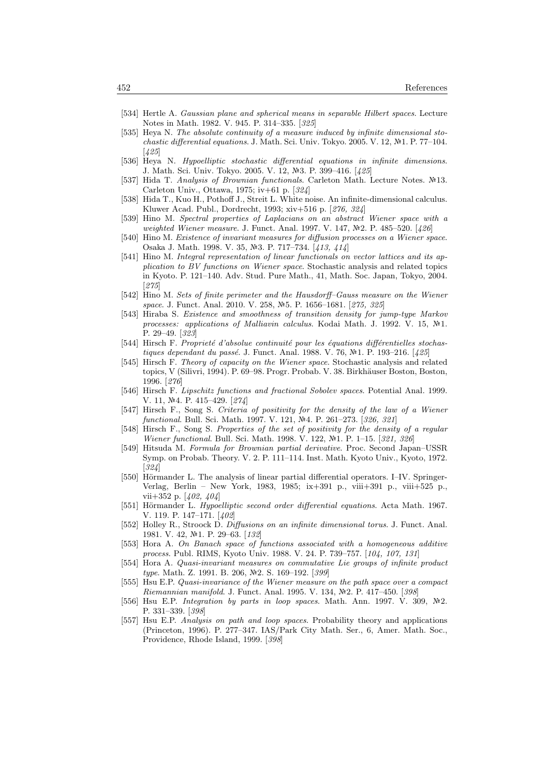- [534] Hertle A. Gaussian plane and spherical means in separable Hilbert spaces. Lecture Notes in Math. 1982. V. 945. P. 314–335. [325]
- [535] Heya N. The absolute continuity of a measure induced by infinite dimensional stochastic differential equations. J. Math. Sci. Univ. Tokyo. 2005. V. 12,  $\mathbb{N}^2$ 1. P. 77–104. [425]
- [536] Heya N. Hypoelliptic stochastic differential equations in infinite dimensions. J. Math. Sci. Univ. Tokyo. 2005. V. 12, №3. P. 399–416. [425]
- [537] Hida T. Analysis of Brownian functionals. Carleton Math. Lecture Notes. 13. Carleton Univ., Ottawa, 1975; iv+61 p. [324]
- [538] Hida T., Kuo H., Pothoff J., Streit L. White noise. An infinite-dimensional calculus. Kluwer Acad. Publ., Dordrecht, 1993; xiv+516 p. [276, 324]
- [539] Hino M. Spectral properties of Laplacians on an abstract Wiener space with a weighted Wiener measure. J. Funct. Anal. 1997. V. 147, Nº2. P. 485-520. [426]
- [540] Hino M. Existence of invariant measures for diffusion processes on a Wiener space. Osaka J. Math. 1998. V. 35, №3. P. 717-734. [413, 414]
- [541] Hino M. Integral representation of linear functionals on vector lattices and its application to BV functions on Wiener space. Stochastic analysis and related topics in Kyoto. P. 121–140. Adv. Stud. Pure Math., 41, Math. Soc. Japan, Tokyo, 2004. [275]
- [542] Hino M. Sets of finite perimeter and the Hausdorff–Gauss measure on the Wiener space. J. Funct. Anal. 2010. V. 258, Nº5. P. 1656-1681. [275, 325]
- [543] Hiraba S. Existence and smoothness of transition density for jump-type Markov processes: applications of Malliavin calculus. Kodai Math. J. 1992. V. 15,  $\mathbb{N}^2$ 1. P. 29–49. [323]
- [544] Hirsch F. Proprieté d'absolue continuité pour les équations différentielles stochastiques dependant du passé. J. Funct. Anal. 1988. V. 76,  $N<sup>2</sup>1$ . P. 193–216. [425]
- [545] Hirsch F. Theory of capacity on the Wiener space. Stochastic analysis and related topics, V (Silivri, 1994). P. 69–98. Progr. Probab. V. 38. Birkhäuser Boston, Boston, 1996. [276]
- [546] Hirsch F. Lipschitz functions and fractional Sobolev spaces. Potential Anal. 1999. V. 11, №4, P. 415-429, [274]
- [547] Hirsch F., Song S. Criteria of positivity for the density of the law of a Wiener functional. Bull. Sci. Math. 1997. V. 121, Nº4. P. 261-273. [326, 321]
- [548] Hirsch F., Song S. Properties of the set of positivity for the density of a regular Wiener functional. Bull. Sci. Math. 1998. V. 122, №1. P. 1–15. [321, 326]
- [549] Hitsuda M. Formula for Brownian partial derivative. Proc. Second Japan–USSR Symp. on Probab. Theory. V. 2. P. 111–114. Inst. Math. Kyoto Univ., Kyoto, 1972. [324]
- [550] Hörmander L. The analysis of linear partial differential operators. I–IV. Springer-Verlag, Berlin – New York, 1983, 1985; ix+391 p., viii+391 p., viii+525 p., vii+352 p. [402, 404]
- [551] Hörmander L. Hypoelliptic second order differential equations. Acta Math. 1967. V. 119. P. 147–171. [402]
- [552] Holley R., Stroock D. Diffusions on an infinite dimensional torus. J. Funct. Anal. 1981. V. 42, №1. P. 29–63. [132]
- [553] Hora A. On Banach space of functions associated with a homogeneous additive process. Publ. RIMS, Kyoto Univ. 1988. V. 24. P. 739–757. [104, 107, 131]
- [554] Hora A. Quasi-invariant measures on commutative Lie groups of infinite product type. Math. Z. 1991. B. 206, №2. S. 169-192. [399]
- [555] Hsu E.P. Quasi-invariance of the Wiener measure on the path space over a compact Riemannian manifold. J. Funct. Anal. 1995. V. 134, Nº2. P. 417-450. [398]
- [556] Hsu E.P. Integration by parts in loop spaces. Math. Ann. 1997. V. 309,  $N=2$ . P. 331–339. [398]
- [557] Hsu E.P. Analysis on path and loop spaces. Probability theory and applications (Princeton, 1996). P. 277–347. IAS/Park City Math. Ser., 6, Amer. Math. Soc., Providence, Rhode Island, 1999. [398]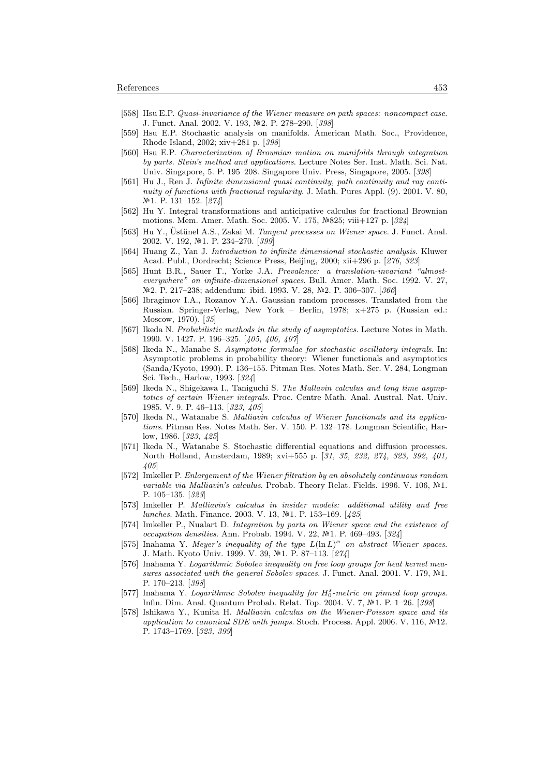- [558] Hsu E.P. Quasi-invariance of the Wiener measure on path spaces: noncompact case. J. Funct. Anal. 2002. V. 193, №2. P. 278–290. [398]
- [559] Hsu E.P. Stochastic analysis on manifolds. American Math. Soc., Providence, Rhode Island, 2002; xiv+281 p. [398]
- [560] Hsu E.P. Characterization of Brownian motion on manifolds through integration by parts. Stein's method and applications. Lecture Notes Ser. Inst. Math. Sci. Nat. Univ. Singapore, 5. P. 195–208. Singapore Univ. Press, Singapore, 2005. [398]
- [561] Hu J., Ren J. Infinite dimensional quasi continuity, path continuity and ray continuity of functions with fractional regularity. J. Math. Pures Appl. (9). 2001. V. 80, Nº1. P. 131–152. [274]
- [562] Hu Y. Integral transformations and anticipative calculus for fractional Brownian motions. Mem. Amer. Math. Soc. 2005. V. 175, Nº825; viii+127 p. [324]
- [563] Hu Y., Üstünel A.S., Zakai M. Tangent processes on Wiener space. J. Funct. Anal. 2002. V. 192, №1. P. 234-270. [399]
- [564] Huang Z., Yan J. Introduction to infinite dimensional stochastic analysis. Kluwer Acad. Publ., Dordrecht; Science Press, Beijing, 2000; xii+296 p. [276, 323]
- [565] Hunt B.R., Sauer T., Yorke J.A. Prevalence: a translation-invariant "almosteverywhere" on infinite-dimensional spaces. Bull. Amer. Math. Soc. 1992. V. 27, №2. P. 217-238; addendum: ibid. 1993. V. 28, №2. P. 306-307. [366]
- [566] Ibragimov I.A., Rozanov Y.A. Gaussian random processes. Translated from the Russian. Springer-Verlag, New York – Berlin, 1978; x+275 p. (Russian ed.: Moscow, 1970). [35]
- [567] Ikeda N. Probabilistic methods in the study of asymptotics. Lecture Notes in Math. 1990. V. 1427. P. 196–325. [405, 406, 407]
- [568] Ikeda N., Manabe S. Asymptotic formulae for stochastic oscillatory integrals. In: Asymptotic problems in probability theory: Wiener functionals and asymptotics (Sanda/Kyoto, 1990). P. 136–155. Pitman Res. Notes Math. Ser. V. 284, Longman Sci. Tech., Harlow, 1993. [324]
- [569] Ikeda N., Shigekawa I., Taniguchi S. The Mallavin calculus and long time asymptotics of certain Wiener integrals. Proc. Centre Math. Anal. Austral. Nat. Univ. 1985. V. 9. P. 46–113. [323, 405]
- [570] Ikeda N., Watanabe S. Malliavin calculus of Wiener functionals and its applications. Pitman Res. Notes Math. Ser. V. 150. P. 132–178. Longman Scientific, Harlow, 1986. [323, 425]
- [571] Ikeda N., Watanabe S. Stochastic differential equations and diffusion processes. North–Holland, Amsterdam, 1989; xvi+555 p. [31, 35, 232, 274, 323, 392, 401, 405]
- [572] Imkeller P. Enlargement of the Wiener filtration by an absolutely continuous random variable via Malliavin's calculus. Probab. Theory Relat. Fields. 1996. V. 106,  $\mathbb{N}^2$ 1. P. 105–135. [323]
- [573] Imkeller P. Malliavin's calculus in insider models: additional utility and free lunches. Math. Finance. 2003. V. 13, Nº1. P. 153-169. [425]
- [574] Imkeller P., Nualart D. Integration by parts on Wiener space and the existence of occupation densities. Ann. Probab. 1994. V. 22, №1. P. 469–493. [324]
- [575] Inahama Y. Meyer's inequality of the type  $L(\ln L)^{\alpha}$  on abstract Wiener spaces. J. Math. Kyoto Univ. 1999. V. 39, 1. P. 87–113. [274]
- [576] Inahama Y. Logarithmic Sobolev inequality on free loop groups for heat kernel measures associated with the general Sobolev spaces. J. Funct. Anal. 2001. V. 179,  $N<sup>1</sup>$ . P. 170–213. [398]
- [577] Inahama Y. Logarithmic Sobolev inequality for  $H_0^s$ -metric on pinned loop groups. Infin. Dim. Anal. Quantum Probab. Relat. Top. 2004. V. 7, №1. P. 1–26. [398]
- [578] Ishikawa Y., Kunita H. Malliavin calculus on the Wiener-Poisson space and its application to canonical SDE with jumps. Stoch. Process. Appl. 2006. V. 116,  $\mathbb{N}^2$ 12. P. 1743–1769. [323, 399]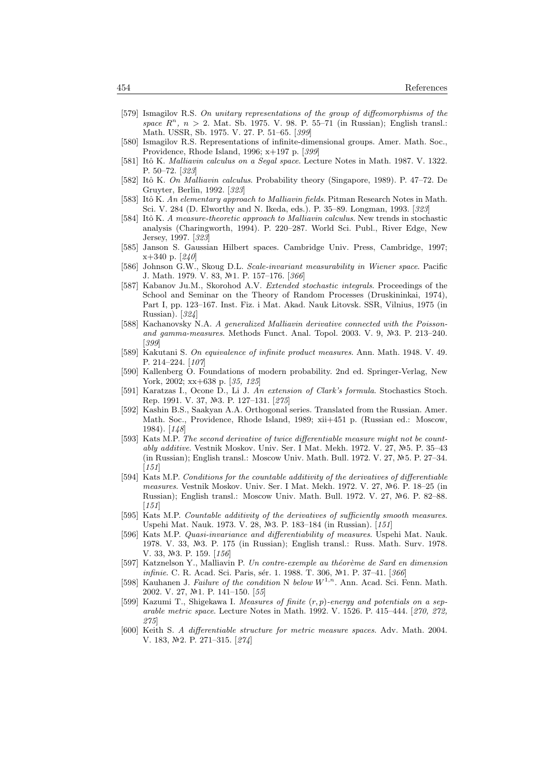- [579] Ismagilov R.S. On unitary representations of the group of diffeomorphisms of the space  $R<sup>n</sup>$ ,  $n > 2$ . Mat. Sb. 1975. V. 98. P. 55-71 (in Russian); English transl.: Math. USSR, Sb. 1975. V. 27. P. 51–65. [399]
- [580] Ismagilov R.S. Representations of infinite-dimensional groups. Amer. Math. Soc., Providence, Rhode Island, 1996; x+197 p. [399]
- [581] Itô K. Malliavin calculus on a Segal space. Lecture Notes in Math. 1987. V. 1322. P. 50–72. [323]
- [582] Itô K. On Malliavin calculus. Probability theory (Singapore, 1989). P. 47–72. De Gruyter, Berlin, 1992. [323]
- [583] Itô K. An elementary approach to Malliavin fields. Pitman Research Notes in Math. Sci. V. 284 (D. Elworthy and N. Ikeda, eds.). P. 35–89. Longman, 1993. [323]
- [584] Itô K. A measure-theoretic approach to Malliavin calculus. New trends in stochastic analysis (Charingworth, 1994). P. 220–287. World Sci. Publ., River Edge, New Jersey, 1997. [323]
- [585] Janson S. Gaussian Hilbert spaces. Cambridge Univ. Press, Cambridge, 1997; x+340 p. [240]
- [586] Johnson G.W., Skoug D.L. Scale-invariant measurability in Wiener space. Pacific J. Math. 1979. V. 83, №1. P. 157-176. [366]
- [587] Kabanov Ju.M., Skorohod A.V. Extended stochastic integrals. Proceedings of the School and Seminar on the Theory of Random Processes (Druskininkai, 1974), Part I, pp. 123–167. Inst. Fiz. i Mat. Akad. Nauk Litovsk. SSR, Vilnius, 1975 (in Russian). [324]
- [588] Kachanovsky N.A. A generalized Malliavin derivative connected with the Poissonand gamma-measures. Methods Funct. Anal. Topol. 2003. V. 9,  $N=3$ . P. 213-240. [399]
- [589] Kakutani S. On equivalence of infinite product measures. Ann. Math. 1948. V. 49. P. 214–224. [107]
- [590] Kallenberg O. Foundations of modern probability. 2nd ed. Springer-Verlag, New York, 2002; xx+638 p. [35, 125]
- [591] Karatzas I., Ocone D., Li J. An extension of Clark's formula. Stochastics Stoch. Rep. 1991. V. 37, №3. P. 127-131. [275]
- [592] Kashin B.S., Saakyan A.A. Orthogonal series. Translated from the Russian. Amer. Math. Soc., Providence, Rhode Island, 1989; xii+451 p. (Russian ed.: Moscow, 1984). [148]
- [593] Kats M.P. The second derivative of twice differentiable measure might not be countably additive. Vestnik Moskov. Univ. Ser. I Mat. Mekh. 1972. V. 27, Nº5. P. 35-43 (in Russian); English transl.: Moscow Univ. Math. Bull. 1972. V. 27,  $N.5$ . P. 27–34.  $[151]$
- [594] Kats M.P. Conditions for the countable additivity of the derivatives of differentiable measures. Vestnik Moskov. Univ. Ser. I Mat. Mekh. 1972. V. 27,  $N<sup>2</sup>6$ . P. 18–25 (in Russian); English transl.: Moscow Univ. Math. Bull. 1972. V. 27, Nº6. P. 82–88.  $[151]$
- [595] Kats M.P. Countable additivity of the derivatives of sufficiently smooth measures. Uspehi Mat. Nauk. 1973. V. 28, Nº3. P. 183-184 (in Russian). [151]
- [596] Kats M.P. Quasi-invariance and differentiability of measures. Uspehi Mat. Nauk. 1978. V. 33, №3. P. 175 (in Russian); English transl.: Russ. Math. Surv. 1978. V. 33,  $N<sup>2</sup>3$ . P. 159. [156]
- [597] Katznelson Y., Malliavin P. Un contre-exemple au théorème de Sard en dimension infinie. C. R. Acad. Sci. Paris, sér. 1. 1988. T. 306, №1. P. 37-41. [366]
- [598] Kauhanen J. Failure of the condition N below  $W^{1,n}$ . Ann. Acad. Sci. Fenn. Math. 2002. V. 27, №1. P. 141-150. [55]
- [599] Kazumi T., Shigekawa I. Measures of finite  $(r, p)$ -energy and potentials on a separable metric space. Lecture Notes in Math. 1992. V. 1526. P. 415–444. [270, 272, 275]
- [600] Keith S. A differentiable structure for metric measure spaces. Adv. Math. 2004. V. 183, №2. P. 271-315. [274]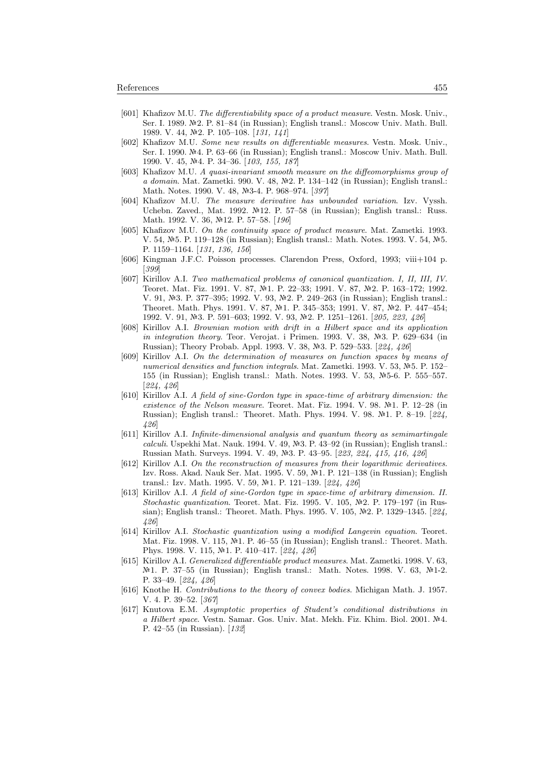- [601] Khafizov M.U. The differentiability space of a product measure. Vestn. Mosk. Univ., Ser. I. 1989.  $\mathbb{N}2$ . P. 81–84 (in Russian); English transl.: Moscow Univ. Math. Bull. 1989. V. 44, №2. P. 105-108. [131, 141]
- [602] Khafizov M.U. Some new results on differentiable measures. Vestn. Mosk. Univ., Ser. I. 1990. Nº4. P. 63–66 (in Russian); English transl.: Moscow Univ. Math. Bull. 1990. V. 45, №4. P. 34–36. [103, 155, 187]
- [603] Khafizov M.U. A quasi-invariant smooth measure on the diffeomorphisms group of a domain. Mat. Zametki. 990. V. 48, Nº2. P. 134-142 (in Russian); English transl.: Math. Notes. 1990. V. 48, Nº3-4. P. 968-974. [397]
- [604] Khafizov M.U. The measure derivative has unbounded variation. Izv. Vyssh. Uchebn. Zaved., Mat. 1992. Nº12. P. 57-58 (in Russian); English transl.: Russ. Math. 1992. V. 36, Nº12. P. 57-58. [196]
- [605] Khafizov M.U. On the continuity space of product measure. Mat. Zametki. 1993. V. 54,  $N=5$ . P. 119–128 (in Russian); English transl.: Math. Notes. 1993. V. 54,  $N=5$ . P. 1159–1164. [131, 136, 156]
- [606] Kingman J.F.C. Poisson processes. Clarendon Press, Oxford, 1993; viii+104 p. [399]
- [607] Kirillov A.I. Two mathematical problems of canonical quantization. I, II, III, IV. Teoret. Mat. Fiz. 1991. V. 87, №1. P. 22–33; 1991. V. 87, №2. P. 163–172; 1992. V. 91, №3. P. 377–395; 1992. V. 93, №2. P. 249–263 (in Russian); English transl.: Theoret. Math. Phys. 1991. V. 87, №1. P. 345–353; 1991. V. 87, №2. P. 447–454; 1992. V. 91, №3. P. 591-603; 1992. V. 93, №2. P. 1251-1261. [205, 223, 426]
- [608] Kirillov A.I. Brownian motion with drift in a Hilbert space and its application in integration theory. Teor. Verojat. i Primen. 1993. V. 38, Nº3. P. 629-634 (in Russian); Theory Probab. Appl. 1993. V. 38, Nº3. P. 529-533. [224, 426]
- [609] Kirillov A.I. On the determination of measures on function spaces by means of numerical densities and function integrals. Mat. Zametki. 1993. V. 53,  $N=5$ . P. 152– 155 (in Russian); English transl.: Math. Notes. 1993. V. 53, №5-6. P. 555–557. [224, 426]
- [610] Kirillov A.I. A field of sine-Gordon type in space-time of arbitrary dimension: the existence of the Nelson measure. Teoret. Mat. Fiz. 1994. V. 98.  $N<sup>2</sup>1$ . P. 12–28 (in Russian); English transl.: Theoret. Math. Phys. 1994. V. 98. Nº1. P. 8-19. [224, 426]
- [611] Kirillov A.I. Infinite-dimensional analysis and quantum theory as semimartingale calculi. Uspekhi Mat. Nauk. 1994. V. 49,  $N=3$ . P. 43–92 (in Russian); English transl.: Russian Math. Surveys. 1994. V. 49, Nº3. P. 43-95. [223, 224, 415, 416, 426]
- [612] Kirillov A.I. On the reconstruction of measures from their logarithmic derivatives. Izv. Ross. Akad. Nauk Ser. Mat. 1995. V. 59, 1. P. 121–138 (in Russian); English transl.: Izv. Math. 1995. V. 59, №1. P. 121–139. [224, 426]
- [613] Kirillov A.I. A field of sine-Gordon type in space-time of arbitrary dimension. II. Stochastic quantization. Teoret. Mat. Fiz. 1995. V. 105,  $\mathbb{N}^2$ . P. 179–197 (in Russian); English transl.: Theoret. Math. Phys. 1995. V. 105,  $N<sup>2</sup>2$ . P. 1329–1345. [224, 426]
- [614] Kirillov A.I. Stochastic quantization using a modified Langevin equation. Teoret. Mat. Fiz. 1998. V. 115, Nº1. P. 46-55 (in Russian); English transl.: Theoret. Math. Phys. 1998. V. 115, Nº1. P. 410-417. [224, 426]
- [615] Kirillov A.I. Generalized differentiable product measures. Mat. Zametki. 1998. V. 63,  $N<sup>2</sup>1$ . P. 37–55 (in Russian); English transl.: Math. Notes. 1998. V. 63,  $N<sup>2</sup>1-2$ . P. 33–49. [224, 426]
- [616] Knothe H. Contributions to the theory of convex bodies. Michigan Math. J. 1957. V. 4. P. 39–52. [367]
- [617] Knutova E.M. Asymptotic properties of Student's conditional distributions in a Hilbert space. Vestn. Samar. Gos. Univ. Mat. Mekh. Fiz. Khim. Biol. 2001. Nº4. P. 42–55 (in Russian). [132]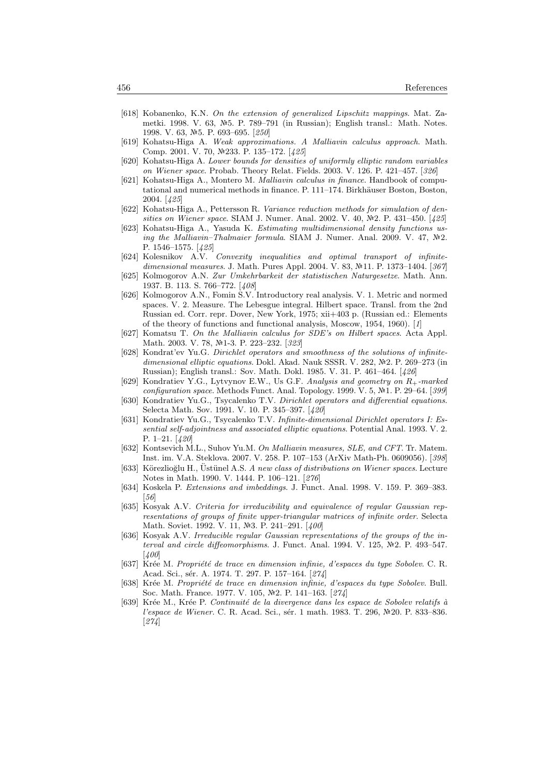- [618] Kobanenko, K.N. On the extension of generalized Lipschitz mappings. Mat. Zametki. 1998. V. 63,  $\mathcal{N}=5$ . P. 789–791 (in Russian); English transl.: Math. Notes. 1998. V. 63, №5. P. 693–695. [250]
- [619] Kohatsu-Higa A. Weak approximations. A Malliavin calculus approach. Math. Comp. 2001. V. 70, №233. P. 135–172. [425]
- [620] Kohatsu-Higa A. Lower bounds for densities of uniformly elliptic random variables on Wiener space. Probab. Theory Relat. Fields. 2003. V. 126. P. 421–457. [326]
- [621] Kohatsu-Higa A., Montero M. Malliavin calculus in finance. Handbook of computational and numerical methods in finance. P. 111–174. Birkhäuser Boston, Boston, 2004. [425]
- [622] Kohatsu-Higa A., Pettersson R. Variance reduction methods for simulation of densities on Wiener space. SIAM J. Numer. Anal. 2002. V. 40,  $\mathbb{N}^2$ . P. 431–450. [425]
- [623] Kohatsu-Higa A., Yasuda K. Estimating multidimensional density functions using the Malliavin–Thalmaier formula. SIAM J. Numer. Anal. 2009. V. 47,  $N2$ . P. 1546–1575. [425]
- [624] Kolesnikov A.V. Convexity inequalities and optimal transport of infinitedimensional measures. J. Math. Pures Appl. 2004. V. 83, Nº11. P. 1373-1404. [367]
- [625] Kolmogorov A.N. Zur Umkehrbarkeit der statistischen Naturgesetze. Math. Ann. 1937. B. 113. S. 766–772. [408]
- [626] Kolmogorov A.N., Fomin S.V. Introductory real analysis. V. 1. Metric and normed spaces. V. 2. Measure. The Lebesgue integral. Hilbert space. Transl. from the 2nd Russian ed. Corr. repr. Dover, New York, 1975; xii+403 p. (Russian ed.: Elements of the theory of functions and functional analysis, Moscow, 1954, 1960). [1]
- [627] Komatsu T. On the Malliavin calculus for SDE's on Hilbert spaces. Acta Appl. Math. 2003. V. 78, №1-3. P. 223-232. [323]
- [628] Kondrat'ev Yu.G. Dirichlet operators and smoothness of the solutions of infinitedimensional elliptic equations. Dokl. Akad. Nauk SSSR. V. 282,  $N<sup>2</sup>2$ . P. 269–273 (in Russian); English transl.: Sov. Math. Dokl. 1985. V. 31. P. 461–464. [426]
- [629] Kondratiev Y.G., Lytvynov E.W., Us G.F. Analysis and geometry on R+-marked configuration space. Methods Funct. Anal. Topology. 1999. V. 5, Nº1. P. 29-64. [399]
- [630] Kondratiev Yu.G., Tsycalenko T.V. Dirichlet operators and differential equations. Selecta Math. Sov. 1991. V. 10. P. 345–397. [420]
- [631] Kondratiev Yu.G., Tsycalenko T.V. Infinite-dimensional Dirichlet operators I: Essential self-adjointness and associated elliptic equations. Potential Anal. 1993. V. 2. P. 1–21. [420]
- [632] Kontsevich M.L., Suhov Yu.M. On Malliavin measures, SLE, and CFT. Tr. Matem. Inst. im. V.A. Steklova. 2007. V. 258. P. 107–153 (ArXiv Math-Ph. 0609056). [398]
- [633] Körezlioğlu H., Üstünel A.S. A new class of distributions on Wiener spaces. Lecture Notes in Math. 1990. V. 1444. P. 106–121. [276]
- [634] Koskela P. Extensions and imbeddings. J. Funct. Anal. 1998. V. 159. P. 369–383.  $[56]$
- [635] Kosyak A.V. Criteria for irreducibility and equivalence of regular Gaussian representations of groups of finite upper-triangular matrices of infinite order. Selecta Math. Soviet. 1992. V. 11, Nº3. P. 241-291. [400]
- [636] Kosyak A.V. Irreducible regular Gaussian representations of the groups of the interval and circle diffeomorphisms. J. Funct. Anal. 1994. V. 125,  $N<sup>2</sup>2$ . P. 493-547. [400]
- [637] Krée M. Propriété de trace en dimension infinie, d'espaces du type Sobolev. C. R. Acad. Sci., sér. A. 1974. T. 297. P. 157-164. [274]
- [638] Krée M. Propriété de trace en dimension infinie, d'espaces du type Sobolev. Bull. Soc. Math. France. 1977. V. 105, №2. P. 141-163. [274]
- [639] Krée M., Krée P. Continuité de la divergence dans les espace de Sobolev relatifs à l'espace de Wiener. C. R. Acad. Sci., sér. 1 math. 1983. T. 296,  $N<sup>2</sup>20$ . P. 833–836. [274]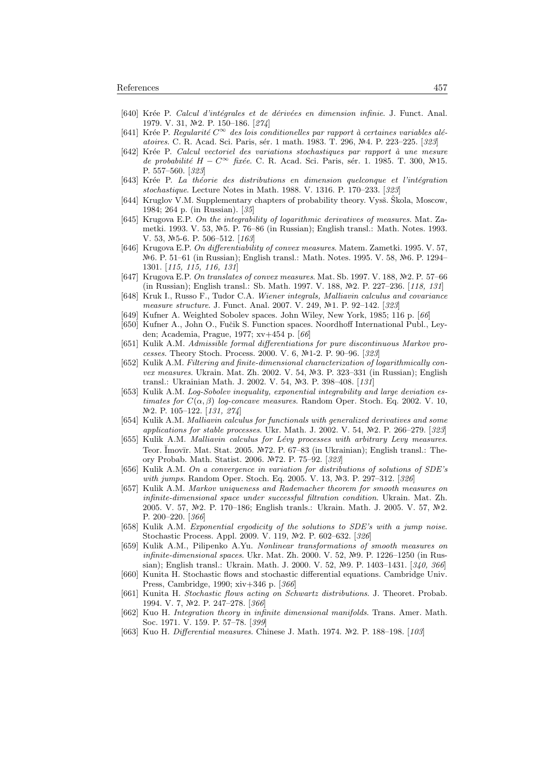- [640] Krée P. Calcul d'intégrales et de dérivées en dimension infinie. J. Funct. Anal. 1979. V. 31,  $\mathbb{N}^2$ . P. 150–186. [274]
- [641] Krée P. Regularité  $C^{\infty}$  des lois conditionelles par rapport à certaines variables aléatoires. C. R. Acad. Sci. Paris, sér. 1 math. 1983. T. 296, №4. P. 223-225. [323]
- [642] Krée P. Calcul vectoriel des variations stochastiques par rapport à une mesure de probabilité H –  $C^{\infty}$  fixée. C. R. Acad. Sci. Paris, sér. 1. 1985. T. 300, №15. P. 557–560. [323]
- [643] Krée P. La théorie des distributions en dimension quelconque et l'intégration stochastique. Lecture Notes in Math. 1988. V. 1316. P. 170–233. [323]
- [644] Kruglov V.M. Supplementary chapters of probability theory. Vysš. Skola, Moscow, 1984; 264 p. (in Russian). [35]
- [645] Krugova E.P. On the integrability of logarithmic derivatives of measures. Mat. Zametki. 1993. V. 53, №5. P. 76–86 (in Russian); English transl.: Math. Notes. 1993. V. 53,  $N=5-6$ . P. 506-512. [163]
- [646] Krugova E.P. On differentiability of convex measures. Matem. Zametki. 1995. V. 57, Nº6. P. 51–61 (in Russian); English transl.: Math. Notes. 1995. V. 58, №6. P. 1294– 1301. [115, 115, 116, 131]
- [647] Krugova E.P. On translates of convex measures. Mat. Sb. 1997. V. 188,  $N<sup>2</sup>$ . P. 57–66 (in Russian); English transl.: Sb. Math. 1997. V. 188, №2. P. 227–236. [118, 131]
- [648] Kruk I., Russo F., Tudor C.A. Wiener integrals, Malliavin calculus and covariance measure structure. J. Funct. Anal. 2007. V. 249, 1. P. 92–142. [323]
- [649] Kufner A. Weighted Sobolev spaces. John Wiley, New York, 1985; 116 p. [66]
- [650] Kufner A., John O., Fučik S. Function spaces. Noordhoff International Publ., Leyden; Academia, Prague, 1977; xv+454 p. [66]
- [651] Kulik A.M. Admissible formal differentiations for pure discontinuous Markov processes. Theory Stoch. Process. 2000. V. 6, №1-2. P. 90–96. [323]
- [652] Kulik A.M. Filtering and finite-dimensional characterization of logarithmically convex measures. Ukrain. Mat. Zh. 2002. V. 54,  $\mathbb{N}^3$ . P. 323–331 (in Russian); English transl.: Ukrainian Math. J. 2002. V. 54, №3. P. 398–408. [131]
- [653] Kulik A.M. Log-Sobolev inequality, exponential integrability and large deviation estimates for  $C(\alpha, \beta)$  log-concave measures. Random Oper. Stoch. Eq. 2002. V. 10, 2. P. 105–122. [131, 274]
- [654] Kulik A.M. Malliavin calculus for functionals with generalized derivatives and some applications for stable processes. Ukr. Math. J. 2002. V. 54, Nº2. P. 266-279. [323]
- [655] Kulik A.M. Malliavin calculus for Lévy processes with arbitrary Levy measures. Teor. Ĭmovīr. Mat. Stat. 2005. №72. P. 67–83 (in Ukrainian); English transl.: Theory Probab. Math. Statist. 2006. 72. P. 75–92. [323]
- [656] Kulik A.M. On a convergence in variation for distributions of solutions of SDE's with jumps. Random Oper. Stoch. Eq. 2005. V. 13, Nº3. P. 297-312. [326]
- [657] Kulik A.M. Markov uniqueness and Rademacher theorem for smooth measures on infinite-dimensional space under successful filtration condition. Ukrain. Mat. Zh. 2005. V. 57, №2. P. 170–186; English tranls.: Ukrain. Math. J. 2005. V. 57, №2. P. 200–220. [366]
- [658] Kulik A.M. Exponential ergodicity of the solutions to SDE's with a jump noise. Stochastic Process. Appl. 2009. V. 119, №2. P. 602–632. [326]
- [659] Kulik A.M., Pilipenko A.Yu. Nonlinear transformations of smooth measures on infinite-dimensional spaces. Ukr. Mat. Zh. 2000. V. 52,  $N<sup>2</sup>9$ . P. 1226–1250 (in Russian); English transl.: Ukrain. Math. J. 2000. V. 52,  $N<sup>2</sup>9$ . P. 1403–1431. [340, 366]
- [660] Kunita H. Stochastic flows and stochastic differential equations. Cambridge Univ. Press, Cambridge, 1990; xiv+346 p. [366]
- [661] Kunita H. Stochastic flows acting on Schwartz distributions. J. Theoret. Probab. 1994. V. 7, №2. P. 247-278. [366]
- [662] Kuo H. Integration theory in infinite dimensional manifolds. Trans. Amer. Math. Soc. 1971. V. 159. P. 57–78. [399]
- [663] Kuo H. Differential measures. Chinese J. Math. 1974. Nº2. P. 188-198. [103]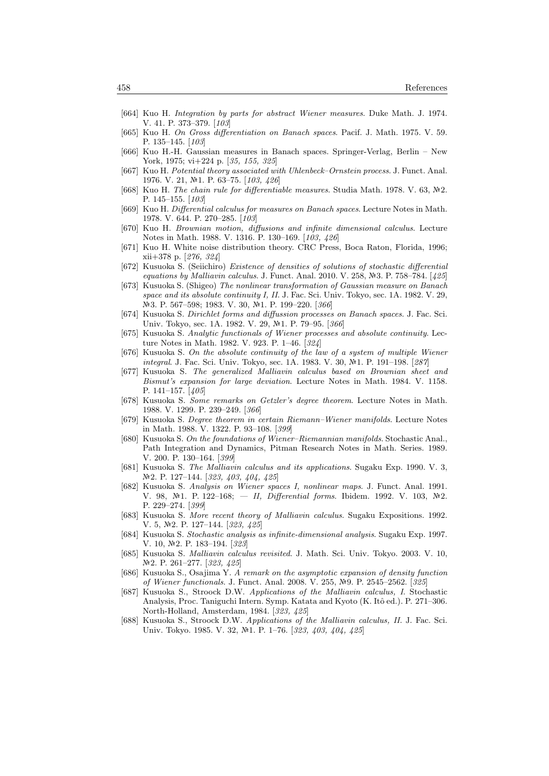- [664] Kuo H. Integration by parts for abstract Wiener measures. Duke Math. J. 1974. V. 41. P. 373–379. [103]
- [665] Kuo H. On Gross differentiation on Banach spaces. Pacif. J. Math. 1975. V. 59. P. 135–145. [103]
- [666] Kuo H.-H. Gaussian measures in Banach spaces. Springer-Verlag, Berlin New York, 1975; vi+224 p. [35, 155, 325]
- [667] Kuo H. Potential theory associated with Uhlenbeck–Ornstein process. J. Funct. Anal. 1976. V. 21, №1. P. 63-75. [103, 426]
- [668] Kuo H. The chain rule for differentiable measures. Studia Math. 1978. V. 63,  $\mathbb{N}^2$ . P. 145–155. [103]
- [669] Kuo H. Differential calculus for measures on Banach spaces. Lecture Notes in Math. 1978. V. 644. P. 270–285. [103]
- [670] Kuo H. Brownian motion, diffusions and infinite dimensional calculus. Lecture Notes in Math. 1988. V. 1316. P. 130–169. [103, 426]
- [671] Kuo H. White noise distribution theory. CRC Press, Boca Raton, Florida, 1996; xii+378 p. [276, 324]
- [672] Kusuoka S. (Seiichiro) Existence of densities of solutions of stochastic differential equations by Malliavin calculus. J. Funct. Anal. 2010. V. 258,  $N=3$ . P. 758–784. [425]
- [673] Kusuoka S. (Shigeo) The nonlinear transformation of Gaussian measure on Banach space and its absolute continuity I, II. J. Fac. Sci. Univ. Tokyo, sec. 1A. 1982. V. 29, №3. P. 567–598; 1983. V. 30, №1. P. 199–220. [366]
- [674] Kusuoka S. Dirichlet forms and diffussion processes on Banach spaces. J. Fac. Sci. Univ. Tokyo, sec. 1A. 1982. V. 29, Nº1. P. 79-95. [366]
- [675] Kusuoka S. Analytic functionals of Wiener processes and absolute continuity. Lecture Notes in Math. 1982. V. 923. P. 1–46. [324]
- [676] Kusuoka S. On the absolute continuity of the law of a system of multiple Wiener integral. J. Fac. Sci. Univ. Tokyo, sec. 1A. 1983. V. 30, No.1. P. 191–198. [287]
- [677] Kusuoka S. The generalized Malliavin calculus based on Brownian sheet and Bismut's expansion for large deviation. Lecture Notes in Math. 1984. V. 1158. P. 141–157. [405]
- [678] Kusuoka S. Some remarks on Getzler's degree theorem. Lecture Notes in Math. 1988. V. 1299. P. 239–249. [366]
- [679] Kusuoka S. Degree theorem in certain Riemann–Wiener manifolds. Lecture Notes in Math. 1988. V. 1322. P. 93–108. [399]
- [680] Kusuoka S. On the foundations of Wiener–Riemannian manifolds. Stochastic Anal. Path Integration and Dynamics, Pitman Research Notes in Math. Series. 1989. V. 200. P. 130–164. [399]
- [681] Kusuoka S. The Malliavin calculus and its applications. Sugaku Exp. 1990. V. 3, №2. P. 127–144. [323, 403, 404, 425]
- [682] Kusuoka S. Analysis on Wiener spaces I, nonlinear maps. J. Funct. Anal. 1991. V. 98,  $\mathbb{N}^2$ 1. P. 122-168; — II, Differential forms. Ibidem. 1992. V. 103,  $\mathbb{N}^2$ . P. 229–274. [399]
- [683] Kusuoka S. More recent theory of Malliavin calculus. Sugaku Expositions. 1992. V. 5, №2. P. 127–144. [323, 425]
- [684] Kusuoka S. Stochastic analysis as infinite-dimensional analysis. Sugaku Exp. 1997. V. 10, №2. P. 183-194. [323]
- [685] Kusuoka S. Malliavin calculus revisited. J. Math. Sci. Univ. Tokyo. 2003. V. 10, №2. P. 261–277. [323, 425]
- [686] Kusuoka S., Osajima Y. A remark on the asymptotic expansion of density function of Wiener functionals. J. Funct. Anal. 2008. V. 255, №9. P. 2545–2562. [325]
- [687] Kusuoka S., Stroock D.W. Applications of the Malliavin calculus, I. Stochastic Analysis, Proc. Taniguchi Intern. Symp. Katata and Kyoto (K. Itô ed.). P. 271-306. North-Holland, Amsterdam, 1984. [323, 425]
- [688] Kusuoka S., Stroock D.W. Applications of the Malliavin calculus, II. J. Fac. Sci. Univ. Tokyo. 1985. V. 32, №1. P. 1–76. [323, 403, 404, 425]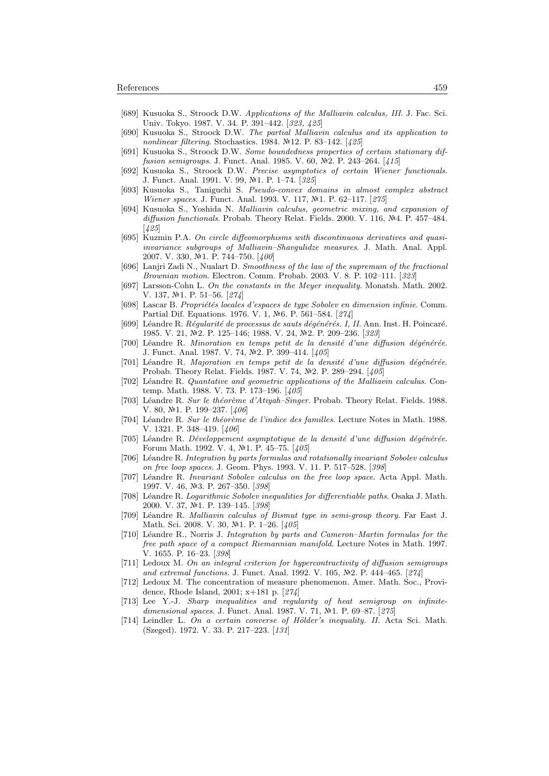- [689] Kusuoka S., Stroock D.W. Applications of the Malliavin calculus, III. J. Fac. Sci. Univ. Tokyo. 1987. V. 34. P. 391–442. [323, 425]
- [690] Kusuoka S., Stroock D.W. The partial Malliavin calculus and its application to nonlinear filtering. Stochastics. 1984.  $N=12$ . P. 83-142. [425]
- [691] Kusuoka S., Stroock D.W. Some boundedness properties of certain stationary diffusion semigroups. J. Funct. Anal. 1985. V. 60, Nº2. P. 243-264. [415]
- [692] Kusuoka S., Stroock D.W. Precise asymptotics of certain Wiener functionals. J. Funct. Anal. 1991. V. 99, №1. P. 1-74. [325]
- [693] Kusuoka S., Taniguchi S. Pseudo-convex domains in almost complex abstract Wiener spaces. J. Funct. Anal. 1993. V. 117, №1. P. 62-117. [275]
- [694] Kusuoka S., Yoshida N. Malliavin calculus, geometric mixing, and expansion of diffusion functionals. Probab. Theory Relat. Fields. 2000. V. 116,  $N<sup>4</sup>4$ . P. 457–484. [425]
- [695] Kuzmin P.A. On circle diffeomorphisms with discontinuous derivatives and quasiinvariance subgroups of Malliavin–Shavgulidze measures. J. Math. Anal. Appl. 2007. V. 330, №1. P. 744-750. [400]
- [696] Lanjri Zadi N., Nualart D. Smoothness of the law of the supremum of the fractional Brownian motion. Electron. Comm. Probab. 2003. V. 8. P. 102–111. [323]
- [697] Larsson-Cohn L. On the constants in the Meyer inequality. Monatsh. Math. 2002. V. 137, №1. P. 51–56. [274]
- [698] Lascar B. Propriétés locales d'espaces de type Sobolev en dimension infinie. Comm. Partial Dif. Equations. 1976. V. 1, No. P. 561–584. [274]
- [699] Léandre R. Régularité de processus de sauts dégénérés. I, II. Ann. Inst. H. Poincaré. 1985. V. 21, №2. P. 125-146; 1988. V. 24, №2. P. 209-236. [323]
- $[700]$  Léandre R. Minoration en temps petit de la densité d'une diffusion dégénérée. J. Funct. Anal. 1987. V. 74,  $\mathbb{N}^2$ . P. 399–414. [ $405$ ]
- [701] Léandre R. Majoration en temps petit de la densité d'une diffusion dégénérée. Probab. Theory Relat. Fields. 1987. V. 74,  $N<sup>2</sup>$ . P. 289–294. [405]
- [702] Léandre R. Quantative and geometric applications of the Malliavin calculus. Contemp. Math. 1988. V. 73. P. 173–196. [405]
- [703] Léandre R. Sur le théorème d'Atiyah–Singer. Probab. Theory Relat. Fields. 1988. V. 80,  $N\geq 1$ . P. 199-237. [406]
- [704] Léandre R. Sur le théorème de l'indice des familles. Lecture Notes in Math. 1988. V. 1321. P. 348–419. [406]
- [705] Léandre R. Développement asymptotique de la densité d'une diffusion dégénérée. Forum Math. 1992. V. 4, №1. P. 45–75. [405]
- [706] Léandre R. Integration by parts formulas and rotationally invariant Sobolev calculus on free loop spaces. J. Geom. Phys. 1993. V. 11. P. 517–528. [398]
- [707] Léandre R. Invariant Sobolev calculus on the free loop space. Acta Appl. Math. 1997. V. 46, №3. P. 267-350. [398]
- [708] Léandre R. Logarithmic Sobolev inequalities for differentiable paths. Osaka J. Math. 2000. V. 37, №1. P. 139-145. [398]
- [709] Léandre R. Malliavin calculus of Bismut type in semi-group theory. Far East J. Math. Sci. 2008. V. 30, №1. P. 1–26. [405]
- [710] Léandre R., Norris J. Integration by parts and Cameron–Martin formulas for the free path space of a compact Riemannian manifold. Lecture Notes in Math. 1997. V. 1655. P. 16–23. [398]
- [711] Ledoux M. On an integral criterion for hypercontractivity of diffusion semigroups and extremal functions. J. Funct. Anal. 1992. V. 105,  $N<sup>2</sup>$ . P. 444–465. [274]
- [712] Ledoux M. The concentration of measure phenomenon. Amer. Math. Soc., Providence, Rhode Island, 2001; x+181 p. [274]
- [713] Lee Y.-J. Sharp inequalities and regularity of heat semigroup on infinitedimensional spaces. J. Funct. Anal. 1987. V. 71,  $N=1$ . P. 69–87. [275]
- [714] Leindler L. On a certain converse of Hölder's inequality. II. Acta Sci. Math. (Szeged). 1972. V. 33. P. 217–223. [131]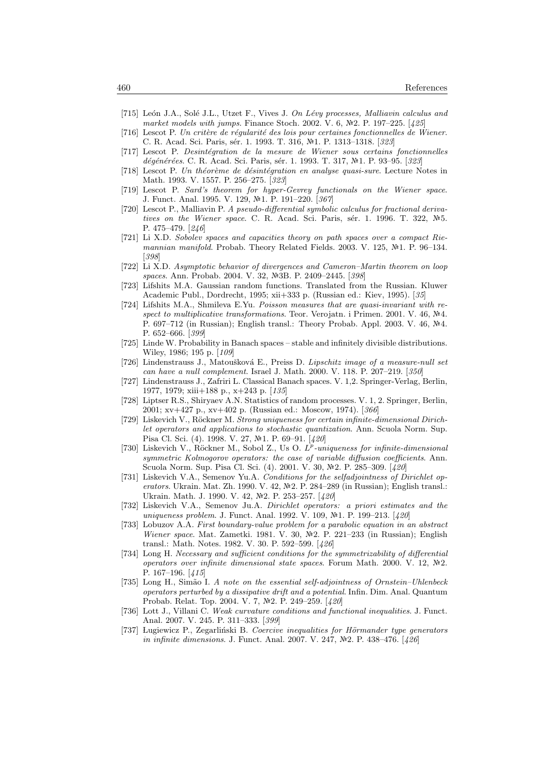- [715] León J.A., Solé J.L., Utzet F., Vives J. On Lévy processes, Malliavin calculus and market models with jumps. Finance Stoch. 2002. V. 6,  $N<sup>2</sup>$ . P. 197–225. [425]
- [716] Lescot P. Un critère de régularité des lois pour certaines fonctionnelles de Wiener. C. R. Acad. Sci. Paris, sér. 1. 1993. T. 316, №1. P. 1313–1318. [323]
- [717] Lescot P. Desintégration de la mesure de Wiener sous certains fonctionnelles dégénérées. C. R. Acad. Sci. Paris, sér. 1. 1993. T. 317, №1. P. 93-95. [323]
- [718] Lescot P. Un théorème de désintégration en analyse quasi-sure. Lecture Notes in Math. 1993. V. 1557. P. 256–275. [323]
- [719] Lescot P. Sard's theorem for hyper-Gevrey functionals on the Wiener space. J. Funct. Anal. 1995. V. 129, №1. P. 191-220. [367]
- [720] Lescot P., Malliavin P. A pseudo-differential symbolic calculus for fractional derivatives on the Wiener space. C. R. Acad. Sci. Paris, sér. 1. 1996. T. 322,  $N<sup>2</sup>5$ . P. 475–479. [246]
- [721] Li X.D. Sobolev spaces and capacities theory on path spaces over a compact Riemannian manifold. Probab. Theory Related Fields. 2003. V. 125,  $\mathbb{N}^2$ 1. P. 96–134. [398]
- [722] Li X.D. Asymptotic behavior of divergences and Cameron–Martin theorem on loop spaces. Ann. Probab. 2004. V. 32, Nº3B. P. 2409-2445. [398]
- [723] Lifshits M.A. Gaussian random functions. Translated from the Russian. Kluwer Academic Publ., Dordrecht, 1995; xii+333 p. (Russian ed.: Kiev, 1995). [35]
- [724] Lifshits M.A., Shmileva E.Yu. Poisson measures that are quasi-invariant with respect to multiplicative transformations. Teor. Verojatn. i Primen. 2001. V. 46,  $N<sup>2</sup>4$ . P. 697–712 (in Russian); English transl.: Theory Probab. Appl. 2003. V. 46,  $\mathbb{N}^2$ 4. P. 652–666. [399]
- [725] Linde W. Probability in Banach spaces stable and infinitely divisible distributions. Wiley, 1986; 195 p. [109]
- [726] Lindenstrauss J., Matoušková E., Preiss D. Lipschitz image of a measure-null set can have a null complement. Israel J. Math. 2000. V. 118. P. 207–219. [350]
- [727] Lindenstrauss J., Zafriri L. Classical Banach spaces. V. 1,2. Springer-Verlag, Berlin, 1977, 1979; xiii+188 p., x+243 p. [135]
- [728] Liptser R.S., Shiryaev A.N. Statistics of random processes. V. 1, 2. Springer, Berlin, 2001; xv+427 p., xv+402 p. (Russian ed.: Moscow, 1974). [366]
- [729] Liskevich V., Röckner M. Strong uniqueness for certain infinite-dimensional Dirichlet operators and applications to stochastic quantization. Ann. Scuola Norm. Sup. Pisa Cl. Sci. (4). 1998. V. 27, №1. P. 69–91. [420]
- [730] Liskevich V., Röckner M., Sobol Z., Us O. L<sup>p</sup>-uniqueness for infinite-dimensional symmetric Kolmogorov operators: the case of variable diffusion coefficients. Ann. Scuola Norm. Sup. Pisa Cl. Sci. (4). 2001. V. 30, Nº2. P. 285-309. [420]
- [731] Liskevich V.A., Semenov Yu.A. Conditions for the selfadjointness of Dirichlet operators. Ukrain. Mat. Zh. 1990. V. 42,  $\mathbb{N}^2$ . P. 284–289 (in Russian); English transl.: Ukrain. Math. J. 1990. V. 42, №2. P. 253-257. [420]
- [732] Liskevich V.A., Semenov Ju.A. Dirichlet operators: a priori estimates and the uniqueness problem. J. Funct. Anal. 1992. V. 109, №1. P. 199-213. [420]
- [733] Lobuzov A.A. First boundary-value problem for a parabolic equation in an abstract Wiener space. Mat. Zametki. 1981. V. 30,  $\mathbb{N}^2$ . P. 221–233 (in Russian); English transl.: Math. Notes. 1982. V. 30. P. 592–599. [426]
- [734] Long H. Necessary and sufficient conditions for the symmetrizability of differential operators over infinite dimensional state spaces. Forum Math. 2000. V. 12,  $N<sup>2</sup>2$ . P. 167–196. [415]
- [735] Long H., Simão I. A note on the essential self-adjointness of Ornstein–Uhlenbeck operators perturbed by a dissipative drift and a potential. Infin. Dim. Anal. Quantum Probab. Relat. Top. 2004. V. 7, №2. P. 249-259. [420]
- [736] Lott J., Villani C. Weak curvature conditions and functional inequalities. J. Funct. Anal. 2007. V. 245. P. 311–333. [399]
- [737] Lugiewicz P., Zegarliński B. Coercive inequalities for Hörmander type generators in infinite dimensions. J. Funct. Anal. 2007. V. 247,  $N$ <sup>2</sup>. P. 438-476. [426]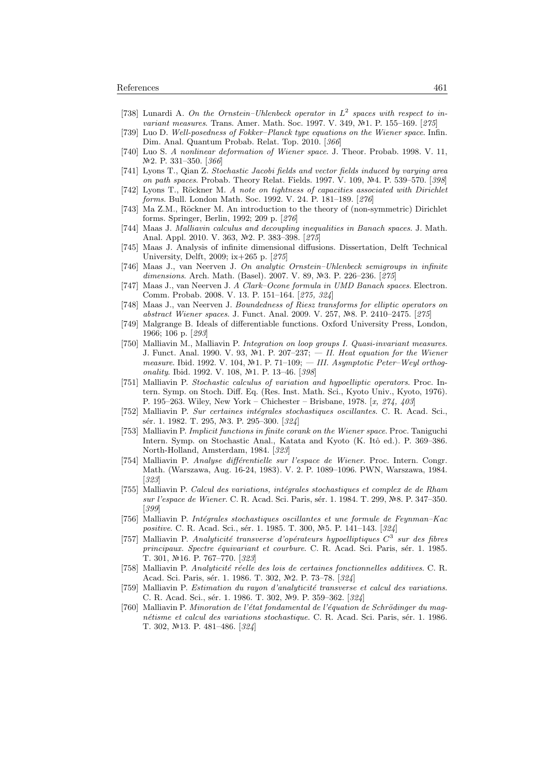- [738] Lunardi A. On the Ornstein–Uhlenbeck operator in  $L^2$  spaces with respect to invariant measures. Trans. Amer. Math. Soc. 1997. V. 349, №1. P. 155-169. [275]
- [739] Luo D. Well-posedness of Fokker–Planck type equations on the Wiener space. Infin. Dim. Anal. Quantum Probab. Relat. Top. 2010. [366]
- [740] Luo S. A nonlinear deformation of Wiener space. J. Theor. Probab. 1998. V. 11, N<sup>o</sup>2. P. 331-350. [366]
- [741] Lyons T., Qian Z. Stochastic Jacobi fields and vector fields induced by varying area on path spaces. Probab. Theory Relat. Fields. 1997. V. 109, Nº4. P. 539-570. [398]
- $[742]$  Lyons T., Röckner M. A note on tightness of capacities associated with Dirichlet forms. Bull. London Math. Soc. 1992. V. 24. P. 181–189. [276]
- [743] Ma Z.M., Röckner M. An introduction to the theory of (non-symmetric) Dirichlet forms. Springer, Berlin, 1992; 209 p. [276]
- [744] Maas J. Malliavin calculus and decoupling inequalities in Banach spaces. J. Math. Anal. Appl. 2010. V. 363, №2. P. 383-398. [275]
- [745] Maas J. Analysis of infinite dimensional diffusions. Dissertation, Delft Technical University, Delft, 2009; ix+265 p. [275]
- [746] Maas J., van Neerven J. On analytic Ornstein–Uhlenbeck semigroups in infinite dimensions. Arch. Math. (Basel). 2007. V. 89, Nº3. P. 226-236. [275]
- [747] Maas J., van Neerven J. A Clark–Ocone formula in UMD Banach spaces. Electron. Comm. Probab. 2008. V. 13. P. 151–164. [275, 324]
- [748] Maas J., van Neerven J. Boundedness of Riesz transforms for elliptic operators on abstract Wiener spaces. J. Funct. Anal. 2009. V. 257, №8. P. 2410–2475. [275]
- [749] Malgrange B. Ideals of differentiable functions. Oxford University Press, London, 1966; 106 p. [293]
- [750] Malliavin M., Malliavin P. Integration on loop groups I. Quasi-invariant measures. J. Funct. Anal. 1990. V. 93,  $\mathbb{N}^2$ 1. P. 207–237; — II. Heat equation for the Wiener measure. Ibid. 1992. V. 104,  $N<sup>2</sup>1$ . P. 71-109; - III. Asymptotic Peter-Weyl orthogonality. Ibid. 1992. V. 108,  $N\!\!\text{-.}$  P. 13-46. [398]
- [751] Malliavin P. Stochastic calculus of variation and hypoelliptic operators. Proc. Intern. Symp. on Stoch. Diff. Eq. (Res. Inst. Math. Sci., Kyoto Univ., Kyoto, 1976). P. 195–263. Wiley, New York – Chichester – Brisbane, 1978. [x, 274, 403]
- [752] Malliavin P. Sur certaines intégrales stochastiques oscillantes. C. R. Acad. Sci., sér. 1. 1982. T. 295, №3. P. 295–300. [324]
- [753] Malliavin P. Implicit functions in finite corank on the Wiener space. Proc. Taniguchi Intern. Symp. on Stochastic Anal., Katata and Kyoto (K. Itô ed.). P. 369–386. North-Holland, Amsterdam, 1984. [323]
- [754] Malliavin P. Analyse différentielle sur l'espace de Wiener. Proc. Intern. Congr. Math. (Warszawa, Aug. 16-24, 1983). V. 2. P. 1089–1096. PWN, Warszawa, 1984. [323]
- [755] Malliavin P. Calcul des variations, intégrales stochastiques et complex de de Rham sur l'espace de Wiener. C. R. Acad. Sci. Paris, sér. 1. 1984. T. 299, №8. P. 347–350. [399]
- [756] Malliavin P. Intégrales stochastiques oscillantes et une formule de Feynman–Kac positive. C. R. Acad. Sci., sér. 1. 1985. T. 300, №5. P. 141-143. [324]
- [757] Malliavin P. Analyticité transverse d'opérateurs hypoelliptiques  $C^3$  sur des fibres principaux. Spectre équivariant et courbure. C. R. Acad. Sci. Paris, sér. 1. 1985. T. 301, №16. P. 767-770. [323]
- [758] Malliavin P. Analyticité réelle des lois de certaines fonctionnelles additives. C. R. Acad. Sci. Paris, sér. 1. 1986. T. 302, №2. P. 73-78. [324]
- [759] Malliavin P. Estimation du rayon d'analyticité transverse et calcul des variations. C. R. Acad. Sci., sér. 1. 1986. T. 302, №9. P. 359–362. [324]
- [760] Malliavin P. Minoration de l'état fondamental de l'équation de Schrödinger du magnétisme et calcul des variations stochastique. C. R. Acad. Sci. Paris, sér. 1. 1986. T. 302, №13. P. 481–486. [324]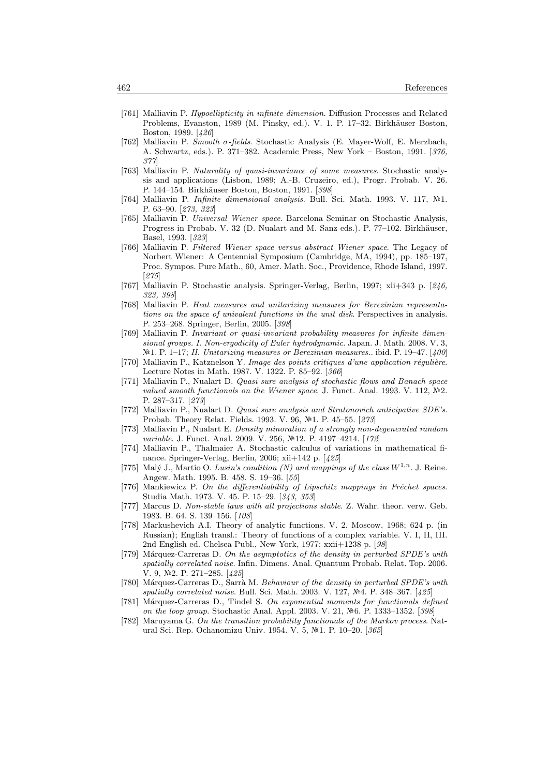- [761] Malliavin P. Hypoellipticity in infinite dimension. Diffusion Processes and Related Problems, Evanston, 1989 (M. Pinsky, ed.). V. 1. P. 17–32. Birkhäuser Boston, Boston, 1989. [426]
- [762] Malliavin P. Smooth σ-fields. Stochastic Analysis (E. Mayer-Wolf, E. Merzbach, A. Schwartz, eds.). P. 371–382. Academic Press, New York – Boston, 1991. [376, 377]
- [763] Malliavin P. Naturality of quasi-invariance of some measures. Stochastic analysis and applications (Lisbon, 1989; A.-B. Cruzeiro, ed.), Progr. Probab. V. 26. P. 144–154. Birkhäuser Boston, Boston, 1991. [398]
- [764] Malliavin P. Infinite dimensional analysis. Bull. Sci. Math. 1993. V. 117,  $\mathbb{N}^2$ 1. P. 63–90. [273, 323]
- [765] Malliavin P. Universal Wiener space. Barcelona Seminar on Stochastic Analysis, Progress in Probab. V. 32 (D. Nualart and M. Sanz eds.). P. 77–102. Birkhäuser, Basel, 1993. [323]
- [766] Malliavin P. Filtered Wiener space versus abstract Wiener space. The Legacy of Norbert Wiener: A Centennial Symposium (Cambridge, MA, 1994), pp. 185–197, Proc. Sympos. Pure Math., 60, Amer. Math. Soc., Providence, Rhode Island, 1997. [275]
- [767] Malliavin P. Stochastic analysis. Springer-Verlag, Berlin, 1997; xii+343 p. [246, 323, 398]
- [768] Malliavin P. Heat measures and unitarizing measures for Berezinian representations on the space of univalent functions in the unit disk. Perspectives in analysis. P. 253–268. Springer, Berlin, 2005. [398]
- [769] Malliavin P. Invariant or quasi-invariant probability measures for infinite dimensional groups. I. Non-ergodicity of Euler hydrodynamic. Japan. J. Math. 2008. V. 3,  $N<sup>2</sup>1.$  P. 1–17; II. Unitarizing measures or Berezinian measures.. ibid. P. 19–47. [400]
- $[770]$  Malliavin P., Katznelson Y. Image des points critiques d'une application régulière. Lecture Notes in Math. 1987. V. 1322. P. 85–92. [366]
- [771] Malliavin P., Nualart D. Quasi sure analysis of stochastic flows and Banach space valued smooth functionals on the Wiener space. J. Funct. Anal. 1993. V. 112,  $\mathbb{N}^2$ . P. 287–317. [273]
- [772] Malliavin P., Nualart D. Quasi sure analysis and Stratonovich anticipative SDE's. Probab. Theory Relat. Fields. 1993. V. 96, №1. P. 45–55. [273]
- [773] Malliavin P., Nualart E. Density minoration of a strongly non-degenerated random variable. J. Funct. Anal. 2009. V. 256, №12. P. 4197-4214. [172]
- [774] Malliavin P., Thalmaier A. Stochastic calculus of variations in mathematical finance. Springer-Verlag, Berlin, 2006; xii+142 p. [425]
- [775] Malý J., Martio O. Lusin's condition (N) and mappings of the class  $W^{1,n}$ . J. Reine. Angew. Math. 1995. B. 458. S. 19–36. [55]
- [776] Mankiewicz P. On the differentiability of Lipschitz mappings in Fréchet spaces. Studia Math. 1973. V. 45. P. 15–29. [343, 353]
- [777] Marcus D. Non-stable laws with all projections stable. Z. Wahr. theor. verw. Geb. 1983. B. 64. S. 139–156. [108]
- [778] Markushevich A.I. Theory of analytic functions. V. 2. Moscow, 1968; 624 p. (in Russian); English transl.: Theory of functions of a complex variable. V. I, II, III. 2nd English ed. Chelsea Publ., New York, 1977; xxii+1238 p. [98]
- [779] Márquez-Carreras D. On the asymptotics of the density in perturbed SPDE's with spatially correlated noise. Infin. Dimens. Anal. Quantum Probab. Relat. Top. 2006. V. 9,  $\mathbb{N}2$ . P. 271-285. [425]
- [780] Márquez-Carreras D., Sarrà M. Behaviour of the density in perturbed SPDE's with spatially correlated noise. Bull. Sci. Math. 2003. V. 127,  $N<sup>2</sup>4$ . P. 348–367. [425]
- [781] Márquez-Carreras D., Tindel S. On exponential moments for functionals defined on the loop group. Stochastic Anal. Appl. 2003. V. 21, Nº6. P. 1333-1352. [398]
- [782] Maruyama G. On the transition probability functionals of the Markov process. Natural Sci. Rep. Ochanomizu Univ. 1954. V. 5, №1. P. 10–20. [365]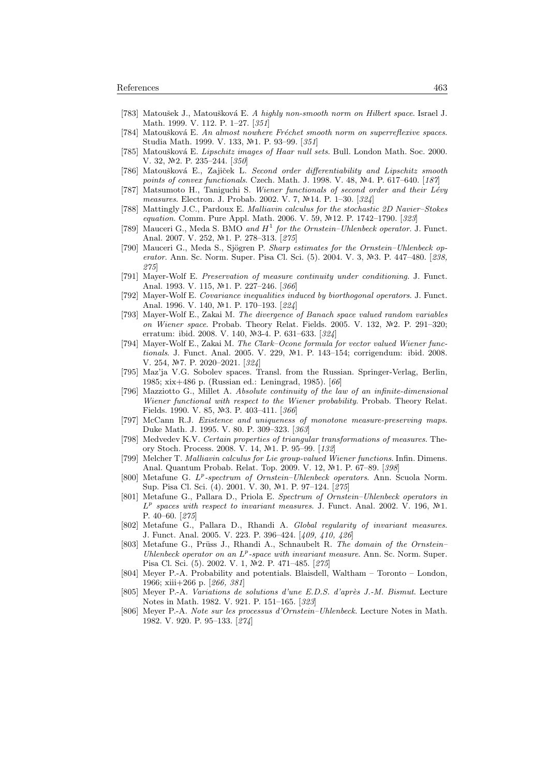- [783] Matoušek J., Matoušková E. A highly non-smooth norm on Hilbert space. Israel J. Math. 1999. V. 112. P. 1–27. [351]
- [784] Matoušková E. An almost nowhere Fréchet smooth norm on superreflexive spaces. Studia Math. 1999. V. 133, №1. P. 93-99. [351]
- [785] Matoušková E. Lipschitz images of Haar null sets. Bull. London Math. Soc. 2000. V. 32, №2. P. 235–244. [350]
- [786] Matoušková E., Zajiček L. Second order differentiability and Lipschitz smooth points of convex functionals. Czech. Math. J. 1998. V. 48, Nº4. P. 617-640. [187]
- [787] Matsumoto H., Taniguchi S. Wiener functionals of second order and their Lévy measures. Electron. J. Probab. 2002. V. 7, №14. P. 1–30. [324]
- [788] Mattingly J.C., Pardoux E. Malliavin calculus for the stochastic 2D Navier–Stokes equation. Comm. Pure Appl. Math. 2006. V. 59, Nº12. P. 1742–1790. [323]
- [789] Mauceri G., Meda S. BMO and  $H^1$  for the Ornstein–Uhlenbeck operator. J. Funct. Anal. 2007. V. 252, №1. P. 278-313. [275]
- [790] Mauceri G., Meda S., Sjögren P. Sharp estimates for the Ornstein–Uhlenbeck operator. Ann. Sc. Norm. Super. Pisa Cl. Sci. (5). 2004. V. 3, Nº3. P. 447-480. [238, 275]
- [791] Mayer-Wolf E. Preservation of measure continuity under conditioning. J. Funct. Anal. 1993. V. 115, №1. P. 227-246. [366]
- [792] Mayer-Wolf E. Covariance inequalities induced by biorthogonal operators. J. Funct. Anal. 1996. V. 140, №1. P. 170-193. [224]
- [793] Mayer-Wolf E., Zakai M. The divergence of Banach space valued random variables on Wiener space. Probab. Theory Relat. Fields. 2005. V. 132,  $\mathbb{N}^2$ . P. 291–320; erratum: ibid. 2008. V. 140, Nº3-4. P. 631-633. [324]
- [794] Mayer-Wolf E., Zakai M. The Clark–Ocone formula for vector valued Wiener functionals. J. Funct. Anal. 2005. V. 229, №1. P. 143-154; corrigendum: ibid. 2008. V. 254, 7. P. 2020–2021. [324]
- [795] Maz'ja V.G. Sobolev spaces. Transl. from the Russian. Springer-Verlag, Berlin, 1985; xix+486 p. (Russian ed.: Leningrad, 1985). [66]
- [796] Mazziotto G., Millet A. Absolute continuity of the law of an infinite-dimensional Wiener functional with respect to the Wiener probability. Probab. Theory Relat. Fields. 1990. V. 85, №3. P. 403-411. [366]
- [797] McCann R.J. Existence and uniqueness of monotone measure-preserving maps. Duke Math. J. 1995. V. 80. P. 309–323. [363]
- [798] Medvedev K.V. Certain properties of triangular transformations of measures. Theory Stoch. Process. 2008. V. 14, Nº1. P. 95-99. [132]
- [799] Melcher T. Malliavin calculus for Lie group-valued Wiener functions. Infin. Dimens. Anal. Quantum Probab. Relat. Top. 2009. V. 12, №1. P. 67-89. [398]
- [800] Metafune G. L<sup>p</sup>-spectrum of Ornstein-Uhlenbeck operators. Ann. Scuola Norm. Sup. Pisa Cl. Sci. (4). 2001. V. 30, №1. P. 97-124. [275]
- [801] Metafune G., Pallara D., Priola E. Spectrum of Ornstein–Uhlenbeck operators in  $L^p$  spaces with respect to invariant measures. J. Funct. Anal. 2002. V. 196, Nº1. P. 40–60. [275]
- [802] Metafune G., Pallara D., Rhandi A. Global regularity of invariant measures. J. Funct. Anal. 2005. V. 223. P. 396–424. [409, 410, 426]
- [803] Metafune G., Prüss J., Rhandi A., Schnaubelt R. The domain of the Ornstein– Uhlenbeck operator on an  $L^p$ -space with invariant measure. Ann. Sc. Norm. Super. Pisa Cl. Sci. (5). 2002. V. 1, №2. P. 471–485. [275]
- [804] Meyer P.-A. Probability and potentials. Blaisdell, Waltham Toronto London, 1966; xiii+266 p. [266, 381]
- [805] Meyer P.-A. *Variations de solutions d'une E.D.S. d'après J.-M. Bismut.* Lecture Notes in Math. 1982. V. 921. P. 151–165. [323]
- [806] Meyer P.-A. Note sur les processus d'Ornstein–Uhlenbeck. Lecture Notes in Math. 1982. V. 920. P. 95–133. [274]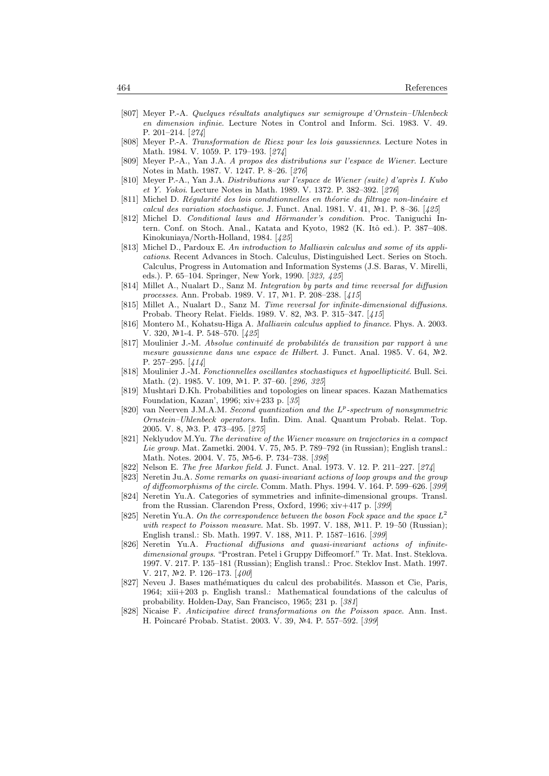- [807] Meyer P.-A. Quelques résultats analytiques sur semigroupe d'Ornstein–Uhlenbeck en dimension infinie. Lecture Notes in Control and Inform. Sci. 1983. V. 49. P. 201–214. [274]
- [808] Meyer P.-A. Transformation de Riesz pour les lois gaussiennes. Lecture Notes in Math. 1984. V. 1059. P. 179–193. [274]
- [809] Meyer P.-A., Yan J.A. A propos des distributions sur l'espace de Wiener. Lecture Notes in Math. 1987. V. 1247. P. 8–26. [276]
- [810] Meyer P.-A., Yan J.A. Distributions sur l'espace de Wiener (suite) d'après I. Kubo et Y. Yokoi. Lecture Notes in Math. 1989. V. 1372. P. 382–392. [276]
- [811] Michel D. Réqularité des lois conditionnelles en théorie du filtrage non-linéaire et calcul des variation stochastique. J. Funct. Anal. 1981. V. 41,  $N<sup>2</sup>1$ . P. 8–36. [425]
- [812] Michel D. Conditional laws and Hörmander's condition. Proc. Taniguchi Intern. Conf. on Stoch. Anal., Katata and Kyoto, 1982 (K. Itô ed.). P. 387-408. Kinokuniaya/North-Holland, 1984. [425]
- [813] Michel D., Pardoux E. An introduction to Malliavin calculus and some of its applications. Recent Advances in Stoch. Calculus, Distinguished Lect. Series on Stoch. Calculus, Progress in Automation and Information Systems (J.S. Baras, V. Mirelli, eds.). P. 65–104. Springer, New York, 1990. [323, 425]
- [814] Millet A., Nualart D., Sanz M. Integration by parts and time reversal for diffusion processes. Ann. Probab. 1989. V. 17, №1. P. 208–238. [415]
- [815] Millet A., Nualart D., Sanz M. Time reversal for infinite-dimensional diffusions. Probab. Theory Relat. Fields. 1989. V. 82, №3. P. 315–347. [415]
- [816] Montero M., Kohatsu-Higa A. Malliavin calculus applied to finance. Phys. A. 2003. V. 320, №1-4. P. 548–570. [425]
- $[817]$  Moulinier J.-M. Absolue continuité de probabilités de transition par rapport à une mesure gaussienne dans une espace de Hilbert. J. Funct. Anal. 1985. V. 64,  $N<sup>2</sup>2$ . P. 257–295. [414]
- [818] Moulinier J.-M. Fonctionnelles oscillantes stochastiques et hypoellipticité. Bull. Sci. Math. (2). 1985. V. 109, №1. P. 37–60. [296, 325]
- [819] Mushtari D.Kh. Probabilities and topologies on linear spaces. Kazan Mathematics Foundation, Kazan', 1996; xiv+233 p. [35]
- [820] van Neerven J.M.A.M. Second quantization and the L<sup>p</sup>-spectrum of nonsymmetric Ornstein–Uhlenbeck operators. Infin. Dim. Anal. Quantum Probab. Relat. Top. 2005. V. 8, №3. P. 473-495. [275]
- [821] Neklyudov M.Yu. The derivative of the Wiener measure on trajectories in a compact Lie group. Mat. Zametki. 2004. V. 75, №5. P. 789–792 (in Russian); English transl.: Math. Notes. 2004. V. 75, Nº5-6. P. 734-738. [398]
- [822] Nelson E. The free Markov field. J. Funct. Anal. 1973. V. 12. P. 211–227. [274]
- [823] Neretin Ju.A. Some remarks on quasi-invariant actions of loop groups and the group of diffeomorphisms of the circle. Comm. Math. Phys. 1994. V. 164. P. 599–626. [399]
- [824] Neretin Yu.A. Categories of symmetries and infinite-dimensional groups. Transl. from the Russian. Clarendon Press, Oxford, 1996; xiv+417 p. [399]
- [825] Neretin Yu.A. On the correspondence between the boson Fock space and the space  $L^2$ with respect to Poisson measure. Mat. Sb. 1997. V. 188,  $N<sup>2</sup>11$ . P. 19–50 (Russian); English transl.: Sb. Math. 1997. V. 188, Nº11. P. 1587-1616. [399]
- [826] Neretin Yu.A. Fractional diffusions and quasi-invariant actions of infinitedimensional groups. "Prostran. Petel i Gruppy Diffeomorf." Tr. Mat. Inst. Steklova. 1997. V. 217. P. 135–181 (Russian); English transl.: Proc. Steklov Inst. Math. 1997. V. 217,  $\mathbb{N}^2$ . P. 126–173. [400]
- [827] Neveu J. Bases mathématiques du calcul des probabilités. Masson et Cie, Paris, 1964; xiii+203 p. English transl.: Mathematical foundations of the calculus of probability. Holden-Day, San Francisco, 1965; 231 p. [381]
- [828] Nicaise F. Anticipative direct transformations on the Poisson space. Ann. Inst. H. Poincaré Probab. Statist. 2003. V. 39, №4. P. 557–592. [399]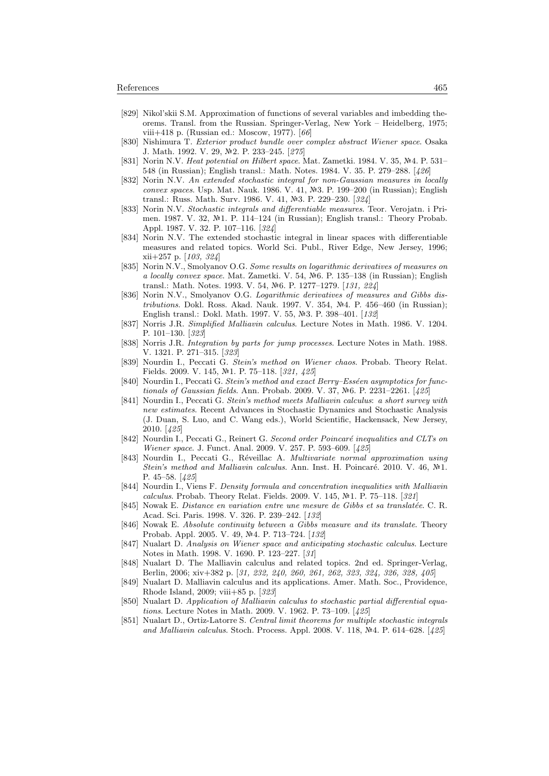- [829] Nikol'skii S.M. Approximation of functions of several variables and imbedding theorems. Transl. from the Russian. Springer-Verlag, New York – Heidelberg, 1975; viii+418 p. (Russian ed.: Moscow, 1977). [66]
- [830] Nishimura T. Exterior product bundle over complex abstract Wiener space. Osaka J. Math. 1992. V. 29, №2. P. 233-245. [275]
- [831] Norin N.V. Heat potential on Hilbert space. Mat. Zametki. 1984. V. 35,  $N<sup>2</sup>4$ . P. 531– 548 (in Russian); English transl.: Math. Notes. 1984. V. 35. P. 279–288. [426]
- [832] Norin N.V. An extended stochastic integral for non-Gaussian measures in locally convex spaces. Usp. Mat. Nauk. 1986. V. 41,  $\mathbb{N}^2$ 3. P. 199–200 (in Russian); English transl.: Russ. Math. Surv. 1986. V. 41, Nº3. P. 229-230. [324]
- [833] Norin N.V. Stochastic integrals and differentiable measures. Teor. Verojatn. i Primen. 1987. V. 32,  $\mathbb{N}1$ . P. 114–124 (in Russian); English transl.: Theory Probab. Appl. 1987. V. 32. P. 107–116. [324]
- [834] Norin N.V. The extended stochastic integral in linear spaces with differentiable measures and related topics. World Sci. Publ., River Edge, New Jersey, 1996; xii+257 p. [103, 324]
- [835] Norin N.V., Smolyanov O.G. Some results on logarithmic derivatives of measures on a locally convex space. Mat. Zametki. V. 54,  $\mathbb{N}_6$ . P. 135–138 (in Russian); English transl.: Math. Notes. 1993. V. 54, Nº6. P. 1277-1279. [131, 224]
- [836] Norin N.V., Smolyanov O.G. Logarithmic derivatives of measures and Gibbs distributions. Dokl. Ross. Akad. Nauk. 1997. V. 354,  $N<sup>2</sup>4$ . P. 456–460 (in Russian); English transl.: Dokl. Math. 1997. V. 55, №3. P. 398–401. [132]
- [837] Norris J.R. Simplified Malliavin calculus. Lecture Notes in Math. 1986. V. 1204. P. 101–130. [323]
- [838] Norris J.R. Integration by parts for jump processes. Lecture Notes in Math. 1988. V. 1321. P. 271–315. [323]
- [839] Nourdin I., Peccati G. Stein's method on Wiener chaos. Probab. Theory Relat. Fields. 2009. V. 145, №1. P. 75–118. [321, 425]
- [840] Nourdin I., Peccati G. Stein's method and exact Berry–Esséen asymptotics for functionals of Gaussian fields. Ann. Probab. 2009. V. 37, Nº6. P. 2231-2261.  $[425]$
- [841] Nourdin I., Peccati G. Stein's method meets Malliavin calculus: a short survey with new estimates. Recent Advances in Stochastic Dynamics and Stochastic Analysis (J. Duan, S. Luo, and C. Wang eds.), World Scientific, Hackensack, New Jersey, 2010. [425]
- [842] Nourdin I., Peccati G., Reinert G. Second order Poincaré inequalities and CLTs on Wiener space. J. Funct. Anal. 2009. V. 257. P. 593–609. [425]
- [843] Nourdin I., Peccati G., Réveillac A. Multivariate normal approximation using Stein's method and Malliavin calculus. Ann. Inst. H. Poincaré. 2010. V. 46,  $\mathbb{N}^2$ 1. P. 45–58. [425]
- [844] Nourdin I., Viens F. Density formula and concentration inequalities with Malliavin calculus. Probab. Theory Relat. Fields. 2009. V. 145, №1. P. 75-118. [321]
- [845] Nowak E. Distance en variation entre une mesure de Gibbs et sa translatée. C. R. Acad. Sci. Paris. 1998. V. 326. P. 239–242. [132]
- [846] Nowak E. Absolute continuity between a Gibbs measure and its translate. Theory Probab. Appl. 2005. V. 49, №4. P. 713–724. [132]
- [847] Nualart D. Analysis on Wiener space and anticipating stochastic calculus. Lecture Notes in Math. 1998. V. 1690. P. 123–227. [31]
- [848] Nualart D. The Malliavin calculus and related topics. 2nd ed. Springer-Verlag, Berlin, 2006; xiv+382 p. [31, 232, 240, 260, 261, 262, 323, 324, 326, 328, 405]
- [849] Nualart D. Malliavin calculus and its applications. Amer. Math. Soc., Providence, Rhode Island, 2009; viii+85 p. [323]
- [850] Nualart D. Application of Malliavin calculus to stochastic partial differential equations. Lecture Notes in Math. 2009. V. 1962. P. 73–109. [425]
- [851] Nualart D., Ortiz-Latorre S. Central limit theorems for multiple stochastic integrals and Malliavin calculus. Stoch. Process. Appl. 2008. V. 118,  $\mathbb{N}^2$ 4. P. 614–628. [425]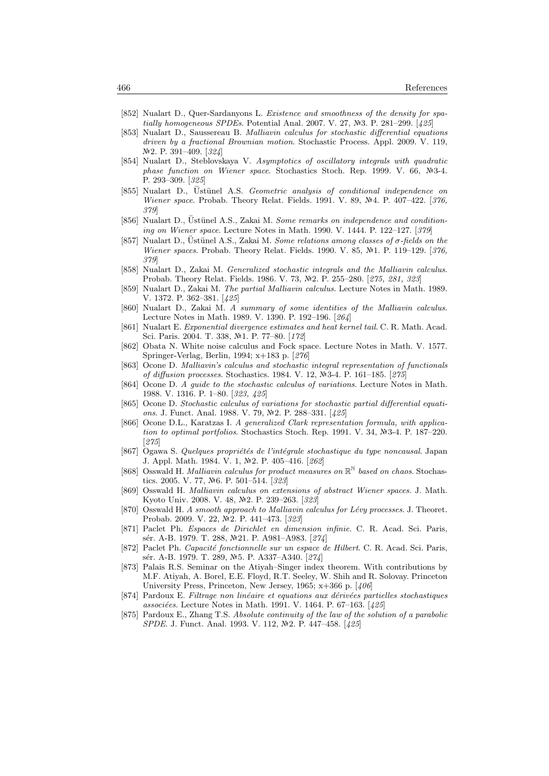- [852] Nualart D., Quer-Sardanyons L. Existence and smoothness of the density for spatially homogeneous SPDEs. Potential Anal. 2007. V. 27, Nº3. P. 281–299. [425]
- [853] Nualart D., Saussereau B. Malliavin calculus for stochastic differential equations driven by a fractional Brownian motion. Stochastic Process. Appl. 2009. V. 119, Nº2. P. 391–409. [324]
- [854] Nualart D., Steblovskaya V. Asymptotics of oscillatory integrals with quadratic phase function on Wiener space. Stochastics Stoch. Rep. 1999. V. 66,  $N=3-4$ . P. 293–309. [325]
- [855] Nualart D., Ustünel A.S. Geometric analysis of conditional independence on Wiener space. Probab. Theory Relat. Fields. 1991. V. 89, Nº4. P. 407-422. [376, 379]
- [856] Nualart D., Ustünel A.S., Zakai M. Some remarks on independence and conditioning on Wiener space. Lecture Notes in Math. 1990. V. 1444. P. 122–127. [379]
- [857] Nualart D., Ustünel A.S., Zakai M. Some relations among classes of  $\sigma$ -fields on the Wiener spaces. Probab. Theory Relat. Fields. 1990. V. 85,  $N<sup>2</sup>1$ . P. 119–129. [376, 379]
- [858] Nualart D., Zakai M. Generalized stochastic integrals and the Malliavin calculus. Probab. Theory Relat. Fields. 1986. V. 73, Nº2. P. 255–280. [275, 281, 323]
- [859] Nualart D., Zakai M. The partial Malliavin calculus. Lecture Notes in Math. 1989. V. 1372. P. 362–381. [425]
- [860] Nualart D., Zakai M. A summary of some identities of the Malliavin calculus. Lecture Notes in Math. 1989. V. 1390. P. 192–196. [264]
- [861] Nualart E. Exponential divergence estimates and heat kernel tail. C. R. Math. Acad. Sci. Paris. 2004. T. 338, №1. P. 77-80. [172]
- [862] Obata N. White noise calculus and Fock space. Lecture Notes in Math. V. 1577. Springer-Verlag, Berlin, 1994; x+183 p. [276]
- [863] Ocone D. Malliavin's calculus and stochastic integral representation of functionals of diffusion processes. Stochastics. 1984. V. 12, Nº3-4. P. 161-185. [275]
- [864] Ocone D. A guide to the stochastic calculus of variations. Lecture Notes in Math. 1988. V. 1316. P. 1–80. [323, 425]
- [865] Ocone D. Stochastic calculus of variations for stochastic partial differential equations. J. Funct. Anal. 1988. V. 79, №2. P. 288–331. [425]
- [866] Ocone D.L., Karatzas I. A generalized Clark representation formula, with application to optimal portfolios. Stochastics Stoch. Rep. 1991. V. 34,  $\mathbb{N}^2$ 3-4. P. 187–220. [275]
- [867] Ogawa S. Quelques propriétés de l'intégrale stochastique du type noncausal. Japan J. Appl. Math. 1984. V. 1, №2. P. 405–416. [262]
- [868] Osswald H. Malliavin calculus for product measures on  $\mathbb{R}^{\mathbb{N}}$  based on chaos. Stochastics. 2005. V. 77, Nº6. P. 501-514. [323]
- [869] Osswald H. Malliavin calculus on extensions of abstract Wiener spaces. J. Math. Kyoto Univ. 2008. V. 48, Nº2. P. 239-263. [323]
- [870] Osswald H. A smooth approach to Malliavin calculus for Lévy processes. J. Theoret. Probab. 2009. V. 22, №2. P. 441-473. [323]
- [871] Paclet Ph. Espaces de Dirichlet en dimension infinie. C. R. Acad. Sci. Paris, sér. A-B. 1979. T. 288, Nº21. P. A981–A983. [274]
- [872] Paclet Ph. Capacité fonctionnelle sur un espace de Hilbert. C. R. Acad. Sci. Paris, sér. A-B. 1979. T. 289, №5. P. A337–A340. [274]
- [873] Palais R.S. Seminar on the Atiyah–Singer index theorem. With contributions by M.F. Atiyah, A. Borel, E.E. Floyd, R.T. Seeley, W. Shih and R. Solovay. Princeton University Press, Princeton, New Jersey, 1965;  $x+366$  p. [406]
- [874] Pardoux E. Filtrage non linéaire et equations aux dérivées partielles stochastiques associées. Lecture Notes in Math. 1991. V. 1464. P. 67-163. [425]
- [875] Pardoux E., Zhang T.S. Absolute continuity of the law of the solution of a parabolic SPDE. J. Funct. Anal. 1993. V. 112, №2. P. 447-458. [425]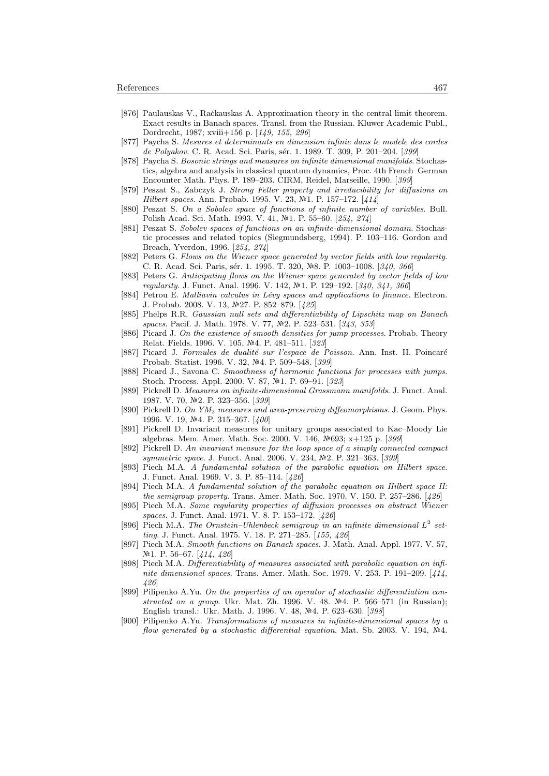- [876] Paulauskas V., Račkauskas A. Approximation theory in the central limit theorem. Exact results in Banach spaces. Transl. from the Russian. Kluwer Academic Publ., Dordrecht, 1987; xviii+156 p. [149, 155, 296]
- [877] Paycha S. Mesures et determinants en dimension infinie dans le modele des cordes de Polyakov. C. R. Acad. Sci. Paris, sér. 1. 1989. T. 309, P. 201–204. [399]
- [878] Paycha S. Bosonic strings and measures on infinite dimensional manifolds. Stochastics, algebra and analysis in classical quantum dynamics, Proc. 4th French–German Encounter Math. Phys. P. 189–203. CIRM, Reidel, Marseille, 1990. [399]
- [879] Peszat S., Zabczyk J. Strong Feller property and irreducibility for diffusions on Hilbert spaces. Ann. Probab. 1995. V. 23, №1. P. 157–172. [414]
- [880] Peszat S. On a Sobolev space of functions of infinite number of variables. Bull. Polish Acad. Sci. Math. 1993. V. 41, №1. P. 55–60. [254, 274]
- [881] Peszat S. Sobolev spaces of functions on an infinite-dimensional domain. Stochastic processes and related topics (Siegmundsberg, 1994). P. 103–116. Gordon and Breach, Yverdon, 1996. [254, 274]
- [882] Peters G. Flows on the Wiener space generated by vector fields with low regularity. C. R. Acad. Sci. Paris, sér. 1. 1995. T. 320, №8. P. 1003-1008. [340, 366]
- [883] Peters G. Anticipating flows on the Wiener space generated by vector fields of low regularity. J. Funct. Anal. 1996. V. 142, №1. P. 129-192. [340, 341, 366]
- [884] Petrou E. Malliavin calculus in Lévy spaces and applications to finance. Electron. J. Probab. 2008. V. 13, №27. P. 852-879. [425]
- [885] Phelps R.R. Gaussian null sets and differentiability of Lipschitz map on Banach spaces. Pacif. J. Math. 1978. V. 77, Nº2. P. 523-531. [343, 353]
- [886] Picard J. On the existence of smooth densities for jump processes. Probab. Theory Relat. Fields. 1996. V. 105, №4. P. 481–511. [323]
- [887] Picard J. Formules de dualité sur l'espace de Poisson. Ann. Inst. H. Poincaré Probab. Statist. 1996. V. 32, №4. P. 509–548. [399]
- [888] Picard J., Savona C. Smoothness of harmonic functions for processes with jumps. Stoch. Process. Appl. 2000. V. 87, Nº1. P. 69-91. [323]
- [889] Pickrell D. Measures on infinite-dimensional Grassmann manifolds. J. Funct. Anal. 1987. V. 70, №2. P. 323-356. [399]
- [890] Pickrell D. On YM<sup>2</sup> measures and area-preserving diffeomorphisms. J. Geom. Phys. 1996. V. 19, №4. P. 315-367. [400]
- [891] Pickrell D. Invariant measures for unitary groups associated to Kac–Moody Lie algebras. Mem. Amer. Math. Soc. 2000. V. 146, 693; x+125 p. [399]
- [892] Pickrell D. An invariant measure for the loop space of a simply connected compact symmetric space. J. Funct. Anal. 2006. V. 234, №2. P. 321-363. [399]
- [893] Piech M.A. A fundamental solution of the parabolic equation on Hilbert space. J. Funct. Anal. 1969. V. 3. P. 85–114. [426]
- [894] Piech M.A. A fundamental solution of the parabolic equation on Hilbert space II: the semigroup property. Trans. Amer. Math. Soc. 1970. V. 150. P. 257–286. [426]
- [895] Piech M.A. Some regularity properties of diffusion processes on abstract Wiener spaces. J. Funct. Anal. 1971. V. 8. P. 153–172. [426]
- [896] Piech M.A. The Ornstein-Uhlenbeck semigroup in an infinite dimensional  $L^2$  setting. J. Funct. Anal. 1975. V. 18. P. 271-285. [155, 426]
- [897] Piech M.A. Smooth functions on Banach spaces. J. Math. Anal. Appl. 1977. V. 57, №1. P. 56–67. [414, 426]
- [898] Piech M.A. Differentiability of measures associated with parabolic equation on infinite dimensional spaces. Trans. Amer. Math. Soc. 1979. V. 253. P. 191–209. [414, 426]
- [899] Pilipenko A.Yu. On the properties of an operator of stochastic differentiation constructed on a group. Ukr. Mat. Zh. 1996. V. 48.  $\mathbb{N}^2$ 4. P. 566–571 (in Russian); English transl.: Ukr. Math. J. 1996. V. 48, №4. P. 623–630. [398]
- [900] Pilipenko A.Yu. Transformations of measures in infinite-dimensional spaces by a flow generated by a stochastic differential equation. Mat. Sb. 2003. V. 194,  $N<sup>2</sup>4$ .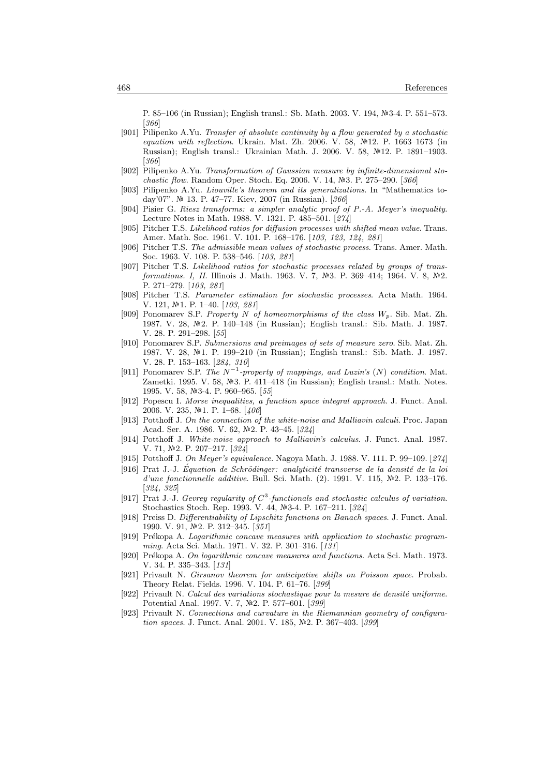P. 85–106 (in Russian); English transl.: Sb. Math. 2003. V. 194, №3-4. P. 551–573. [366]

- [901] Pilipenko A.Yu. Transfer of absolute continuity by a flow generated by a stochastic equation with reflection. Ukrain. Mat. Zh. 2006. V. 58,  $\mathbb{N}^2$ 12. P. 1663–1673 (in Russian); English transl.: Ukrainian Math. J. 2006. V. 58, 12. P. 1891–1903. [366]
- [902] Pilipenko A.Yu. Transformation of Gaussian measure by infinite-dimensional stochastic flow. Random Oper. Stoch. Eq. 2006. V. 14,  $N-3$ . P. 275–290. [366]
- [903] Pilipenko A.Yu. Liouville's theorem and its generalizations. In "Mathematics today'07". 13. P. 47–77. Kiev, 2007 (in Russian). [366]
- [904] Pisier G. Riesz transforms: a simpler analytic proof of P.-A. Meyer's inequality. Lecture Notes in Math. 1988. V. 1321. P. 485–501. [274]
- [905] Pitcher T.S. Likelihood ratios for diffusion processes with shifted mean value. Trans. Amer. Math. Soc. 1961. V. 101. P. 168–176. [103, 123, 124, 281]
- [906] Pitcher T.S. The admissible mean values of stochastic process. Trans. Amer. Math. Soc. 1963. V. 108. P. 538–546. [103, 281]
- [907] Pitcher T.S. Likelihood ratios for stochastic processes related by groups of transformations. I, II. Illinois J. Math. 1963. V. 7, Nº3. P. 369-414; 1964. V. 8, Nº2. P. 271–279. [103, 281]
- [908] Pitcher T.S. Parameter estimation for stochastic processes. Acta Math. 1964. V. 121, №1. P. 1–40. [103, 281]
- [909] Ponomarev S.P. Property N of homeomorphisms of the class  $W_p$ . Sib. Mat. Zh. 1987. V. 28, 2. P. 140–148 (in Russian); English transl.: Sib. Math. J. 1987. V. 28. P. 291–298. [55]
- [910] Ponomarev S.P. Submersions and preimages of sets of measure zero. Sib. Mat. Zh. 1987. V. 28, №1. P. 199–210 (in Russian); English transl.: Sib. Math. J. 1987. V. 28. P. 153–163. [284, 310]
- [911] Ponomarev S.P. The  $N^{-1}$ -property of mappings, and Luzin's (N) condition. Mat. Zametki. 1995. V. 58,  $\mathbb{N}^2$ 3. P. 411–418 (in Russian); English transl.: Math. Notes. 1995. V. 58, №3-4. P. 960-965. [55]
- [912] Popescu I. Morse inequalities, a function space integral approach. J. Funct. Anal. 2006. V. 235,  $N<sup>2</sup>1$ . P. 1–68. [406]
- [913] Potthoff J. On the connection of the white-noise and Malliavin calculi. Proc. Japan Acad. Ser. A. 1986. V. 62, №2. P. 43-45. [324]
- [914] Potthoff J. White-noise approach to Malliavin's calculus. J. Funct. Anal. 1987. V. 71, №2. P. 207-217. [324]
- [915] Potthoff J. On Meyer's equivalence. Nagoya Math. J. 1988. V. 111. P. 99–109. [274]
- $[916]$  Prat J.-J. Équation de Schrödinger: analyticité transverse de la densité de la loi d'une fonctionnelle additive. Bull. Sci. Math. (2). 1991. V. 115,  $N<sup>2</sup>$ . P. 133-176. [324, 325]
- [917] Prat J.-J. Gevrey regularity of  $C^3$ -functionals and stochastic calculus of variation. Stochastics Stoch. Rep. 1993. V. 44, Nº3-4. P. 167-211. [324]
- [918] Preiss D. Differentiability of Lipschitz functions on Banach spaces. J. Funct. Anal. 1990. V. 91, №2. P. 312–345. [351]
- [919] Prékopa A. Logarithmic concave measures with application to stochastic programming. Acta Sci. Math. 1971. V. 32. P. 301–316. [131]
- [920] Prékopa A. On logarithmic concave measures and functions. Acta Sci. Math. 1973. V. 34. P. 335–343. [131]
- [921] Privault N. Girsanov theorem for anticipative shifts on Poisson space. Probab. Theory Relat. Fields. 1996. V. 104. P. 61–76. [399]
- [922] Privault N. Calcul des variations stochastique pour la mesure de densité uniforme. Potential Anal. 1997. V. 7, Nº2. P. 577-601. [399]
- [923] Privault N. Connections and curvature in the Riemannian geometry of configuration spaces. J. Funct. Anal. 2001. V. 185, №2. P. 367-403. [399]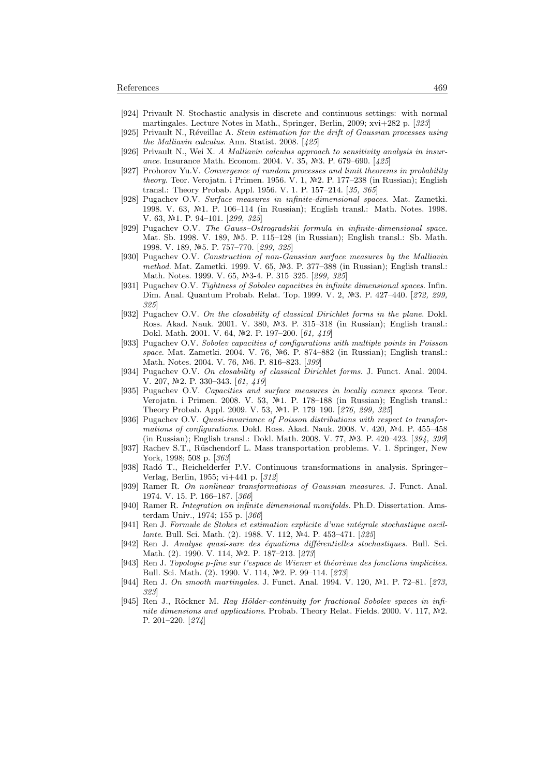- [924] Privault N. Stochastic analysis in discrete and continuous settings: with normal martingales. Lecture Notes in Math., Springer, Berlin, 2009; xvi+282 p. [323]
- [925] Privault N., Réveillac A. Stein estimation for the drift of Gaussian processes using the Malliavin calculus. Ann. Statist. 2008. [425]
- [926] Privault N., Wei X. A Malliavin calculus approach to sensitivity analysis in insurance. Insurance Math. Econom. 2004. V. 35,  $N$ <sup>2</sup>3. P. 679–690. [425]
- [927] Prohorov Yu.V. Convergence of random processes and limit theorems in probability theory. Teor. Verojatn. i Primen. 1956. V. 1,  $N<sup>2</sup>$ . P. 177–238 (in Russian); English transl.: Theory Probab. Appl. 1956. V. 1. P. 157–214. [35, 365]
- [928] Pugachev O.V. Surface measures in infinite-dimensional spaces. Mat. Zametki. 1998. V. 63, Nº1. P. 106–114 (in Russian); English transl.: Math. Notes. 1998. V. 63,  $N<sup>2</sup>1$ . P. 94-101. [299, 325]
- [929] Pugachev O.V. The Gauss–Ostrogradskii formula in infinite-dimensional space. Mat. Sb. 1998. V. 189, Nº5. P. 115-128 (in Russian); English transl.: Sb. Math. 1998. V. 189, №5. P. 757-770. [299, 325]
- [930] Pugachev O.V. Construction of non-Gaussian surface measures by the Malliavin method. Mat. Zametki. 1999. V. 65, №3. P. 377-388 (in Russian); English transl.: Math. Notes. 1999. V. 65, №3-4. P. 315-325. [299, 325]
- [931] Pugachev O.V. Tightness of Sobolev capacities in infinite dimensional spaces. Infin. Dim. Anal. Quantum Probab. Relat. Top. 1999. V. 2, №3. P. 427-440. [272, 299, 325]
- [932] Pugachev O.V. On the closability of classical Dirichlet forms in the plane. Dokl. Ross. Akad. Nauk. 2001. V. 380, Nº3. P. 315–318 (in Russian); English transl.: Dokl. Math. 2001. V. 64, №2. P. 197-200. [61, 419]
- [933] Pugachev O.V. Sobolev capacities of configurations with multiple points in Poisson space. Mat. Zametki. 2004. V. 76, Nº6. P. 874–882 (in Russian); English transl.: Math. Notes. 2004. V. 76, Nº6. P. 816–823. [399]
- [934] Pugachev O.V. On closability of classical Dirichlet forms. J. Funct. Anal. 2004. V. 207, №2. P. 330-343. [61, 419]
- [935] Pugachev O.V. Capacities and surface measures in locally convex spaces. Teor. Verojatn. i Primen. 2008. V. 53,  $\mathbb{N}^2$ 1. P. 178–188 (in Russian); English transl.: Theory Probab. Appl. 2009. V. 53, №1. P. 179-190. [276, 299, 325]
- [936] Pugachev O.V. Quasi-invariance of Poisson distributions with respect to transformations of configurations. Dokl. Ross. Akad. Nauk. 2008. V. 420,  $\mathbb{N}^2$ 4. P. 455–458 (in Russian); English transl.: Dokl. Math. 2008. V. 77, №3. P. 420–423. [394, 399]
- [937] Rachev S.T., Rüschendorf L. Mass transportation problems. V. 1. Springer, New York, 1998; 508 p. [363]
- [938] Radó T., Reichelderfer P.V. Continuous transformations in analysis. Springer– Verlag, Berlin, 1955; vi+441 p. [312]
- [939] Ramer R. On nonlinear transformations of Gaussian measures. J. Funct. Anal. 1974. V. 15. P. 166–187. [366]
- [940] Ramer R. Integration on infinite dimensional manifolds. Ph.D. Dissertation. Amsterdam Univ., 1974; 155 p. [366]
- [941] Ren J. Formule de Stokes et estimation explicite d'une intégrale stochastique oscillante. Bull. Sci. Math. (2). 1988. V. 112, №4. P. 453–471. [325]
- [942] Ren J. Analyse quasi-sure des équations différentielles stochastiques. Bull. Sci. Math. (2). 1990. V. 114, №2. P. 187-213. [273]
- [943] Ren J. Topologie p-fine sur l'espace de Wiener et théorème des fonctions implicites. Bull. Sci. Math. (2). 1990. V. 114, №2. P. 99-114. [273]
- [944] Ren J. On smooth martingales. J. Funct. Anal. 1994. V. 120,  $\mathbb{N}^2$ 1. P. 72–81. [273, 323]
- [945] Ren J., Röckner M. Ray Hölder-continuity for fractional Sobolev spaces in infinite dimensions and applications. Probab. Theory Relat. Fields. 2000. V. 117,  $N<sup>2</sup>2$ . P. 201–220. [274]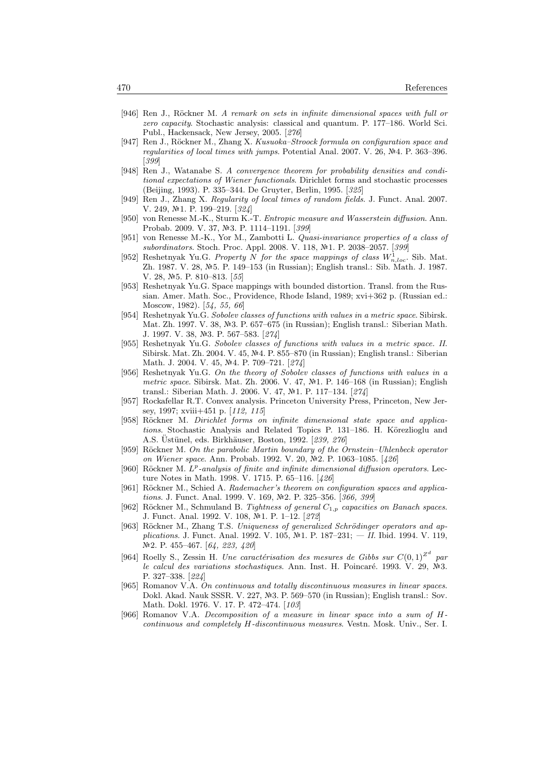- [946] Ren J., Röckner M. A remark on sets in infinite dimensional spaces with full or zero capacity. Stochastic analysis: classical and quantum. P. 177–186. World Sci. Publ., Hackensack, New Jersey, 2005. [276]
- [947] Ren J., Röckner M., Zhang X. Kusuoka–Stroock formula on configuration space and regularities of local times with jumps. Potential Anal. 2007. V. 26,  $N<sup>2</sup>4$ . P. 363–396. [399]
- [948] Ren J., Watanabe S. A convergence theorem for probability densities and conditional expectations of Wiener functionals. Dirichlet forms and stochastic processes (Beijing, 1993). P. 335–344. De Gruyter, Berlin, 1995. [325]
- [949] Ren J., Zhang X. Regularity of local times of random fields. J. Funct. Anal. 2007. V. 249, №1. P. 199-219. [324]
- [950] von Renesse M.-K., Sturm K.-T. Entropic measure and Wasserstein diffusion. Ann. Probab. 2009. V. 37, Nº3. P. 1114-1191. [399]
- [951] von Renesse M.-K., Yor M., Zambotti L. Quasi-invariance properties of a class of subordinators. Stoch. Proc. Appl. 2008. V. 118, Nº1. P. 2038-2057. [399]
- [952] Reshetnyak Yu.G. Property N for the space mappings of class  $W_{n,loc}^1$ . Sib. Mat. Zh. 1987. V. 28, №5. P. 149–153 (in Russian); English transl.: Sib. Math. J. 1987. V. 28,  $N=5$ . P. 810-813. [55]
- [953] Reshetnyak Yu.G. Space mappings with bounded distortion. Transl. from the Russian. Amer. Math. Soc., Providence, Rhode Island, 1989; xvi+362 p. (Russian ed.: Moscow, 1982). [54, 55, 66]
- [954] Reshetnyak Yu.G. Sobolev classes of functions with values in a metric space. Sibirsk. Mat. Zh. 1997. V. 38, №3. P. 657–675 (in Russian); English transl.: Siberian Math. J. 1997. V. 38, №3. P. 567–583. [274]
- [955] Reshetnyak Yu.G. Sobolev classes of functions with values in a metric space. II. Sibirsk. Mat. Zh. 2004. V. 45, 4. P. 855–870 (in Russian); English transl.: Siberian Math. J. 2004. V. 45, №4. P. 709–721. [274]
- [956] Reshetnyak Yu.G. On the theory of Sobolev classes of functions with values in a metric space. Sibirsk. Mat. Zh. 2006. V. 47, Nº1. P. 146-168 (in Russian); English transl.: Siberian Math. J. 2006. V. 47, №1. P. 117-134. [274]
- [957] Rockafellar R.T. Convex analysis. Princeton University Press, Princeton, New Jersey, 1997; xviii+451 p. [112, 115]
- [958] Röckner M. Dirichlet forms on infinite dimensional state space and applications. Stochastic Analysis and Related Topics P. 131–186. H. Körezlioglu and A.S. Üstünel, eds. Birkhäuser, Boston, 1992, [239, 276]
- [959] Röckner M. On the parabolic Martin boundary of the Ornstein–Uhlenbeck operator on Wiener space. Ann. Probab. 1992. V. 20, №2. P. 1063-1085. [426]
- [960] Röckner M.  $L^p$ -analysis of finite and infinite dimensional diffusion operators. Lecture Notes in Math. 1998. V. 1715. P. 65–116. [426]
- [961] Röckner M., Schied A. Rademacher's theorem on configuration spaces and applications. J. Funct. Anal. 1999. V. 169, №2. P. 325-356. [366, 399]
- [962] Röckner M., Schmuland B. Tightness of general  $C_{1,p}$  capacities on Banach spaces. J. Funct. Anal. 1992. V. 108, №1. P. 1–12. [272]
- [963] Röckner M., Zhang T.S. Uniqueness of generalized Schrödinger operators and applications. J. Funct. Anal. 1992. V. 105, Nº1. P. 187-231;  $-$  II. Ibid. 1994. V. 119, №2. P. 455–467. [64, 223, 420]
- [964] Roelly S., Zessin H. Une caractérisation des mesures de Gibbs sur  $C(0,1)^{\mathbb{Z}^d}$  par le calcul des variations stochastiques. Ann. Inst. H. Poincaré. 1993. V. 29,  $\mathbb{N}^2$ 3. P. 327–338. [224]
- [965] Romanov V.A. On continuous and totally discontinuous measures in linear spaces. Dokl. Akad. Nauk SSSR. V. 227, Nº3. P. 569–570 (in Russian); English transl.: Sov. Math. Dokl. 1976. V. 17. P. 472–474. [103]
- [966] Romanov V.A. Decomposition of a measure in linear space into a sum of Hcontinuous and completely H-discontinuous measures. Vestn. Mosk. Univ., Ser. I.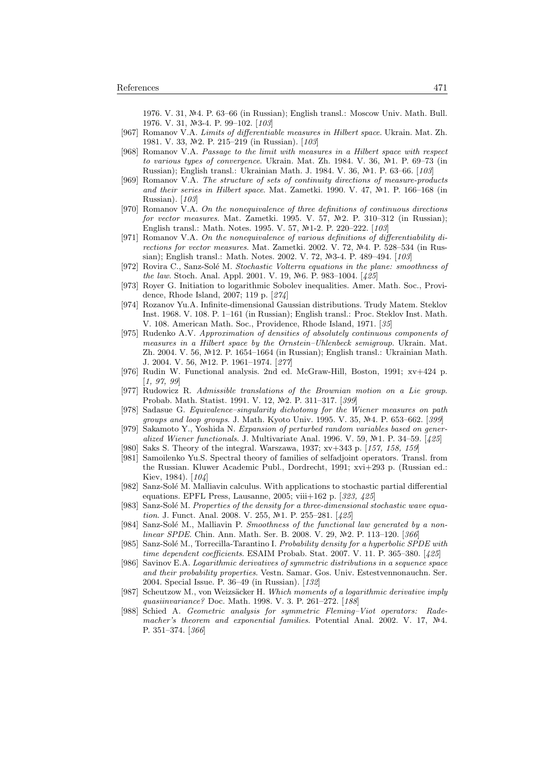1976. V. 31, №4. P. 63–66 (in Russian); English transl.: Moscow Univ. Math. Bull. 1976. V. 31,  $\mathbb{N}$ -3-4. P. 99-102. [103]

- [967] Romanov V.A. Limits of differentiable measures in Hilbert space. Ukrain. Mat. Zh. 1981. V. 33, №2. P. 215–219 (in Russian). [103]
- [968] Romanov V.A. Passage to the limit with measures in a Hilbert space with respect to various types of convergence. Ukrain. Mat. Zh. 1984. V. 36,  $\mathbb{N}^2$ 1. P. 69–73 (in Russian); English transl.: Ukrainian Math. J. 1984. V. 36, Nº1. P. 63–66. [103]
- [969] Romanov V.A. The structure of sets of continuity directions of measure-products and their series in Hilbert space. Mat. Zametki. 1990. V. 47,  $\mathbb{N}^2$ 1. P. 166-168 (in Russian). [103]
- [970] Romanov V.A. On the nonequivalence of three definitions of continuous directions for vector measures. Mat. Zametki. 1995. V. 57,  $N=2$ . P. 310–312 (in Russian); English transl.: Math. Notes. 1995. V. 57, Nº1-2. P. 220-222. [103]
- [971] Romanov V.A. On the nonequivalence of various definitions of differentiability directions for vector measures. Mat. Zametki. 2002. V. 72,  $N<sup>2</sup>4$ . P. 528–534 (in Russian); English transl.: Math. Notes. 2002. V. 72, Nº3-4. P. 489-494. [103]
- [972] Rovira C., Sanz-Solé M. Stochastic Volterra equations in the plane: smoothness of the law. Stoch. Anal. Appl. 2001. V. 19, No. P. 983-1004. [425]
- [973] Royer G. Initiation to logarithmic Sobolev inequalities. Amer. Math. Soc., Providence, Rhode Island, 2007; 119 p. [274]
- [974] Rozanov Yu.A. Infinite-dimensional Gaussian distributions. Trudy Matem. Steklov Inst. 1968. V. 108. P. 1–161 (in Russian); English transl.: Proc. Steklov Inst. Math. V. 108. American Math. Soc., Providence, Rhode Island, 1971. [35]
- [975] Rudenko A.V. Approximation of densities of absolutely continuous components of measures in a Hilbert space by the Ornstein–Uhlenbeck semigroup. Ukrain. Mat. Zh. 2004. V. 56, 12. P. 1654–1664 (in Russian); English transl.: Ukrainian Math. J. 2004. V. 56, 12. P. 1961–1974. [277]
- [976] Rudin W. Functional analysis. 2nd ed. McGraw-Hill, Boston, 1991; xv+424 p. [1, 97, 99]
- [977] Rudowicz R. Admissible translations of the Brownian motion on a Lie group. Probab. Math. Statist. 1991. V. 12, Nº2. P. 311-317. [399]
- [978] Sadasue G. Equivalence–singularity dichotomy for the Wiener measures on path groups and loop groups. J. Math. Kyoto Univ. 1995. V. 35, Nº4. P. 653-662. [399]
- [979] Sakamoto Y., Yoshida N. Expansion of perturbed random variables based on generalized Wiener functionals. J. Multivariate Anal. 1996. V. 59,  $N<sup>2</sup>1$ . P. 34–59. [425]
- [980] Saks S. Theory of the integral. Warszawa, 1937; xv+343 p. [157, 158, 159]
- [981] Samoilenko Yu.S. Spectral theory of families of selfadjoint operators. Transl. from the Russian. Kluwer Academic Publ., Dordrecht, 1991; xvi+293 p. (Russian ed.: Kiev, 1984). [104]
- [982] Sanz-Solé M. Malliavin calculus. With applications to stochastic partial differential equations. EPFL Press, Lausanne, 2005; viii+162 p. [323, 425]
- [983] Sanz-Solé M. Properties of the density for a three-dimensional stochastic wave equation. J. Funct. Anal. 2008. V. 255, Nº1. P. 255-281. [425]
- [984] Sanz-Solé M., Malliavin P. Smoothness of the functional law generated by a non $linear SPDE$ . Chin. Ann. Math. Ser. B. 2008. V. 29, Nº2. P. 113–120. [366]
- [985] Sanz-Solé M., Torrecilla-Tarantino I. Probability density for a hyperbolic SPDE with time dependent coefficients. ESAIM Probab. Stat. 2007. V. 11. P. 365–380. [425]
- [986] Savinov E.A. Logarithmic derivatives of symmetric distributions in a sequence space and their probability properties. Vestn. Samar. Gos. Univ. Estestvennonauchn. Ser. 2004. Special Issue. P. 36–49 (in Russian). [132]
- [987] Scheutzow M., von Weizsäcker H. Which moments of a logarithmic derivative imply quasiinvariance? Doc. Math. 1998. V. 3. P. 261–272. [188]
- [988] Schied A. Geometric analysis for symmetric Fleming–Viot operators: Rademacher's theorem and exponential families. Potential Anal. 2002. V. 17,  $N<sup>2</sup>4$ . P. 351–374. [366]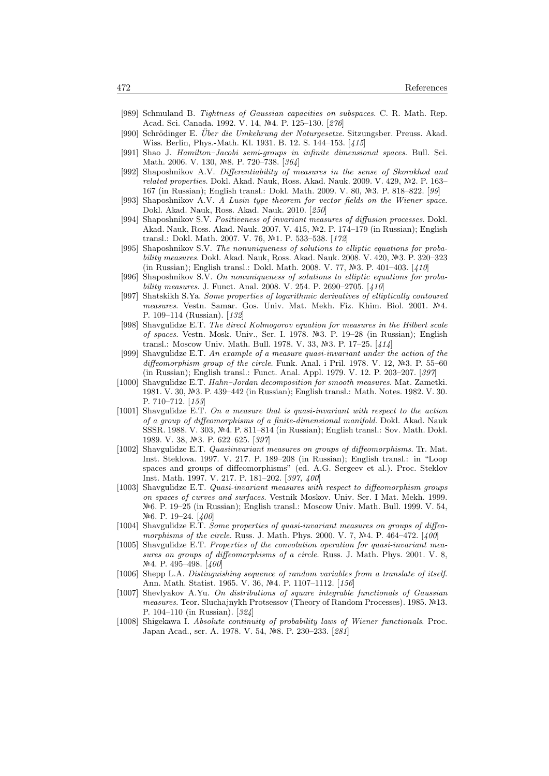- [989] Schmuland B. Tightness of Gaussian capacities on subspaces. C. R. Math. Rep. Acad. Sci. Canada. 1992. V. 14, №4. P. 125-130. [276]
- [990] Schrödinger E. Über die Umkehrung der Naturgesetze. Sitzungsber. Preuss. Akad. Wiss. Berlin, Phys.-Math. Kl. 1931. B. 12. S. 144–153. [415]
- [991] Shao J. Hamilton–Jacobi semi-groups in infinite dimensional spaces. Bull. Sci. Math. 2006. V. 130, Nº8. P. 720-738. [364]
- [992] Shaposhnikov A.V. Differentiability of measures in the sense of Skorokhod and related properties. Dokl. Akad. Nauk, Ross. Akad. Nauk. 2009. V. 429,  $\mathbb{N}^2$ . P. 163– 167 (in Russian); English transl.: Dokl. Math. 2009. V. 80, Nº3. P. 818–822. [99]
- [993] Shaposhnikov A.V. A Lusin type theorem for vector fields on the Wiener space. Dokl. Akad. Nauk, Ross. Akad. Nauk. 2010. [250]
- [994] Shaposhnikov S.V. Positiveness of invariant measures of diffusion processes. Dokl. Akad. Nauk, Ross. Akad. Nauk. 2007. V. 415, №2. P. 174–179 (in Russian); English transl.: Dokl. Math. 2007. V. 76, Nº1. P. 533-538. [172]
- [995] Shaposhnikov S.V. The nonuniqueness of solutions to elliptic equations for probability measures. Dokl. Akad. Nauk, Ross. Akad. Nauk. 2008. V. 420, №3. P. 320–323 (in Russian); English transl.: Dokl. Math. 2008. V. 77, №3. P. 401–403. [410]
- [996] Shaposhnikov S.V. On nonuniqueness of solutions to elliptic equations for probability measures. J. Funct. Anal. 2008. V. 254. P. 2690–2705. [410]
- [997] Shatskikh S.Ya. Some properties of logarithmic derivatives of elliptically contoured measures. Vestn. Samar. Gos. Univ. Mat. Mekh. Fiz. Khim. Biol. 2001. Nº4. P. 109–114 (Russian). [132]
- [998] Shavgulidze E.T. The direct Kolmogorov equation for measures in the Hilbert scale of spaces. Vestn. Mosk. Univ., Ser. I. 1978. 3. P. 19–28 (in Russian); English transl.: Moscow Univ. Math. Bull. 1978. V. 33,  $N-3$ . P. 17-25. [414]
- [999] Shavgulidze E.T. An example of a measure quasi-invariant under the action of the diffeomorphism group of the circle. Funk. Anal. i Pril. 1978. V. 12,  $\mathbb{N}^2$ 3. P. 55–60 (in Russian); English transl.: Funct. Anal. Appl. 1979. V. 12. P. 203–207. [397]
- [1000] Shavgulidze E.T. Hahn–Jordan decomposition for smooth measures. Mat. Zametki. 1981. V. 30, №3. P. 439–442 (in Russian); English transl.: Math. Notes. 1982. V. 30. P. 710–712. [153]
- [1001] Shavgulidze E.T. On a measure that is quasi-invariant with respect to the action of a group of diffeomorphisms of a finite-dimensional manifold. Dokl. Akad. Nauk SSSR. 1988. V. 303, Nº4. P. 811-814 (in Russian); English transl.: Sov. Math. Dokl. 1989. V. 38, №3. P. 622–625. [397]
- [1002] Shavgulidze E.T. Quasiinvariant measures on groups of diffeomorphisms. Tr. Mat. Inst. Steklova. 1997. V. 217. P. 189–208 (in Russian); English transl.: in "Loop spaces and groups of diffeomorphisms" (ed. A.G. Sergeev et al.). Proc. Steklov Inst. Math. 1997. V. 217. P. 181–202. [397, 400]
- [1003] Shavgulidze E.T. *Quasi-invariant measures with respect to diffeomorphism groups* on spaces of curves and surfaces. Vestnik Moskov. Univ. Ser. I Mat. Mekh. 1999. 6. P. 19–25 (in Russian); English transl.: Moscow Univ. Math. Bull. 1999. V. 54, N<sup>o</sup><sub>6</sub>. P. 19–24. [400]
- [1004] Shavgulidze E.T. Some properties of quasi-invariant measures on groups of diffeomorphisms of the circle. Russ. J. Math. Phys. 2000. V. 7,  $N<sup>2</sup>4$ . P. 464–472. [400]
- [1005] Shavgulidze E.T. Properties of the convolution operation for quasi-invariant measures on groups of diffeomorphisms of a circle. Russ. J. Math. Phys. 2001. V. 8, Nº4. P. 495–498. [400]
- [1006] Shepp L.A. Distinguishing sequence of random variables from a translate of itself. Ann. Math. Statist. 1965. V. 36, №4. P. 1107-1112. [156]
- [1007] Shevlyakov A.Yu. On distributions of square integrable functionals of Gaussian measures. Teor. Sluchajnykh Protsessov (Theory of Random Processes). 1985. 13. P. 104–110 (in Russian). [324]
- [1008] Shigekawa I. Absolute continuity of probability laws of Wiener functionals. Proc. Japan Acad., ser. A. 1978. V. 54, №8. P. 230–233. [281]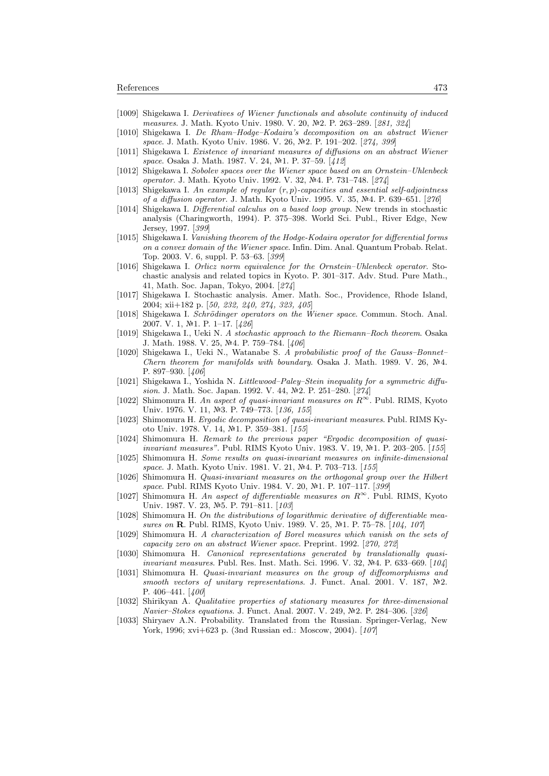- [1009] Shigekawa I. Derivatives of Wiener functionals and absolute continuity of induced measures. J. Math. Kyoto Univ. 1980. V. 20, Nº2. P. 263–289. [281, 324]
- [1010] Shigekawa I. De Rham–Hodge–Kodaira's decomposition on an abstract Wiener space. J. Math. Kyoto Univ. 1986. V. 26, №2. P. 191–202. [274, 399]
- [1011] Shigekawa I. Existence of invariant measures of diffusions on an abstract Wiener space. Osaka J. Math. 1987. V. 24, Nº1. P. 37-59. [412]
- [1012] Shigekawa I. Sobolev spaces over the Wiener space based on an Ornstein–Uhlenbeck operator. J. Math. Kyoto Univ. 1992. V. 32, Nº4. P. 731-748. [274]
- [1013] Shigekawa I. An example of regular  $(r, p)$ -capacities and essential self-adjointness of a diffusion operator. J. Math. Kyoto Univ. 1995. V. 35,  $N<sup>2</sup>4$ . P. 639–651. [276]
- [1014] Shigekawa I. Differential calculus on a based loop group. New trends in stochastic analysis (Charingworth, 1994). P. 375–398. World Sci. Publ., River Edge, New Jersey, 1997. [399]
- [1015] Shigekawa I. Vanishing theorem of the Hodge-Kodaira operator for differential forms on a convex domain of the Wiener space. Infin. Dim. Anal. Quantum Probab. Relat. Top. 2003. V. 6, suppl. P. 53–63. [399]
- [1016] Shigekawa I. Orlicz norm equivalence for the Ornstein-Uhlenbeck operator. Stochastic analysis and related topics in Kyoto. P. 301–317. Adv. Stud. Pure Math., 41, Math. Soc. Japan, Tokyo, 2004. [274]
- [1017] Shigekawa I. Stochastic analysis. Amer. Math. Soc., Providence, Rhode Island, 2004; xii+182 p. [50, 232, 240, 274, 323, 405]
- [1018] Shigekawa I. Schrödinger operators on the Wiener space. Commun. Stoch. Anal. 2007. V. 1,  $N=1$ . P. 1-17. [426]
- [1019] Shigekawa I., Ueki N. A stochastic approach to the Riemann–Roch theorem. Osaka J. Math. 1988. V. 25, №4. P. 759–784. [406]
- [1020] Shigekawa I., Ueki N., Watanabe S. A probabilistic proof of the Gauss–Bonnet– Chern theorem for manifolds with boundary. Osaka J. Math. 1989. V. 26,  $\mathbb{N}^2$ 4. P. 897–930. [406]
- [1021] Shigekawa I., Yoshida N. Littlewood–Paley–Stein inequality for a symmetric diffusion. J. Math. Soc. Japan. 1992. V. 44,  $N<sup>2</sup>$ . P. 251–280. [274]
- [1022] Shimomura H. An aspect of quasi-invariant measures on  $R^{\infty}$ . Publ. RIMS, Kyoto Univ. 1976. V. 11, Nº3. P. 749-773. [136, 155]
- [1023] Shimomura H. Ergodic decomposition of quasi-invariant measures. Publ. RIMS Kyoto Univ. 1978. V. 14, №1. P. 359-381. [155]
- [1024] Shimomura H. Remark to the previous paper "Ergodic decomposition of quasiinvariant measures". Publ. RIMS Kyoto Univ. 1983. V. 19, №1. P. 203-205. [155]
- [1025] Shimomura H. Some results on quasi-invariant measures on infinite-dimensional space. J. Math. Kyoto Univ. 1981. V. 21, №4. P. 703-713. [155]
- [1026] Shimomura H. Quasi-invariant measures on the orthogonal group over the Hilbert space. Publ. RIMS Kyoto Univ. 1984. V. 20, №1. P. 107-117. [399]
- [1027] Shimomura H. An aspect of differentiable measures on  $R^{\infty}$ . Publ. RIMS, Kyoto Univ. 1987. V. 23, №5. P. 791–811. [103]
- [1028] Shimomura H. On the distributions of logarithmic derivative of differentiable measures on R. Publ. RIMS, Kyoto Univ. 1989. V. 25, №1. P. 75–78. [104, 107]
- [1029] Shimomura H. A characterization of Borel measures which vanish on the sets of capacity zero on an abstract Wiener space. Preprint. 1992. [270, 272]
- [1030] Shimomura H. Canonical representations generated by translationally quasiinvariant measures. Publ. Res. Inst. Math. Sci. 1996. V. 32,  $N<sup>2</sup>4$ . P. 633–669. [104]
- [1031] Shimomura H. Quasi-invariant measures on the group of diffeomorphisms and smooth vectors of unitary representations. J. Funct. Anal. 2001. V. 187,  $\mathbb{N}^2$ . P. 406–441. [400]
- [1032] Shirikyan A. Qualitative properties of stationary measures for three-dimensional Navier–Stokes equations. J. Funct. Anal. 2007. V. 249, Nº2. P. 284–306. [326]
- [1033] Shiryaev A.N. Probability. Translated from the Russian. Springer-Verlag, New York, 1996; xvi+623 p. (3nd Russian ed.: Moscow, 2004). [107]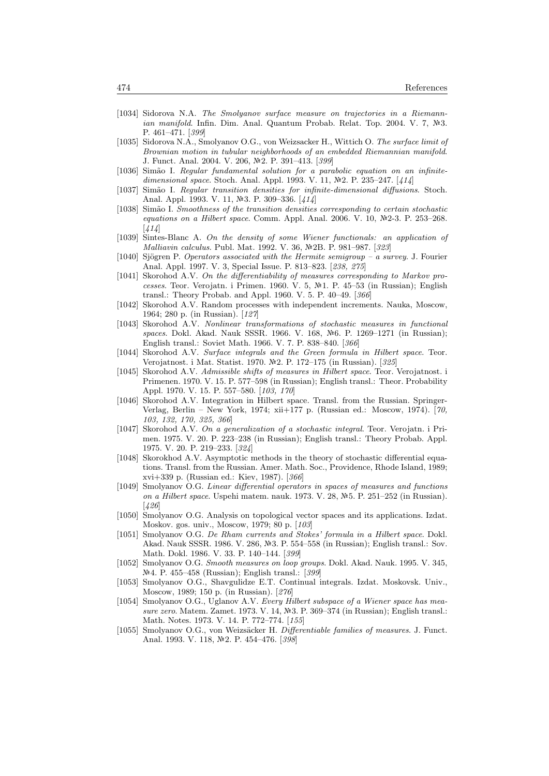- [1034] Sidorova N.A. The Smolyanov surface measure on trajectories in a Riemann*ian manifold.* Infin. Dim. Anal. Quantum Probab. Relat. Top. 2004. V. 7,  $\mathbb{N}^2$ 3. P. 461–471. [399]
- [1035] Sidorova N.A., Smolyanov O.G., von Weizsacker H., Wittich O. The surface limit of Brownian motion in tubular neighborhoods of an embedded Riemannian manifold. J. Funct. Anal. 2004. V. 206, №2. P. 391-413. [399]
- [1036] Simão I. Regular fundamental solution for a parabolic equation on an infinitedimensional space. Stoch. Anal. Appl. 1993. V. 11,  $\mathbb{N}2$ . P. 235–247. [414]
- [1037] Simão I. Regular transition densities for infinite-dimensional diffusions. Stoch. Anal. Appl. 1993. V. 11, №3. P. 309–336. [414]
- [1038] Sim˜ao I. Smoothness of the transition densities corresponding to certain stochastic equations on a Hilbert space. Comm. Appl. Anal. 2006. V. 10,  $\mathbb{N}^2$ -3. P. 253–268.  $[414]$
- [1039] Sintes-Blanc A. On the density of some Wiener functionals: an application of Malliavin calculus. Publ. Mat. 1992. V. 36, №2B. P. 981-987. [323]
- [1040] Sjögren P. Operators associated with the Hermite semigroup a survey. J. Fourier Anal. Appl. 1997. V. 3, Special Issue. P. 813–823. [238, 275]
- [1041] Skorohod A.V. On the differentiability of measures corresponding to Markov processes. Teor. Verojatn. i Primen. 1960. V. 5, №1. P. 45–53 (in Russian); English transl.: Theory Probab. and Appl. 1960. V. 5. P. 40–49. [366]
- [1042] Skorohod A.V. Random processes with independent increments. Nauka, Moscow, 1964; 280 p. (in Russian). [127]
- [1043] Skorohod A.V. Nonlinear transformations of stochastic measures in functional spaces. Dokl. Akad. Nauk SSSR. 1966. V. 168, Nº6. P. 1269-1271 (in Russian); English transl.: Soviet Math. 1966. V. 7. P. 838–840. [366]
- [1044] Skorohod A.V. Surface integrals and the Green formula in Hilbert space. Teor. Verojatnost. i Mat. Statist. 1970. №2. P. 172–175 (in Russian). [325]
- [1045] Skorohod A.V. Admissible shifts of measures in Hilbert space. Teor. Verojatnost. i Primenen. 1970. V. 15. P. 577–598 (in Russian); English transl.: Theor. Probability Appl. 1970. V. 15. P. 557–580. [103, 170]
- [1046] Skorohod A.V. Integration in Hilbert space. Transl. from the Russian. Springer-Verlag, Berlin – New York, 1974; xii+177 p. (Russian ed.: Moscow, 1974). [70, 103, 132, 170, 325, 366]
- [1047] Skorohod A.V. On a generalization of a stochastic integral. Teor. Verojatn. i Primen. 1975. V. 20. P. 223–238 (in Russian); English transl.: Theory Probab. Appl. 1975. V. 20. P. 219–233. [324]
- [1048] Skorokhod A.V. Asymptotic methods in the theory of stochastic differential equations. Transl. from the Russian. Amer. Math. Soc., Providence, Rhode Island, 1989; xvi+339 p. (Russian ed.: Kiev, 1987). [366]
- [1049] Smolyanov O.G. Linear differential operators in spaces of measures and functions on a Hilbert space. Uspehi matem. nauk. 1973. V. 28,  $N=5$ . P. 251–252 (in Russian). [426]
- [1050] Smolyanov O.G. Analysis on topological vector spaces and its applications. Izdat. Moskov. gos. univ., Moscow, 1979; 80 p. [103]
- [1051] Smolyanov O.G. De Rham currents and Stokes' formula in a Hilbert space. Dokl. Akad. Nauk SSSR. 1986. V. 286, Nº3. P. 554–558 (in Russian); English transl.: Sov. Math. Dokl. 1986. V. 33. P. 140–144. [399]
- [1052] Smolyanov O.G. Smooth measures on loop groups. Dokl. Akad. Nauk. 1995. V. 345, 4. P. 455–458 (Russian); English transl.: [399]
- [1053] Smolyanov O.G., Shavgulidze E.T. Continual integrals. Izdat. Moskovsk. Univ., Moscow, 1989; 150 p. (in Russian). [276]
- [1054] Smolyanov O.G., Uglanov A.V. Every Hilbert subspace of a Wiener space has measure zero. Matem. Zamet. 1973. V. 14,  $N-3$ , P. 369–374 (in Russian); English transl.: Math. Notes. 1973. V. 14. P. 772–774. [155]
- [1055] Smolyanov O.G., von Weizsäcker H. Differentiable families of measures. J. Funct. Anal. 1993. V. 118, №2. P. 454-476. [398]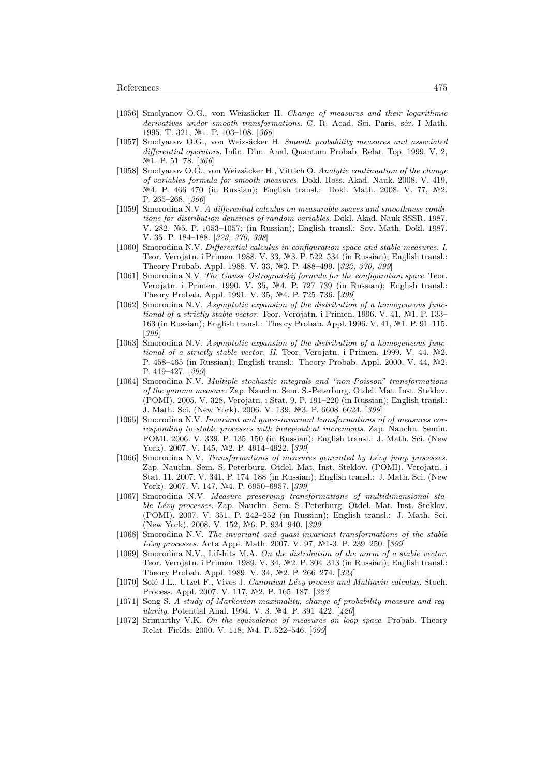- [1056] Smolyanov O.G., von Weizsäcker H. Change of measures and their logarithmic derivatives under smooth transformations. C. R. Acad. Sci. Paris, sér. I Math. 1995. T. 321, №1. P. 103-108. [366]
- [1057] Smolyanov O.G., von Weizsäcker H. Smooth probability measures and associated differential operators. Infin. Dim. Anal. Quantum Probab. Relat. Top. 1999. V. 2,  $N<sup>2</sup>1.$  P. 51–78. [366]
- [1058] Smolyanov O.G., von Weizsäcker H., Vittich O. Analytic continuation of the change of variables formula for smooth measures. Dokl. Ross. Akad. Nauk. 2008. V. 419,  $N<sup>2</sup>4$ . P. 466–470 (in Russian); English transl.: Dokl. Math. 2008. V. 77,  $N<sup>2</sup>2$ . P. 265–268. [366]
- [1059] Smorodina N.V. A differential calculus on measurable spaces and smoothness conditions for distribution densities of random variables. Dokl. Akad. Nauk SSSR. 1987. V. 282, Nº5. P. 1053-1057; (in Russian); English transl.: Sov. Math. Dokl. 1987. V. 35. P. 184–188. [323, 370, 398]
- [1060] Smorodina N.V. Differential calculus in configuration space and stable measures. I. Teor. Verojatn. i Primen. 1988. V. 33, №3. P. 522–534 (in Russian); English transl.: Theory Probab. Appl. 1988. V. 33, Nº3. P. 488-499. [323, 370, 399]
- [1061] Smorodina N.V. The Gauss–Ostrogradskij formula for the configuration space. Teor. Verojatn. i Primen. 1990. V. 35, Nº4. P. 727-739 (in Russian); English transl.: Theory Probab. Appl. 1991. V. 35, Nº4. P. 725-736. [399]
- [1062] Smorodina N.V. Asymptotic expansion of the distribution of a homogeneous functional of a strictly stable vector. Teor. Verojatn. i Primen. 1996. V. 41,  $N<sup>2</sup>1$ . P. 133-163 (in Russian); English transl.: Theory Probab. Appl. 1996. V. 41, Nº1. P. 91-115. [399]
- [1063] Smorodina N.V. Asymptotic expansion of the distribution of a homogeneous functional of a strictly stable vector. II. Teor. Verojatn. i Primen. 1999. V. 44,  $\mathbb{N}2$ . P. 458–465 (in Russian); English transl.: Theory Probab. Appl. 2000. V. 44, №2. P. 419–427. [399]
- [1064] Smorodina N.V. Multiple stochastic integrals and "non-Poisson" transformations of the gamma measure. Zap. Nauchn. Sem. S.-Peterburg. Otdel. Mat. Inst. Steklov. (POMI). 2005. V. 328. Verojatn. i Stat. 9. P. 191–220 (in Russian); English transl.: J. Math. Sci. (New York). 2006. V. 139, №3. P. 6608-6624. [399]
- [1065] Smorodina N.V. Invariant and quasi-invariant transformations of of measures corresponding to stable processes with independent increments. Zap. Nauchn. Semin. POMI. 2006. V. 339. P. 135–150 (in Russian); English transl.: J. Math. Sci. (New York). 2007. V. 145, №2. P. 4914–4922. [399]
- [1066] Smorodina N.V. Transformations of measures generated by Lévy jump processes. Zap. Nauchn. Sem. S.-Peterburg. Otdel. Mat. Inst. Steklov. (POMI). Verojatn. i Stat. 11. 2007. V. 341. P. 174–188 (in Russian); English transl.: J. Math. Sci. (New York). 2007. V. 147, №4. P. 6950-6957. [399]
- [1067] Smorodina N.V. Measure preserving transformations of multidimensional stable Lévy processes. Zap. Nauchn. Sem. S.-Peterburg. Otdel. Mat. Inst. Steklov. (POMI). 2007. V. 351. P. 242–252 (in Russian); English transl.: J. Math. Sci. (New York). 2008. V. 152, №6. P. 934–940. [399]
- [1068] Smorodina N.V. The invariant and quasi-invariant transformations of the stable Lévy processes. Acta Appl. Math. 2007. V. 97, №1-3. P. 239–250. [399]
- [1069] Smorodina N.V., Lifshits M.A. On the distribution of the norm of a stable vector. Teor. Verojatn. i Primen. 1989. V. 34, Nº2. P. 304–313 (in Russian); English transl.: Theory Probab. Appl. 1989. V. 34, №2. P. 266–274. [324]
- [1070] Solé J.L., Utzet F., Vives J. Canonical Lévy process and Malliavin calculus. Stoch. Process. Appl. 2007. V. 117, №2. P. 165–187. [323]
- [1071] Song S. A study of Markovian maximality, change of probability measure and regularity. Potential Anal. 1994. V. 3,  $N<sup>2</sup>4$ . P. 391–422. [420]
- [1072] Srimurthy V.K. On the equivalence of measures on loop space. Probab. Theory Relat. Fields. 2000. V. 118, №4. P. 522-546. [399]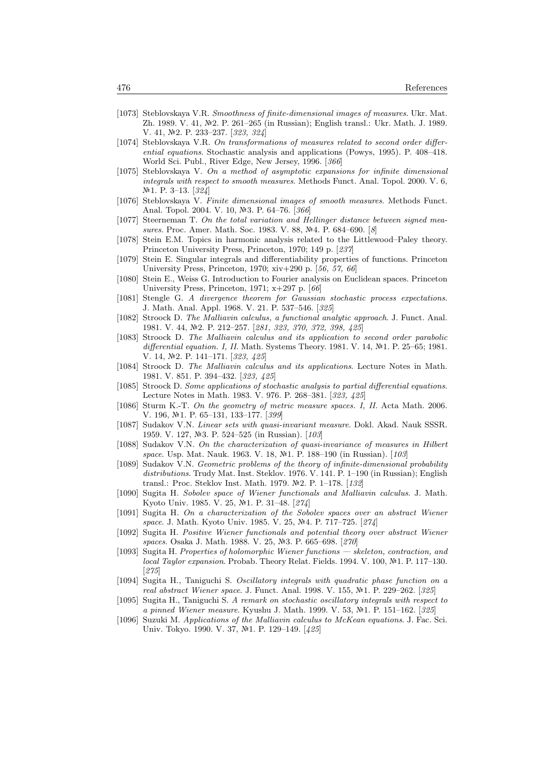- [1073] Steblovskaya V.R. Smoothness of finite-dimensional images of measures. Ukr. Mat. Zh. 1989. V. 41, №2. P. 261–265 (in Russian); English transl.: Ukr. Math. J. 1989. V. 41, №2. P. 233-237. [323, 324]
- [1074] Steblovskaya V.R. On transformations of measures related to second order differential equations. Stochastic analysis and applications (Powys, 1995). P. 408–418. World Sci. Publ., River Edge, New Jersey, 1996. [366]
- [1075] Steblovskaya V. On a method of asymptotic expansions for infinite dimensional integrals with respect to smooth measures. Methods Funct. Anal. Topol. 2000. V. 6,  $N<sup>2</sup>1.$  P. 3-13. [324]
- [1076] Steblovskaya V. Finite dimensional images of smooth measures. Methods Funct. Anal. Topol. 2004. V. 10, №3. P. 64–76. [366]
- [1077] Steerneman T. On the total variation and Hellinger distance between signed measures. Proc. Amer. Math. Soc. 1983. V. 88, Nº4. P. 684–690. [8]
- [1078] Stein E.M. Topics in harmonic analysis related to the Littlewood–Paley theory. Princeton University Press, Princeton, 1970; 149 p. [237]
- [1079] Stein E. Singular integrals and differentiability properties of functions. Princeton University Press, Princeton, 1970; xiv+290 p. [56, 57, 66]
- [1080] Stein E., Weiss G. Introduction to Fourier analysis on Euclidean spaces. Princeton University Press, Princeton, 1971; x+297 p. [66]
- [1081] Stengle G. A divergence theorem for Gaussian stochastic process expectations. J. Math. Anal. Appl. 1968. V. 21. P. 537–546. [325]
- [1082] Stroock D. The Malliavin calculus, a functional analytic approach. J. Funct. Anal. 1981. V. 44, №2. P. 212-257. [281, 323, 370, 372, 398, 425]
- [1083] Stroock D. The Malliavin calculus and its application to second order parabolic differential equation. I, II. Math. Systems Theory. 1981. V. 14, Nº1. P. 25-65; 1981. V. 14, №2. P. 141-171. [323, 425]
- [1084] Stroock D. The Malliavin calculus and its applications. Lecture Notes in Math. 1981. V. 851. P. 394–432. [323, 425]
- [1085] Stroock D. Some applications of stochastic analysis to partial differential equations. Lecture Notes in Math. 1983. V. 976. P. 268–381. [323, 425]
- [1086] Sturm K.-T. On the geometry of metric measure spaces. I, II. Acta Math. 2006. V. 196,  $N\!\!\!\triangleq$  1. P. 65–131, 133–177. [399]
- [1087] Sudakov V.N. Linear sets with quasi-invariant measure. Dokl. Akad. Nauk SSSR. 1959. V. 127, №3. P. 524–525 (in Russian). [103]
- [1088] Sudakov V.N. On the characterization of quasi-invariance of measures in Hilbert space. Usp. Mat. Nauk. 1963. V. 18, №1. P. 188–190 (in Russian). [103]
- [1089] Sudakov V.N. Geometric problems of the theory of infinite-dimensional probability distributions. Trudy Mat. Inst. Steklov. 1976. V. 141. P. 1–190 (in Russian); English transl.: Proc. Steklov Inst. Math. 1979. №2. P. 1–178. [132]
- [1090] Sugita H. Sobolev space of Wiener functionals and Malliavin calculus. J. Math. Kyoto Univ. 1985. V. 25, №1. P. 31-48. [274]
- [1091] Sugita H. On a characterization of the Sobolev spaces over an abstract Wiener space. J. Math. Kyoto Univ. 1985. V. 25, №4. P. 717–725. [274]
- [1092] Sugita H. Positive Wiener functionals and potential theory over abstract Wiener spaces. Osaka J. Math. 1988. V. 25, Nº3. P. 665–698. [270]
- [1093] Sugita H. Properties of holomorphic Wiener functions skeleton, contraction, and local Taylor expansion. Probab. Theory Relat. Fields. 1994. V. 100,  $N<sup>2</sup>1$ . P. 117–130. [275]
- [1094] Sugita H., Taniguchi S. Oscillatory integrals with quadratic phase function on a real abstract Wiener space. J. Funct. Anal. 1998. V. 155, №1. P. 229–262. [325]
- [1095] Sugita H., Taniguchi S. A remark on stochastic oscillatory integrals with respect to a pinned Wiener measure. Kyushu J. Math. 1999. V. 53, №1. P. 151-162. [325]
- [1096] Suzuki M. Applications of the Malliavin calculus to McKean equations. J. Fac. Sci. Univ. Tokyo. 1990. V. 37, №1. P. 129-149. [425]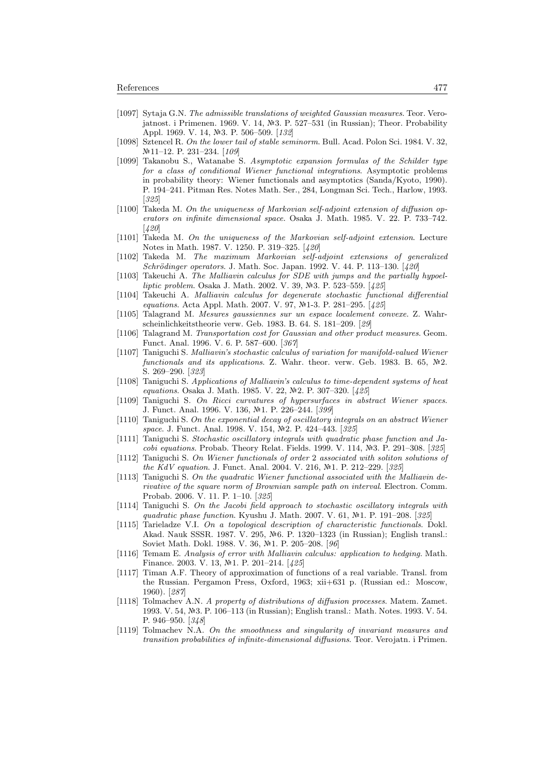- [1097] Sytaja G.N. The admissible translations of weighted Gaussian measures. Teor. Verojatnost. i Primenen. 1969. V. 14,  $\mathbb{N}3$ . P. 527–531 (in Russian); Theor. Probability Appl. 1969. V. 14, №3. P. 506–509. [132]
- [1098] Sztencel R. On the lower tail of stable seminorm. Bull. Acad. Polon Sci. 1984. V. 32, №11–12. P. 231–234. [109]
- [1099] Takanobu S., Watanabe S. Asymptotic expansion formulas of the Schilder type for a class of conditional Wiener functional integrations. Asymptotic problems in probability theory: Wiener functionals and asymptotics (Sanda/Kyoto, 1990). P. 194–241. Pitman Res. Notes Math. Ser., 284, Longman Sci. Tech., Harlow, 1993. [325]
- [1100] Takeda M. On the uniqueness of Markovian self-adjoint extension of diffusion operators on infinite dimensional space. Osaka J. Math. 1985. V. 22. P. 733–742. [420]
- [1101] Takeda M. On the uniqueness of the Markovian self-adjoint extension. Lecture Notes in Math. 1987. V. 1250. P. 319–325. [420]
- [1102] Takeda M. The maximum Markovian self-adjoint extensions of generalized Schrödinger operators. J. Math. Soc. Japan. 1992. V. 44. P. 113-130. [420]
- [1103] Takeuchi A. The Malliavin calculus for SDE with jumps and the partially hypoelliptic problem. Osaka J. Math. 2002. V. 39, Nº3. P. 523-559. [425]
- [1104] Takeuchi A. Malliavin calculus for degenerate stochastic functional differential equations. Acta Appl. Math. 2007. V. 97, №1-3. P. 281–295. [425]
- [1105] Talagrand M. Mesures gaussiennes sur un espace localement convexe. Z. Wahrscheinlichkeitstheorie verw. Geb. 1983. B. 64. S. 181–209. [29]
- [1106] Talagrand M. Transportation cost for Gaussian and other product measures. Geom. Funct. Anal. 1996. V. 6. P. 587–600. [367]
- [1107] Taniguchi S. Malliavin's stochastic calculus of variation for manifold-valued Wiener functionals and its applications. Z. Wahr. theor. verw. Geb. 1983. B.  $65$ ,  $N<sup>2</sup>2$ . S. 269–290. [323]
- [1108] Taniguchi S. Applications of Malliavin's calculus to time-dependent systems of heat equations. Osaka J. Math. 1985. V. 22, №2. P. 307-320. [425]
- [1109] Taniguchi S. On Ricci curvatures of hypersurfaces in abstract Wiener spaces. J. Funct. Anal. 1996. V. 136, №1. P. 226-244. [399]
- [1110] Taniguchi S. On the exponential decay of oscillatory integrals on an abstract Wiener space. J. Funct. Anal. 1998. V. 154, Nº2. P. 424-443. [325]
- [1111] Taniguchi S. Stochastic oscillatory integrals with quadratic phase function and Jacobi equations. Probab. Theory Relat. Fields. 1999. V. 114, Nº3. P. 291-308. [325]
- [1112] Taniguchi S. On Wiener functionals of order 2 associated with soliton solutions of the KdV equation. J. Funct. Anal. 2004. V. 216,  $N<sup>2</sup>1$ . P. 212–229. [325]
- [1113] Taniguchi S. On the quadratic Wiener functional associated with the Malliavin derivative of the square norm of Brownian sample path on interval. Electron. Comm. Probab. 2006. V. 11. P. 1–10. [325]
- [1114] Taniguchi S. On the Jacobi field approach to stochastic oscillatory integrals with quadratic phase function. Kyushu J. Math. 2007. V. 61, №1. P. 191-208. [325]
- [1115] Tarieladze V.I. On a topological description of characteristic functionals. Dokl. Akad. Nauk SSSR. 1987. V. 295, №6. P. 1320–1323 (in Russian); English transl.: Soviet Math. Dokl. 1988. V. 36, №1. P. 205–208. [96]
- [1116] Temam E. Analysis of error with Malliavin calculus: application to hedging. Math. Finance. 2003. V. 13, Nº1. P. 201–214.  $[425]$
- [1117] Timan A.F. Theory of approximation of functions of a real variable. Transl. from the Russian. Pergamon Press, Oxford, 1963; xii+631 p. (Russian ed.: Moscow, 1960). [287]
- [1118] Tolmachev A.N. A property of distributions of diffusion processes. Matem. Zamet. 1993. V. 54, 3. P. 106–113 (in Russian); English transl.: Math. Notes. 1993. V. 54. P. 946–950. [348]
- [1119] Tolmachev N.A. On the smoothness and singularity of invariant measures and transition probabilities of infinite-dimensional diffusions. Teor. Verojatn. i Primen.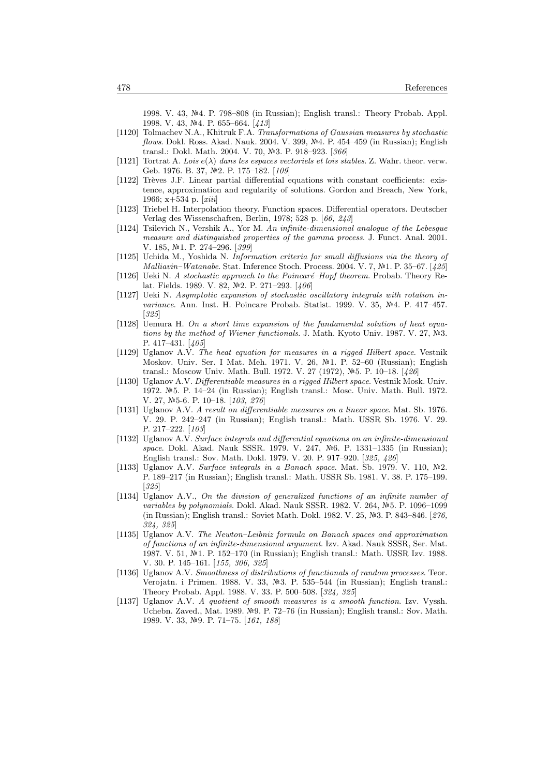1998. V. 43, 4. P. 798–808 (in Russian); English transl.: Theory Probab. Appl. 1998. V. 43,  $N<sup>2</sup>4$ . P. 655–664. [413]

- [1120] Tolmachev N.A., Khitruk F.A. Transformations of Gaussian measures by stochastic flows. Dokl. Ross. Akad. Nauk. 2004. V. 399,  $\mathbb{N}^2$ 4. P. 454–459 (in Russian); English transl.: Dokl. Math. 2004. V. 70, №3. P. 918–923. [366]
- [1121] Tortrat A. Lois  $e(\lambda)$  dans les espaces vectoriels et lois stables. Z. Wahr. theor. verw. Geb. 1976. B. 37, №2. P. 175-182. [109]
- [1122] Trèves J.F. Linear partial differential equations with constant coefficients: existence, approximation and regularity of solutions. Gordon and Breach, New York, 1966; x+534 p. [xiii]
- [1123] Triebel H. Interpolation theory. Function spaces. Differential operators. Deutscher Verlag des Wissenschaften, Berlin, 1978; 528 p. [66, 243]
- [1124] Tsilevich N., Vershik A., Yor M. An infinite-dimensional analogue of the Lebesgue measure and distinguished properties of the gamma process. J. Funct. Anal. 2001. V. 185, №1. P. 274-296. [399]
- [1125] Uchida M., Yoshida N. Information criteria for small diffusions via the theory of Malliavin–Watanabe. Stat. Inference Stoch. Process. 2004. V. 7, Nº1. P. 35–67. [425]
- [1126] Ueki N. A stochastic approach to the Poincaré–Hopf theorem. Probab. Theory Relat. Fields. 1989. V. 82, №2. P. 271–293. [406]
- [1127] Ueki N. Asymptotic expansion of stochastic oscillatory integrals with rotation invariance. Ann. Inst. H. Poincare Probab. Statist. 1999. V. 35, Nº4. P. 417-457. [325]
- [1128] Uemura H. On a short time expansion of the fundamental solution of heat equations by the method of Wiener functionals. J. Math. Kyoto Univ. 1987. V. 27,  $N=3$ . P. 417–431. [405]
- [1129] Uglanov A.V. The heat equation for measures in a rigged Hilbert space. Vestnik Moskov. Univ. Ser. I Mat. Meh. 1971. V. 26, Nº1. P. 52-60 (Russian); English transl.: Moscow Univ. Math. Bull. 1972. V. 27 (1972), №5. P. 10–18. [426]
- [1130] Uglanov A.V. Differentiable measures in a rigged Hilbert space. Vestnik Mosk. Univ. 1972. №5. P. 14–24 (in Russian); English transl.: Mosc. Univ. Math. Bull. 1972. V. 27, №5-6. P. 10-18. [103, 276]
- [1131] Uglanov A.V. A result on differentiable measures on a linear space. Mat. Sb. 1976. V. 29. P. 242–247 (in Russian); English transl.: Math. USSR Sb. 1976. V. 29. P. 217–222. [103]
- [1132] Uglanov A.V. Surface integrals and differential equations on an infinite-dimensional space. Dokl. Akad. Nauk SSSR. 1979. V. 247, Nº6. P. 1331-1335 (in Russian); English transl.: Sov. Math. Dokl. 1979. V. 20. P. 917–920. [325, 426]
- [1133] Uglanov A.V. Surface integrals in a Banach space. Mat. Sb. 1979. V. 110,  $\mathbb{N}^2$ . P. 189–217 (in Russian); English transl.: Math. USSR Sb. 1981. V. 38. P. 175–199. [325]
- [1134] Uglanov A.V., On the division of generalized functions of an infinite number of variables by polynomials. Dokl. Akad. Nauk SSSR. 1982. V. 264,  $N<sup>2</sup>5$ . P. 1096–1099 (in Russian); English transl.: Soviet Math. Dokl. 1982. V. 25, 3. P. 843–846. [276, 324, 325]
- [1135] Uglanov A.V. The Newton–Leibniz formula on Banach spaces and approximation of functions of an infinite-dimensional argument. Izv. Akad. Nauk SSSR, Ser. Mat. 1987. V. 51, №1. P. 152–170 (in Russian); English transl.: Math. USSR Izv. 1988. V. 30. P. 145–161. [155, 306, 325]
- [1136] Uglanov A.V. Smoothness of distributions of functionals of random processes. Teor. Verojatn. i Primen. 1988. V. 33,  $\mathbb{N}^2$ 3. P. 535–544 (in Russian); English transl.: Theory Probab. Appl. 1988. V. 33. P. 500–508. [324, 325]
- [1137] Uglanov A.V. A quotient of smooth measures is a smooth function. Izv. Vyssh. Uchebn. Zaved., Mat. 1989.  $N<sup>2</sup>$ 9. P. 72–76 (in Russian); English transl.: Sov. Math. 1989. V. 33, №9. P. 71–75. [161, 188]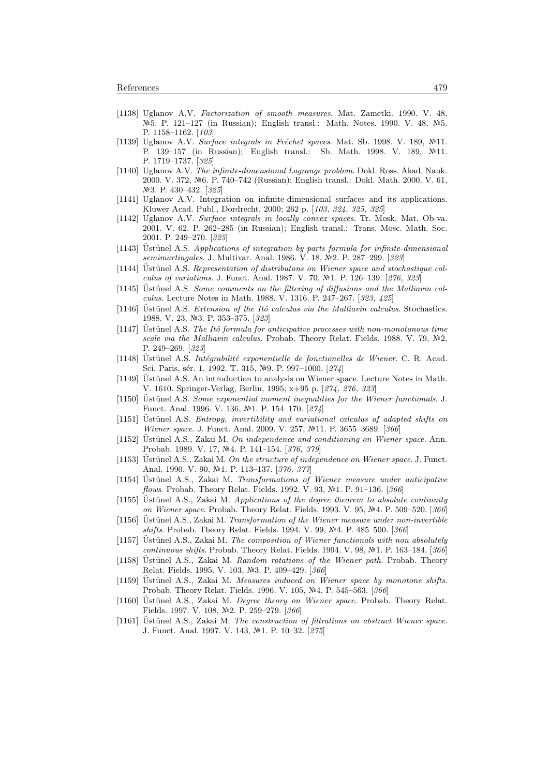- [1138] Uglanov A.V. Factorization of smooth measures. Mat. Zametki. 1990. V. 48,  $N<sup>2</sup>5$ . P. 121–127 (in Russian); English transl.: Math. Notes. 1990. V. 48,  $N<sup>2</sup>5$ . P. 1158–1162. [103]
- [1139] Uglanov A.V. Surface integrals in Fréchet spaces. Mat. Sb. 1998. V. 189,  $\mathbb{N}11$ . P. 139–157 (in Russian); English transl.: Sb. Math. 1998. V. 189, №11. P. 1719–1737. [325]
- [1140] Uglanov A.V. The infinite-dimensional Lagrange problem. Dokl. Ross. Akad. Nauk. 2000. V. 372, №6. P. 740–742 (Russian); English transl.: Dokl. Math. 2000. V. 61, Nº<sub>3</sub>. P. 430–432. [325]
- [1141] Uglanov A.V. Integration on infinite-dimensional surfaces and its applications. Kluwer Acad. Publ., Dordrecht, 2000; 262 p. [103, 324, 325, 325]
- [1142] Uglanov A.V. Surface integrals in locally convex spaces. Tr. Mosk. Mat. Ob-va. 2001. V. 62. P. 262–285 (in Russian); English transl.: Trans. Mosc. Math. Soc. 2001. P. 249–270. [325]
- $[1143]$  Ustünel A.S. Applications of integration by parts formula for infinite-dimensional semimartingales. J. Multivar. Anal. 1986. V. 18, №2. P. 287–299. [323]
- $[1144]$  Ustünel A.S. Representation of distributons on Wiener space and stochastique calculus of variations. J. Funct. Anal. 1987. V. 70, Nº1. P. 126-139. [276, 323]
- $[1145]$  Ustünel A.S. Some comments on the filtering of diffusions and the Malliavin calculus. Lecture Notes in Math. 1988. V. 1316. P. 247–267. [323, 425]
- [1146] Ustünel A.S. Extension of the Itô calculus via the Malliavin calculus. Stochastics. 1988. V. 23, №3. P. 353-375. [323]
- $[1147]$  Ustünel A.S. The Itô formula for anticipative processes with non-monotonous time scale via the Malliavin calculus. Probab. Theory Relat. Fields. 1988. V. 79,  $N<sup>2</sup>2$ . P. 249–269. [323]
- [1148] Ustünel A.S. Intégrabilité exponentielle de fonctionelles de Wiener. C. R. Acad. Sci. Paris, sér. 1. 1992. T. 315, Nº9. P. 997–1000. [274]
- [1149] Üstünel A.S. An introduction to analysis on Wiener space. Lecture Notes in Math. V. 1610. Springer-Verlag, Berlin, 1995; x+95 p. [274, 276, 323]
- [1150] Ustünel A.S. Some exponential moment inequalities for the Wiener functionals. J. Funct. Anal. 1996. V. 136, №1. P. 154-170. [274]
- [1151] Ustünel A.S. Entropy, invertibility and variational calculus of adapted shifts on Wiener space. J. Funct. Anal. 2009. V. 257, №11. P. 3655–3689. [366]
- $[1152]$  Ustünel A.S., Zakai M. On independence and conditioning on Wiener space. Ann. Probab. 1989. V. 17, №4. P. 141-154. [376, 379]
- [1153] Ustünel A.S., Zakai M. On the structure of independence on Wiener space. J. Funct. Anal. 1990. V. 90, №1. P. 113-137. [376, 377]
- [1154] Üstünel A.S., Zakai M. Transformations of Wiener measure under anticipative flows. Probab. Theory Relat. Fields. 1992. V. 93, Nº1. P. 91-136. [366]
- $[1155]$  Ustünel A.S., Zakai M. Applications of the degree theorem to absolute continuity on Wiener space. Probab. Theory Relat. Fields. 1993. V. 95, №4. P. 509–520. [366]
- [1156] Ustünel A.S., Zakai M. Transformation of the Wiener measure under non-invertible shifts. Probab. Theory Relat. Fields. 1994. V. 99, Nº4. P. 485-500. [366]
- [1157] Ustünel A.S., Zakai M. The composition of Wiener functionals with non absolutely  $continuous\ shifts.$  Probab. Theory Relat. Fields. 1994. V. 98, Nº1. P. 163–184. [ $366$ ]
- [1158] Ustünel A.S., Zakai M. Random rotations of the Wiener path. Probab. Theory Relat. Fields. 1995. V. 103, Nº3. P. 409-429. [366]
- $[1159]$  Ustünel A.S., Zakai M. Measures induced on Wiener space by monotone shifts. Probab. Theory Relat. Fields. 1996. V. 105, №4. P. 545–563. [366]
- [1160] Üstünel A.S., Zakai M. Degree theory on Wiener space. Probab. Theory Relat. Fields. 1997. V. 108, №2. P. 259-279. [366]
- [1161] Üstünel A.S., Zakai M. The construction of filtrations on abstract Wiener space. J. Funct. Anal. 1997. V. 143, №1. P. 10-32. [275]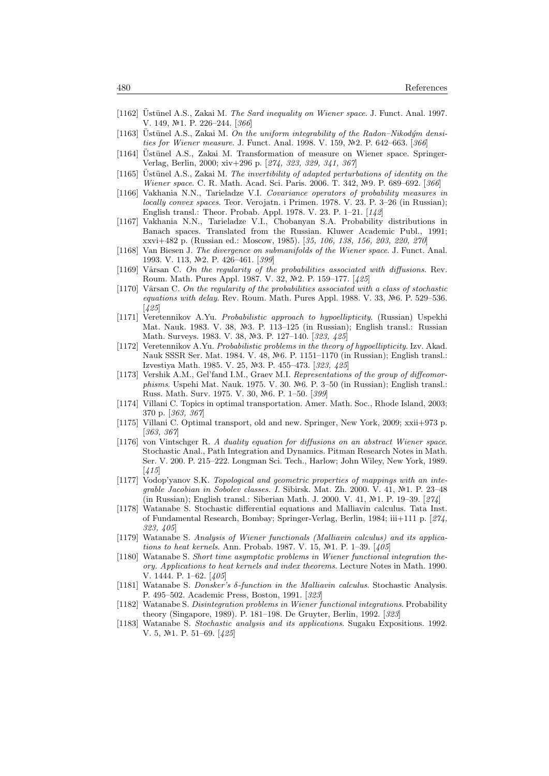- [1162] Ustünel A.S., Zakai M. The Sard inequality on Wiener space. J. Funct. Anal. 1997. V. 149, №1. P. 226–244. [366]
- [1163] Ustünel A.S., Zakai M. On the uniform integrability of the Radon–Nikodým densities for Wiener measure. J. Funct. Anal. 1998. V. 159, Nº2. P. 642-663. [366]
- [1164] Üstünel A.S., Zakai M. Transformation of measure on Wiener space. Springer-Verlag, Berlin, 2000; xiv+296 p. [274, 323, 329, 341, 367]
- $[1165]$  Ustünel A.S., Zakai M. The invertibility of adapted perturbations of identity on the Wiener space. C. R. Math. Acad. Sci. Paris. 2006. T. 342, №9. P. 689–692. [366]
- [1166] Vakhania N.N., Tarieladze V.I. Covariance operators of probability measures in locally convex spaces. Teor. Verojatn. i Primen. 1978. V. 23. P. 3–26 (in Russian); English transl.: Theor. Probab. Appl. 1978. V. 23. P. 1–21. [142]
- [1167] Vakhania N.N., Tarieladze V.I., Chobanyan S.A. Probability distributions in Banach spaces. Translated from the Russian. Kluwer Academic Publ., 1991; xxvi+482 p. (Russian ed.: Moscow, 1985). [35, 106, 138, 156, 203, 220, 270]
- [1168] Van Biesen J. The divergence on submanifolds of the Wiener space. J. Funct. Anal. 1993. V. 113, №2. P. 426–461. [399]
- [1169] Vârsan C. On the regularity of the probabilities associated with diffusions. Rev. Roum. Math. Pures Appl. 1987. V. 32, Nº2. P. 159-177. [425]
- [1170] Vârsan C. On the regularity of the probabilities associated with a class of stochastic equations with delay. Rev. Roum. Math. Pures Appl. 1988. V. 33, Nº6. P. 529-536. [425]
- [1171] Veretennikov A.Yu. Probabilistic approach to hypoellipticity. (Russian) Uspekhi Mat. Nauk. 1983. V. 38, Nº3. P. 113-125 (in Russian); English transl.: Russian Math. Surveys. 1983. V. 38, №3. P. 127-140. [323, 425]
- [1172] Veretennikov A.Yu. Probabilistic problems in the theory of hypoellipticity. Izv. Akad. Nauk SSSR Ser. Mat. 1984. V. 48, Nº6. P. 1151–1170 (in Russian); English transl.: Izvestiya Math. 1985. V. 25, №3. P. 455–473. [323, 425]
- [1173] Vershik A.M., Gel'fand I.M., Graev M.I. Representations of the group of diffeomorphisms. Uspehi Mat. Nauk. 1975. V. 30. No. P. 3–50 (in Russian); English transl.: Russ. Math. Surv. 1975. V. 30,  $\mathbb{N}\text{-}6.$  P. 1–50.  $[399]$
- [1174] Villani C. Topics in optimal transportation. Amer. Math. Soc., Rhode Island, 2003; 370 p. [363, 367]
- [1175] Villani C. Optimal transport, old and new. Springer, New York, 2009; xxii+973 p. [363, 367]
- [1176] von Vintschger R. A duality equation for diffusions on an abstract Wiener space. Stochastic Anal., Path Integration and Dynamics. Pitman Research Notes in Math. Ser. V. 200. P. 215–222. Longman Sci. Tech., Harlow; John Wiley, New York, 1989. [415]
- [1177] Vodop'yanov S.K. Topological and geometric properties of mappings with an integrable Jacobian in Sobolev classes. I. Sibirsk. Mat. Zh. 2000. V. 41,  $\mathbb{N}^2$ 1. P. 23-48 (in Russian); English transl.: Siberian Math. J. 2000. V. 41, Nº1. P. 19-39. [274]
- [1178] Watanabe S. Stochastic differential equations and Malliavin calculus. Tata Inst. of Fundamental Research, Bombay; Springer-Verlag, Berlin, 1984; iii+111 p. [274, 323, 405]
- [1179] Watanabe S. Analysis of Wiener functionals (Malliavin calculus) and its applications to heat kernels. Ann. Probab. 1987. V. 15,  $N<sup>2</sup>1$ . P. 1–39. [405]
- [1180] Watanabe S. Short time asymptotic problems in Wiener functional integration theory. Applications to heat kernels and index theorems. Lecture Notes in Math. 1990. V. 1444. P. 1–62. [405]
- [1181] Watanabe S. Donsker's δ-function in the Malliavin calculus. Stochastic Analysis. P. 495–502. Academic Press, Boston, 1991. [323]
- [1182] Watanabe S. Disintegration problems in Wiener functional integrations. Probability theory (Singapore, 1989). P. 181–198. De Gruyter, Berlin, 1992. [323]
- [1183] Watanabe S. Stochastic analysis and its applications. Sugaku Expositions. 1992. V. 5,  $N<sup>2</sup>1$ . P. 51–69. [425]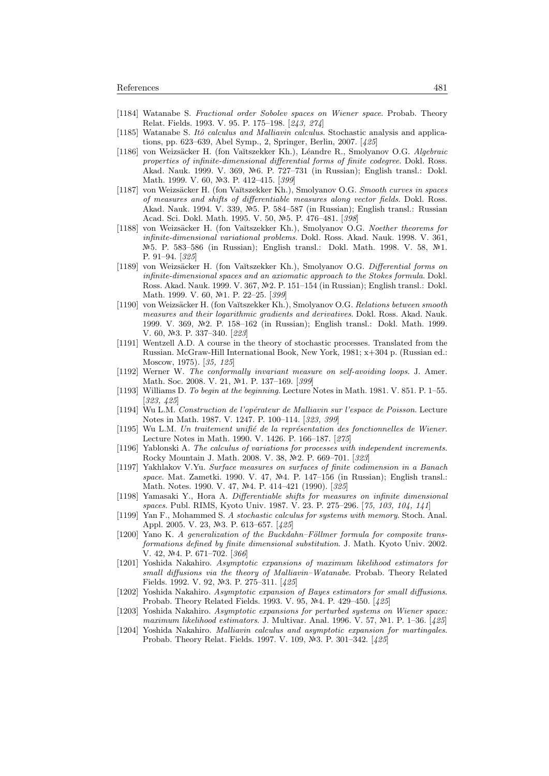- [1184] Watanabe S. Fractional order Sobolev spaces on Wiener space. Probab. Theory Relat. Fields. 1993. V. 95. P. 175–198. [243, 274]
- [1185] Watanabe S. Itô calculus and Malliavin calculus. Stochastic analysis and applications, pp. 623–639, Abel Symp., 2, Springer, Berlin, 2007. [425]
- [1186] von Weizsäcker H. (fon Vaĭtszekker Kh.), Léandre R., Smolyanov O.G. Algebraic properties of infinite-dimensional differential forms of finite codegree. Dokl. Ross. Akad. Nauk. 1999. V. 369, №6. P. 727–731 (in Russian); English transl.: Dokl. Math. 1999. V. 60, №3. P. 412-415. [399]
- [1187] von Weizsäcker H. (fon Vaĭtszekker Kh.), Smolyanov O.G. Smooth curves in spaces of measures and shifts of differentiable measures along vector fields. Dokl. Ross. Akad. Nauk. 1994. V. 339,  $N=5$ . P. 584–587 (in Russian); English transl.: Russian Acad. Sci. Dokl. Math. 1995. V. 50, №5. P. 476-481. [398]
- [1188] von Weizsäcker H. (fon Vaĭtszekker Kh.), Smolyanov O.G. Noether theorems for infinite-dimensional variational problems. Dokl. Ross. Akad. Nauk. 1998. V. 361, Nº 5. P. 583–586 (in Russian); English transl.: Dokl. Math. 1998. V. 58, №1. P. 91–94. [325]
- [1189] von Weizsäcker H. (fon Vaĭtszekker Kh.), Smolyanov O.G. Differential forms on infinite-dimensional spaces and an axiomatic approach to the Stokes formula. Dokl. Ross. Akad. Nauk. 1999. V. 367, №2. P. 151-154 (in Russian); English transl.: Dokl. Math. 1999. V. 60, №1. P. 22-25. [399]
- [1190] von Weizsäcker H. (fon Vaĭtszekker Kh.), Smolyanov O.G. Relations between smooth measures and their logarithmic gradients and derivatives. Dokl. Ross. Akad. Nauk. 1999. V. 369, 2. P. 158–162 (in Russian); English transl.: Dokl. Math. 1999. V. 60, №3. P. 337-340. [223]
- [1191] Wentzell A.D. A course in the theory of stochastic processes. Translated from the Russian. McGraw-Hill International Book, New York, 1981; x+304 p. (Russian ed.: Moscow, 1975). [35, 125]
- [1192] Werner W. The conformally invariant measure on self-avoiding loops. J. Amer. Math. Soc. 2008. V. 21, №1. P. 137-169. [399]
- [1193] Williams D. To begin at the beginning. Lecture Notes in Math. 1981. V. 851. P. 1–55. [323, 425]
- [1194] Wu L.M. Construction de l'opérateur de Malliavin sur l'espace de Poisson. Lecture Notes in Math. 1987. V. 1247. P. 100–114. [323, 399]
- [1195] Wu L.M. Un traitement unifié de la représentation des fonctionnelles de Wiener. Lecture Notes in Math. 1990. V. 1426. P. 166–187. [275]
- [1196] Yablonski A. The calculus of variations for processes with independent increments. Rocky Mountain J. Math. 2008. V. 38, Nº2. P. 669-701. [323]
- [1197] Yakhlakov V.Yu. Surface measures on surfaces of finite codimension in a Banach space. Mat. Zametki. 1990. V. 47, Nº4. P. 147-156 (in Russian); English transl.: Math. Notes. 1990. V. 47, Nº4. P. 414-421 (1990). [325]
- [1198] Yamasaki Y., Hora A. Differentiable shifts for measures on infinite dimensional spaces. Publ. RIMS, Kyoto Univ. 1987. V. 23. P. 275–296. [75, 103, 104, 141]
- [1199] Yan F., Mohammed S. A stochastic calculus for systems with memory. Stoch. Anal. Appl. 2005. V. 23, №3. P. 613–657. [425]
- $[1200]$  Yano K. A generalization of the Buckdahn–Föllmer formula for composite transformations defined by finite dimensional substitution. J. Math. Kyoto Univ. 2002.  $V. 42, N<sup>2</sup>4. P. 671–702. [366]$
- [1201] Yoshida Nakahiro. Asymptotic expansions of maximum likelihood estimators for small diffusions via the theory of Malliavin–Watanabe. Probab. Theory Related Fields. 1992. V. 92, №3. P. 275–311. [425]
- [1202] Yoshida Nakahiro. Asymptotic expansion of Bayes estimators for small diffusions. Probab. Theory Related Fields. 1993. V. 95, №4. P. 429–450. [425]
- [1203] Yoshida Nakahiro. Asymptotic expansions for perturbed systems on Wiener space: maximum likelihood estimators. J. Multivar. Anal. 1996. V. 57,  $N<sup>2</sup>1$ . P. 1–36. [425]
- [1204] Yoshida Nakahiro. Malliavin calculus and asymptotic expansion for martingales. Probab. Theory Relat. Fields. 1997. V. 109, Nº3. P. 301-342. [425]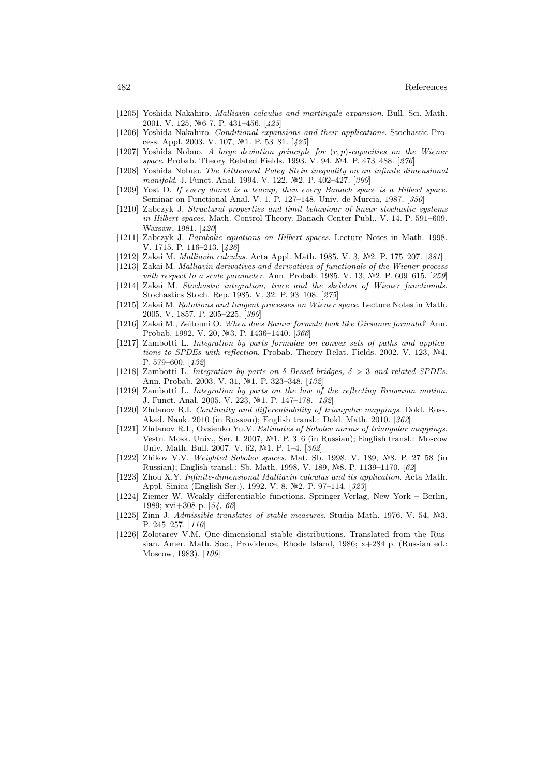- [1205] Yoshida Nakahiro. Malliavin calculus and martingale expansion. Bull. Sci. Math. 2001. V. 125, №6-7. P. 431–456. [425]
- [1206] Yoshida Nakahiro. Conditional expansions and their applications. Stochastic Process. Appl. 2003. V. 107, №1. P. 53–81. [425]
- [1207] Yoshida Nobuo. A large deviation principle for  $(r, p)$ -capacities on the Wiener space. Probab. Theory Related Fields. 1993. V. 94, Nº4. P. 473-488. [276]
- [1208] Yoshida Nobuo. The Littlewood–Paley–Stein inequality on an infinite dimensional manifold. J. Funct. Anal. 1994. V. 122, №2. P. 402-427. [399]
- [1209] Yost D. If every donut is a teacup, then every Banach space is a Hilbert space. Seminar on Functional Anal. V. 1. P. 127–148. Univ. de Murcia, 1987. [350]
- [1210] Zabczyk J. Structural properties and limit behaviour of linear stochastic systems in Hilbert spaces. Math. Control Theory. Banach Center Publ., V. 14. P. 591–609. Warsaw, 1981. [420]
- [1211] Zabczyk J. Parabolic equations on Hilbert spaces. Lecture Notes in Math. 1998. V. 1715. P. 116–213. [426]
- [1212] Zakai M. *Malliavin calculus*. Acta Appl. Math. 1985. V. 3, №2. P. 175–207. [281]
- [1213] Zakai M. Malliavin derivatives and derivatives of functionals of the Wiener process
- with respect to a scale parameter. Ann. Probab. 1985. V. 13,  $\mathbb{N}^2$ . P. 609–615. [259] [1214] Zakai M. Stochastic integration, trace and the skeleton of Wiener functionals.
- Stochastics Stoch. Rep. 1985. V. 32. P. 93–108. [275] [1215] Zakai M. Rotations and tangent processes on Wiener space. Lecture Notes in Math.
- 2005. V. 1857. P. 205–225. [399] [1216] Zakai M., Zeitouni O. When does Ramer formula look like Girsanov formula? Ann.
- Probab. 1992. V. 20, №3. P. 1436-1440. [366] [1217] Zambotti L. Integration by parts formulae on convex sets of paths and applications to SPDEs with reflection. Probab. Theory Relat. Fields. 2002. V. 123,  $N<sub>4</sub>$ . P. 579–600. [132]
- [1218] Zambotti L. Integration by parts on  $\delta$ -Bessel bridges,  $\delta > 3$  and related SPDEs. Ann. Probab. 2003. V. 31, №1. P. 323-348. [132]
- [1219] Zambotti L. Integration by parts on the law of the reflecting Brownian motion. J. Funct. Anal. 2005. V. 223, №1. P. 147-178. [132]
- [1220] Zhdanov R.I. Continuity and differentiability of triangular mappings. Dokl. Ross. Akad. Nauk. 2010 (in Russian); English transl.: Dokl. Math. 2010. [362]
- [1221] Zhdanov R.I., Ovsienko Yu.V. Estimates of Sobolev norms of triangular mappings. Vestn. Mosk. Univ., Ser. I. 2007, №1. P. 3–6 (in Russian); English transl.: Moscow Univ. Math. Bull. 2007. V. 62, №1. P. 1-4. [362]
- [1222] Zhikov V.V. Weighted Sobolev spaces. Mat. Sb. 1998. V. 189, 8. P. 27–58 (in Russian); English transl.: Sb. Math. 1998. V. 189, Nº8. P. 1139-1170. [62]
- [1223] Zhou X.Y. Infinite-dimensional Malliavin calculus and its application. Acta Math. Appl. Sinica (English Ser.). 1992. V. 8, №2. P. 97–114. [323]
- [1224] Ziemer W. Weakly differentiable functions. Springer-Verlag, New York Berlin, 1989; xvi+308 p. [54, 66]
- [1225] Zinn J. Admissible translates of stable measures. Studia Math. 1976. V. 54,  $\mathbb{N}^3$ . P. 245–257. [110]
- [1226] Zolotarev V.M. One-dimensional stable distributions. Translated from the Russian. Amer. Math. Soc., Providence, Rhode Island, 1986; x+284 p. (Russian ed.: Moscow, 1983). [109]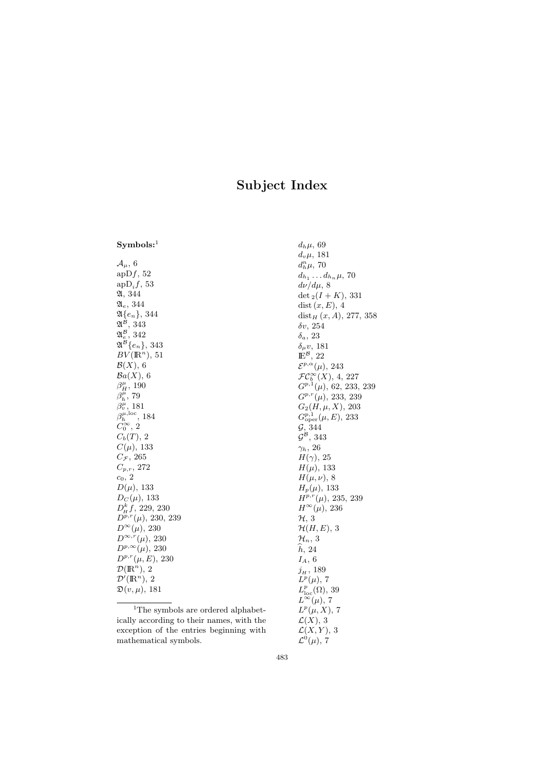# Subject Index

 $Symbols:$ <sup>1</sup>

 $\mathcal{A}_{\mu}$ , 6 ap $Df$ , 52  $ap\mathrm{D}_i f, 53$ A, 344  $\mathfrak{A}_e$ , 344  $\mathfrak{A}\{e_n\},\,344$  $\mathfrak{A}^{\mathcal{B}},\,343$  $\mathfrak{A}^\mathcal{B}_e,\,342$  $\mathfrak{A}^{\mathcal{B}}\{e_n\},\,343$  $BV(\mathbb{R}^n)$ , 51  $\mathcal{B}(X)$ , 6  $Ba(X)$ , 6  $\beta^\mu_H$ , 190  $\beta_h^{\overline{\mu}},\,79$  $\beta_v^{\mu}$ , 181  $\beta_h^{\mu,loc}$ , 184  $\tilde{C}_0^{\infty}$ , 2  $C_b(T)$ , 2  $C(\mu)$ , 133  $C_{\mathcal{F}}$ , 265  $C_{p,r}$ , 272  $c_0, 2$  $D(\mu)$ , 133  $D_C(\mu)$ , 133  $D_{\rm H}^k f$ , 229, 230  $D^{p,r}(\mu)$ , 230, 239  $D^{\infty}(\mu)$ , 230  $D^{\infty,r}(\mu)$ , 230  $D^{p,\infty}(\mu)$ , 230  $D^{p,r}(\mu, E)$ , 230  $\mathcal{D}(\mathbb{R}^n)$ , 2  $\mathcal{D}'(\mathbb{R}^n)$ , 2  $\mathfrak{D}(v,\mu)$ , 181

<sup>1</sup>The symbols are ordered alphabetically according to their names, with the exception of the entries beginning with

mathematical symbols.

 $d_h\mu$ , 69  $d_v \mu$ , 181  $d_h^n\mu$ , 70  $d_{h_1} \ldots d_{h_n} \mu$ , 70  $d\nu/d\mu$ , 8 det  $_2(I + K)$ , 331 dist  $(x, E)$ , 4 dist $_H(x, A)$ , 277, 358 δv, 254  $\delta_a$ , 23  $\delta_\mu v$ , 181  $\mathbb{E}^{\mathcal{B}}, 22$  $\mathcal{E}^{p,\alpha}(\mu)$ , 243  $\mathcal{FC}^{\infty}_b(X)$ , 4, 227  $G^{p,1}(\mu)$ , 62, 233, 239  $G^{p,r}(\mu)$ , 233, 239  $G_2(H, \mu, X)$ , 203  $G^{p,1}_{\text{oper}}(\mu, E)$ , 233  $\mathcal{G}, 344$  $\mathcal{G}^{\mathcal{B}}, 343$  $\gamma_h$ , 26  $H(\gamma)$ , 25  $H(\mu)$ , 133  $H(\mu, \nu)$ , 8  $H_p(\mu)$ , 133  $H^{p,r}(\mu)$ , 235, 239  $H^\infty(\mu)$ , 236 H, 3  $\mathcal{H}(H,E)$ , 3  $\mathcal{H}_n, 3$  $\hat{h}$ , 24  $I_A, 6$  $j_{\scriptscriptstyle H}$  , 189  $L^p(\mu)$ , 7  $L^p_{\text{loc}}(\Omega)$ , 39  $L^{\infty}(\mu)$ , 7  $L^p(\mu,X)$ , 7  $\mathcal{L}(X), 3$  $\mathcal{L}(X, Y)$ , 3

483

 $\mathcal{L}^0(\mu)$ , 7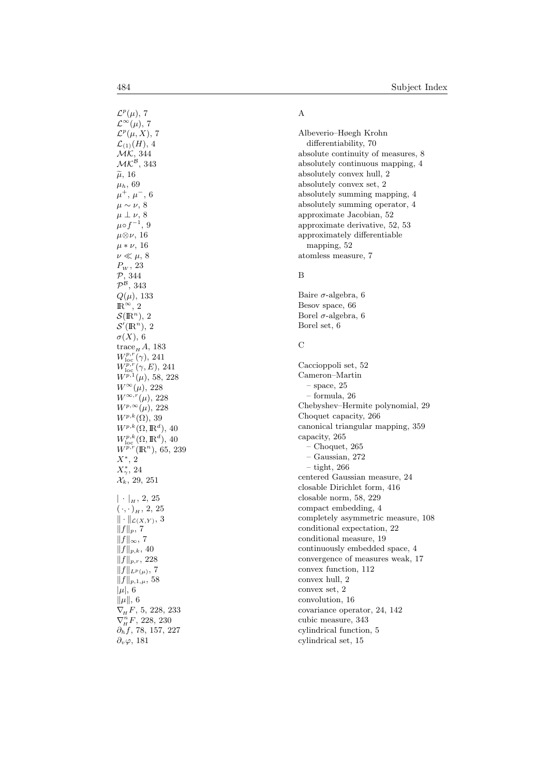$\mathcal{L}^p(\mu)$ , 7  $\mathcal{L}^{\infty}(\mu)$ , 7  $\mathcal{L}^p(\mu,X)$ , 7  $\mathcal{L}_{(1)}(H)$ , 4  $MK, 344$  $\mathcal{MK}^{\mathcal{B}},\,343$  $\widetilde{\mu}$ , 16<br> $\frac{\widetilde{\mu}}{\mu}$  $\mu_h$ , 69  $\mu^+, \mu^-, 6$  $\mu \sim \nu$ , 8  $\mu \perp \nu$ , 8  $\mu \circ f^{-1}$ , 9  $μ$ ⊗ν, 16  $\mu * \nu$ , 16  $\nu \ll \mu, 8$  $P_{W}$ , 23 P, 344  $\mathcal{P}^{\mathcal{B}},\,343$  $Q(\mu)$ , 133  $\mathbb{R}^{\infty}$ , 2  $\mathcal{S}(\mathbb{R}^n), 2$  $\mathcal{S}'(\mathbb{R}^n)$ , 2  $\sigma(X)$ , 6  $\mathrm{trace}_{H} A$ , 183  $W^{p,r}_{\text{loc}}(\gamma)$ , 241  $W_{\text{loc}}^{p,r}(\gamma,E)$ , 241  $W^{p,1}(\mu)$ , 58, 228  $W^{\infty}(\mu)$ , 228  $W^{\infty,r}(\mu)$ , 228  $W^{p,\infty}(\mu)$ , 228  $W^{p,k}(\Omega)$ , 39  $W^{p,k}(\Omega,\mathbb{R}^d),$  40  $W^{p,k}_{\text{loc}}(\Omega,\mathbb{R}^d)$ , 40  $W^{p,r}(\mathbb{R}^n)$ , 65, 239  $X^*$ , 2  $X^*_{\gamma}$ , 24  $\mathcal{X}_k$ , 29, 251  $|\cdot|_{H}$ , 2, 25  $(\cdot, \cdot)_H$ , 2, 25  $\|\cdot\|_{\mathcal{L}(X,Y)},$  3  $||f||_p$ , 7  $||f||_{\infty}$ , 7  $||f||_{p,k}$ , 40  $||f||_{p,r}$ , 228  $||f||_{L^p(\mu)}, 7$  $||f||_{p,1,\mu}$ , 58  $|\mu|, 6$  $\|\mu\|$ , 6  $\nabla_{\!H} F$ , 5, 228, 233  $\nabla_{\!H}^n F$ , 228, 230  $\partial_h f$ , 78, 157, 227  $\partial_v \varphi$ , 181

## A

Albeverio–Høegh Krohn differentiability, 70 absolute continuity of measures, 8 absolutely continuous mapping, 4 absolutely convex hull, 2 absolutely convex set, 2 absolutely summing mapping, 4 absolutely summing operator, 4 approximate Jacobian, 52 approximate derivative, 52, 53 approximately differentiable mapping, 52 atomless measure, 7

#### B

Baire  $\sigma$ -algebra, 6 Besov space, 66 Borel  $\sigma$ -algebra, 6 Borel set, 6

#### C

Caccioppoli set, 52 Cameron–Martin  $-$  space,  $25$ – formula, 26 Chebyshev–Hermite polynomial, 29 Choquet capacity, 266 canonical triangular mapping, 359 capacity, 265 – Choquet, 265 – Gaussian, 272 – tight, 266 centered Gaussian measure, 24 closable Dirichlet form, 416 closable norm, 58, 229 compact embedding, 4 completely asymmetric measure, 108 conditional expectation, 22 conditional measure, 19 continuously embedded space, 4 convergence of measures weak, 17 convex function, 112 convex hull, 2 convex set, 2 convolution, 16 covariance operator, 24, 142 cubic measure, 343 cylindrical function, 5 cylindrical set, 15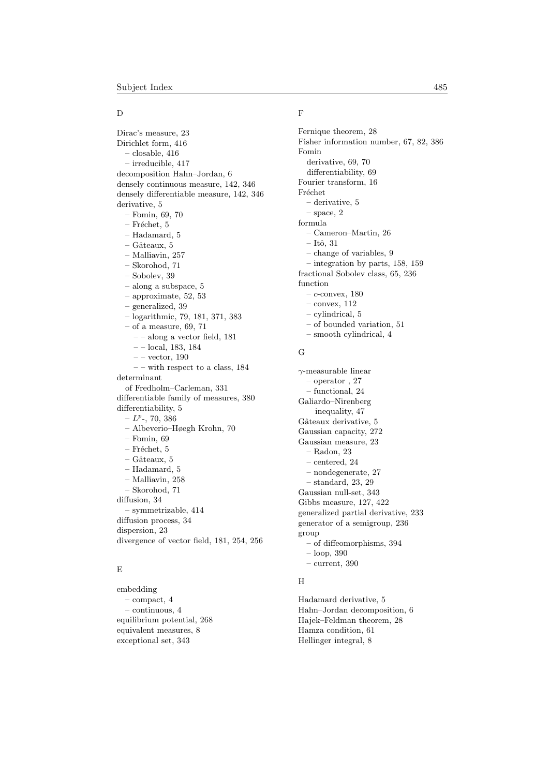#### D

Dirac's measure, 23 Dirichlet form, 416 – closable, 416 – irreducible, 417 decomposition Hahn–Jordan, 6 densely continuous measure, 142, 346 densely differentiable measure, 142, 346 derivative, 5 – Fomin, 69, 70 – Fréchet, 5 – Hadamard, 5  $-$  Gâteaux, 5 – Malliavin, 257 – Skorohod, 71 – Sobolev, 39 – along a subspace, 5 – approximate, 52, 53 – generalized, 39 – logarithmic, 79, 181, 371, 383 – of a measure, 69, 71 – – along a vector field, 181 – – local, 183, 184  $--$  vector, 190 – – with respect to a class, 184 determinant of Fredholm–Carleman, 331 differentiable family of measures, 380 differentiability, 5  $-L^p$ -, 70, 386 – Albeverio–Høegh Krohn, 70 – Fomin, 69  $-$  Fréchet, 5  $-$  Gâteaux, 5 – Hadamard, 5 – Malliavin, 258 – Skorohod, 71 diffusion, 34 – symmetrizable, 414 diffusion process, 34 dispersion, 23 divergence of vector field, 181, 254, 256

## E

embedding – compact, 4 – continuous, 4 equilibrium potential, 268 equivalent measures, 8 exceptional set, 343

## F

Fernique theorem, 28 Fisher information number, 67, 82, 386 Fomin derivative, 69, 70 differentiability, 69 Fourier transform, 16 Fréchet – derivative, 5  $-$  space,  $2$ formula – Cameron–Martin, 26  $-$ Itô, 31 – change of variables, 9 – integration by parts, 158, 159 fractional Sobolev class, 65, 236 function  $-$  c-convex, 180  $-$  convex,  $112$ – cylindrical, 5 – of bounded variation, 51 – smooth cylindrical, 4

#### G

γ-measurable linear – operator , 27 – functional, 24 Galiardo–Nirenberg inequality, 47 Gâteaux derivative, 5 Gaussian capacity, 272 Gaussian measure, 23 – Radon, 23 – centered, 24 – nondegenerate, 27 – standard, 23, 29 Gaussian null-set, 343 Gibbs measure, 127, 422 generalized partial derivative, 233 generator of a semigroup, 236 group – of diffeomorphisms, 394 – loop, 390

H

– current, 390

Hadamard derivative, 5 Hahn–Jordan decomposition, 6 Hajek–Feldman theorem, 28 Hamza condition, 61 Hellinger integral, 8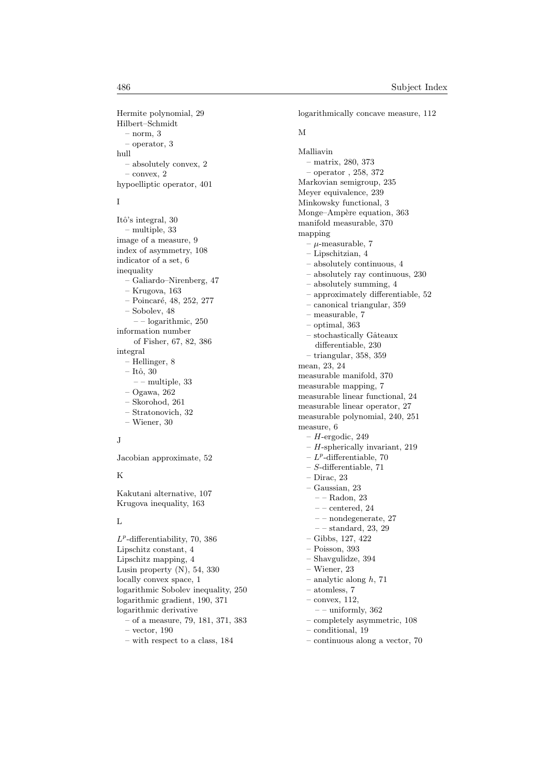Hermite polynomial, 29 Hilbert–Schmidt  $-$  norm,  $3$ – operator, 3 hull – absolutely convex, 2  $-$  convex,  $2$ hypoelliptic operator, 401

#### I

Itô's integral, 30 – multiple, 33 image of a measure, 9 index of asymmetry, 108 indicator of a set, 6 inequality – Galiardo–Nirenberg, 47 – Krugova, 163  $-$  Poincaré, 48, 252, 277 – Sobolev, 48 – – logarithmic, 250 information number of Fisher, 67, 82, 386 integral – Hellinger, 8  $-$  Itô, 30 – – multiple, 33 – Ogawa, 262 – Skorohod, 261 – Stratonovich, 32 – Wiener, 30

## J

Jacobian approximate, 52

#### K

Kakutani alternative, 107 Krugova inequality, 163

#### L

 $L^p$ -differentiability, 70, 386 Lipschitz constant, 4 Lipschitz mapping, 4 Lusin property (N), 54, 330 locally convex space, 1 logarithmic Sobolev inequality, 250 logarithmic gradient, 190, 371 logarithmic derivative – of a measure, 79, 181, 371, 383 – vector, 190 – with respect to a class, 184

logarithmically concave measure, 112 M Malliavin – matrix, 280, 373 – operator , 258, 372 Markovian semigroup, 235 Meyer equivalence, 239 Minkowsky functional, 3 Monge–Ampère equation, 363 manifold measurable, 370 mapping  $- \mu$ -measurable, 7 – Lipschitzian, 4 – absolutely continuous, 4 – absolutely ray continuous, 230 – absolutely summing, 4 – approximately differentiable, 52 – canonical triangular, 359 – measurable, 7 – optimal, 363  $-$  stochastically Gâteaux differentiable, 230 – triangular, 358, 359 mean, 23, 24 measurable manifold, 370 measurable mapping, 7 measurable linear functional, 24 measurable linear operator, 27 measurable polynomial, 240, 251 measure, 6  $- H$ -ergodic, 249  $- H$ -spherically invariant, 219  $-L^p$ -differentiable, 70  $-$  S-differentiable, 71 – Dirac, 23 – Gaussian, 23 – – Radon, 23  $-$  – centered, 24  $--$ nondegenerate, 27 – – standard, 23, 29 – Gibbs, 127, 422 – Poisson, 393 – Shavgulidze, 394 – Wiener, 23

 $-$  analytic along  $h$ , 71

– atomless, 7

- convex, 112,
- $--$  uniformly, 362
- completely asymmetric, 108
- conditional, 19
- continuous along a vector, 70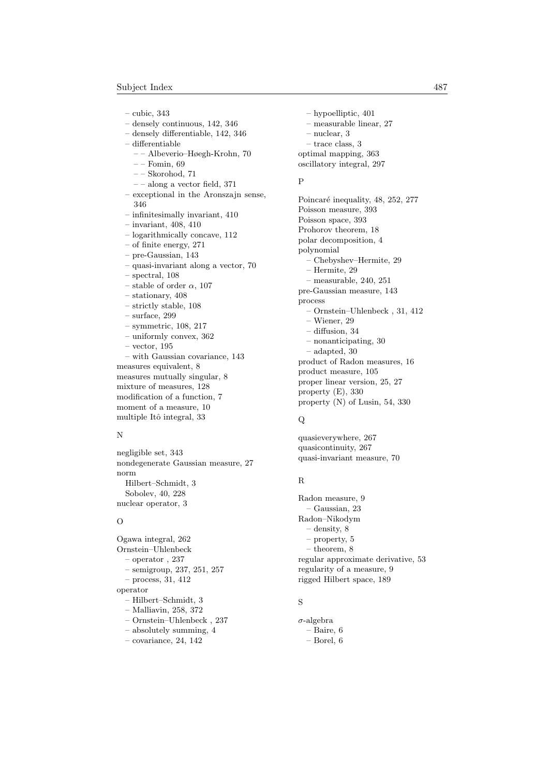– cubic, 343

– densely continuous, 142, 346 – densely differentiable, 142, 346 – differentiable

- – Albeverio–Høegh-Krohn, 70
- $=-$  Fomin, 69
- – Skorohod, 71
- – along a vector field, 371
- exceptional in the Aronszajn sense, 346 – infinitesimally invariant, 410
- invariant, 408, 410
- logarithmically concave, 112
- of finite energy, 271
- pre-Gaussian, 143
- quasi-invariant along a vector, 70
- spectral, 108
- stable of order  $\alpha$ , 107
- stationary, 408
- strictly stable, 108
- surface, 299
- symmetric, 108, 217
- uniformly convex, 362
- vector, 195

– with Gaussian covariance, 143 measures equivalent, 8 measures mutually singular, 8 mixture of measures, 128 modification of a function, 7 moment of a measure, 10 multiple Itô integral, 33

#### N

negligible set, 343 nondegenerate Gaussian measure, 27 norm Hilbert–Schmidt, 3 Sobolev, 40, 228 nuclear operator, 3

### $\Omega$

Ogawa integral, 262 Ornstein–Uhlenbeck – operator , 237 – semigroup, 237, 251, 257 – process, 31, 412 operator – Hilbert–Schmidt, 3 – Malliavin, 258, 372 – Ornstein–Uhlenbeck , 237 – absolutely summing, 4

 $-$  covariance, 24, 142

– hypoelliptic, 401 – measurable linear, 27 – nuclear, 3 – trace class, 3 optimal mapping, 363 oscillatory integral, 297

## P

Poincaré inequality, 48, 252, 277 Poisson measure, 393 Poisson space, 393 Prohorov theorem, 18 polar decomposition, 4 polynomial – Chebyshev–Hermite, 29 – Hermite, 29 – measurable, 240, 251 pre-Gaussian measure, 143 process – Ornstein–Uhlenbeck , 31, 412 – Wiener, 29 – diffusion, 34 – nonanticipating, 30 – adapted, 30 product of Radon measures, 16 product measure, 105 proper linear version, 25, 27 property (E), 330 property (N) of Lusin, 54, 330

## $\Omega$

quasieverywhere, 267 quasicontinuity, 267 quasi-invariant measure, 70

## R

Radon measure, 9 – Gaussian, 23 Radon–Nikodym – density, 8 – property, 5 – theorem, 8 regular approximate derivative, 53 regularity of a measure, 9 rigged Hilbert space, 189

#### S

```
\sigma-algebra
– Baire, 6
- Borel, 6
```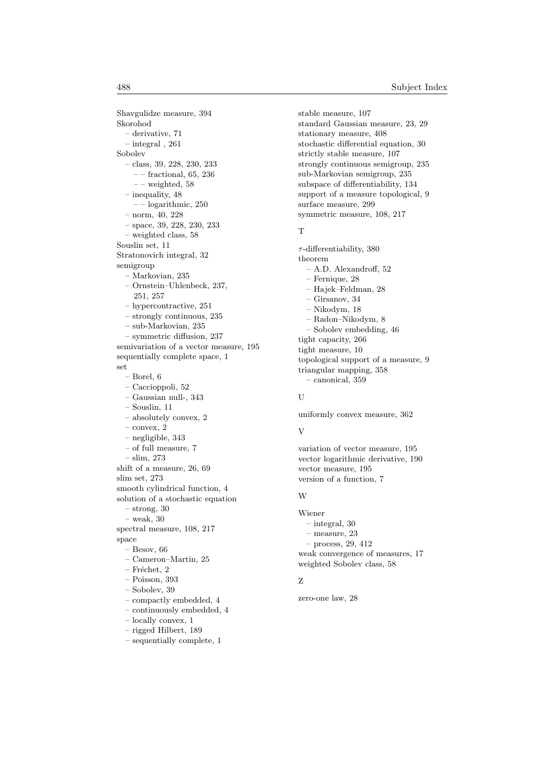Shavgulidze measure, 394 Skorohod – derivative, 71 – integral , 261 Sobolev – class, 39, 228, 230, 233  $--$  fractional,  $65,\,236$  $--$  weighted, 58 – inequality, 48 – – logarithmic, 250 – norm, 40, 228 – space, 39, 228, 230, 233 – weighted class, 58 Souslin set, 11 Stratonovich integral, 32 semigroup – Markovian, 235 – Ornstein–Uhlenbeck, 237, 251, 257 – hypercontractive, 251 – strongly continuous, 235 – sub-Markovian, 235 – symmetric diffusion, 237 semivariation of a vector measure, 195 sequentially complete space, 1 set – Borel, 6 – Caccioppoli, 52 – Gaussian null-, 343 – Souslin, 11 – absolutely convex, 2  $-$  convex,  $2$ – negligible, 343 – of full measure, 7 – slim, 273 shift of a measure, 26, 69 slim set, 273 smooth cylindrical function, 4 solution of a stochastic equation – strong, 30 – weak, 30 spectral measure, 108, 217 space – Besov, 66 – Cameron–Martin, 25 – Fréchet,  $2$ – Poisson, 393 – Sobolev, 39 – compactly embedded, 4 – continuously embedded, 4 – locally convex, 1 – rigged Hilbert, 189

– sequentially complete, 1

stable measure, 107 standard Gaussian measure, 23, 29 stationary measure, 408 stochastic differential equation, 30 strictly stable measure, 107 strongly continuous semigroup, 235 sub-Markovian semigroup, 235 subspace of differentiability, 134 support of a measure topological, 9 surface measure, 299 symmetric measure, 108, 217

#### T

 $\tau$ -differentiability, 380 theorem – A.D. Alexandroff, 52 – Fernique, 28 – Hajek–Feldman, 28 – Girsanov, 34 – Nikodym, 18 – Radon–Nikodym, 8 – Sobolev embedding, 46 tight capacity, 266 tight measure, 10 topological support of a measure, 9 triangular mapping, 358 – canonical, 359

#### ${\bf U}$

uniformly convex measure, 362

#### V

variation of vector measure, 195 vector logarithmic derivative, 190 vector measure, 195 version of a function, 7

#### W

Wiener – integral, 30 – measure, 23 – process, 29, 412 weak convergence of measures, 17 weighted Sobolev class, 58

## Z

zero-one law, 28